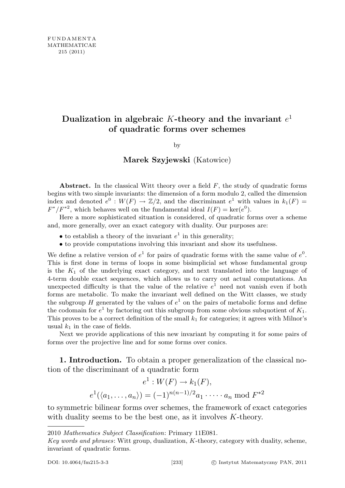# Dualization in algebraic K-theory and the invariant  $e^1$ of quadratic forms over schemes

by

## Marek Szyjewski (Katowice)

Abstract. In the classical Witt theory over a field  $F$ , the study of quadratic forms begins with two simple invariants: the dimension of a form modulo 2, called the dimension index and denoted  $e^0: W(F) \to \mathbb{Z}/2$ , and the discriminant  $e^1$  with values in  $k_1(F)$  $F^*/F^{*2}$ , which behaves well on the fundamental ideal  $I(F) = \text{ker}(e^0)$ .

Here a more sophisticated situation is considered, of quadratic forms over a scheme and, more generally, over an exact category with duality. Our purposes are:

- to establish a theory of the invariant  $e^1$  in this generality;
- to provide computations involving this invariant and show its usefulness.

We define a relative version of  $e^1$  for pairs of quadratic forms with the same value of  $e^0$ . This is first done in terms of loops in some bisimplicial set whose fundamental group is the  $K_1$  of the underlying exact category, and next translated into the language of 4-term double exact sequences, which allows us to carry out actual computations. An unexpected difficulty is that the value of the relative  $e<sup>1</sup>$  need not vanish even if both forms are metabolic. To make the invariant well defined on the Witt classes, we study the subgroup H generated by the values of  $e^1$  on the pairs of metabolic forms and define the codomain for  $e^1$  by factoring out this subgroup from some obvious subquotient of  $K_1$ . This proves to be a correct definition of the small  $k_1$  for categories; it agrees with Milnor's usual  $k_1$  in the case of fields.

Next we provide applications of this new invariant by computing it for some pairs of forms over the projective line and for some forms over conics.

1. Introduction. To obtain a proper generalization of the classical notion of the discriminant of a quadratic form

$$
e^1 : W(F) \to k_1(F),
$$
  
 $e^1(\langle a_1, ..., a_n \rangle) = (-1)^{n(n-1)/2} a_1 \cdot \dots \cdot a_n \mod F^{*2}$ 

to symmetric bilinear forms over schemes, the framework of exact categories with duality seems to be the best one, as it involves K-theory.

<sup>2010</sup> Mathematics Subject Classification: Primary 11E081.

Key words and phrases: Witt group, dualization, K-theory, category with duality, scheme, invariant of quadratic forms.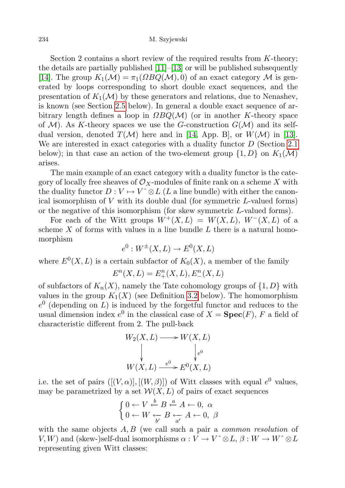Section 2 contains a short review of the required results from  $K$ -theory; the details are partially published  $[11]$ – $[13]$  or will be published subsequently [\[14\]](#page-65-2). The group  $K_1(\mathcal{M}) = \pi_1(\Omega BQ(\mathcal{M}), 0)$  of an exact category M is generated by loops corresponding to short double exact sequences, and the presentation of  $K_1(\mathcal{M})$  by these generators and relations, due to Nenashev, is known (see Section [2.5](#page-19-0) below). In general a double exact sequence of arbitrary length defines a loop in  $\Omega BQ(\mathcal{M})$  (or in another K-theory space of  $M$ ). As K-theory spaces we use the G-construction  $G(M)$  and its selfdual version, denoted  $T(\mathcal{M})$  here and in [\[14,](#page-65-2) App. B], or  $W(\mathcal{M})$  in [\[13\]](#page-65-1). We are interested in exact categories with a duality functor D (Section [2.1](#page-3-0)) below); in that case an action of the two-element group  $\{1, D\}$  on  $K_1(\mathcal{M})$ arises.

The main example of an exact category with a duality functor is the category of locally free sheaves of  $\mathcal{O}_X$ -modules of finite rank on a scheme X with the duality functor  $D: V \mapsto V^{\wedge} \otimes L$  (L a line bundle) with either the canonical isomorphism of  $V$  with its double dual (for symmetric  $L$ -valued forms) or the negative of this isomorphism (for skew symmetric L-valued forms).

For each of the Witt groups  $W^+(X,L) = W(X,L), W^-(X,L)$  of a scheme  $X$  of forms with values in a line bundle  $L$  there is a natural homomorphism

$$
e^{0}: W^{\pm}(X, L) \to E^{0}(X, L)
$$

where  $E^0(X, L)$  is a certain subfactor of  $K_0(X)$ , a member of the family

$$
E^{n}(X, L) = E_{+}^{n}(X, L), E_{-}^{n}(X, L)
$$

of subfactors of  $K_n(X)$ , namely the Tate cohomology groups of  $\{1, D\}$  with values in the group  $K_1(X)$  (see Definition [3.2](#page-40-0) below). The homomorphism  $e^{0}$  (depending on L) is induced by the forgetful functor and reduces to the usual dimension index  $e^0$  in the classical case of  $X = \textbf{Spec}(F)$ , F a field of characteristic different from 2. The pull-back

$$
W_2(X, L) \longrightarrow W(X, L)
$$
  
\n
$$
\downarrow \qquad \qquad \downarrow e^0
$$
  
\n
$$
W(X, L) \xrightarrow{e^0} E^0(X, L)
$$

i.e. the set of pairs  $([V, \alpha)], [(W, \beta)])$  of Witt classes with equal  $e^0$  values, may be parametrized by a set  $W(X, L)$  of pairs of exact sequences

$$
\begin{cases} 0 \leftarrow V \stackrel{b}{\leftarrow} B \stackrel{a}{\leftarrow} A \leftarrow 0, \alpha \\ 0 \leftarrow W \stackrel{\leftarrow}{\leftarrow} B \stackrel{\leftarrow}{\leftarrow} A \leftarrow 0, \beta \end{cases}
$$

with the same objects  $A, B$  (we call such a pair a *common resolution* of  $V, W$ ) and (skew-)self-dual isomorphisms  $\alpha : V \to V^{\wedge} \otimes L$ ,  $\beta : W \to W^{\wedge} \otimes L$ representing given Witt classes: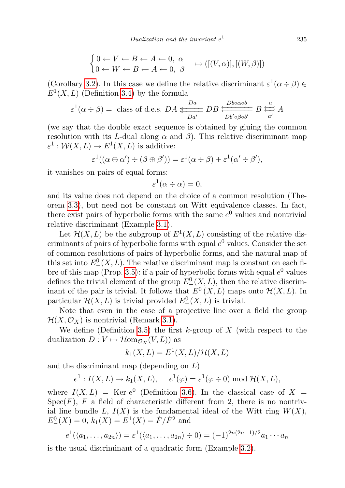$$
\begin{cases} 0 \leftarrow V \leftarrow B \leftarrow A \leftarrow 0, \alpha \\ 0 \leftarrow W \leftarrow B \leftarrow A \leftarrow 0, \beta \end{cases} \rightarrow ([(V, \alpha)], [(W, \beta)]) \end{cases}
$$

(Corollary [3.2\)](#page-39-0). In this case we define the relative discriminant  $\varepsilon^1(\alpha \div \beta)$  $E^1(X, L)$  (Definition [3.4\)](#page-42-0) by the formula

$$
\varepsilon^1(\alpha \div \beta) = \text{class of d.e.s. } DA \xleftarrow{Da \atop Da'} DB \xleftarrow{Db \alpha \alpha b} B \xleftarrow{a'} A
$$

(we say that the double exact sequence is obtained by gluing the common resolution with its L-dual along  $\alpha$  and  $\beta$ ). This relative discriminant map  $\varepsilon^1: \mathcal{W}(X,L) \to E^1(X,L)$  is additive:

$$
\varepsilon^1((\alpha \oplus \alpha') \div (\beta \oplus \beta')) = \varepsilon^1(\alpha \div \beta) + \varepsilon^1(\alpha' \div \beta'),
$$

it vanishes on pairs of equal forms:

$$
\varepsilon^1(\alpha \div \alpha) = 0,
$$

and its value does not depend on the choice of a common resolution (Theorem [3.3\)](#page-41-0), but need not be constant on Witt equivalence classes. In fact, there exist pairs of hyperbolic forms with the same  $e^0$  values and nontrivial relative discriminant (Example [3.1\)](#page-45-0).

Let  $\mathcal{H}(X, L)$  be the subgroup of  $E^1(X, L)$  consisting of the relative discriminants of pairs of hyperbolic forms with equal  $e^0$  values. Consider the set of common resolutions of pairs of hyperbolic forms, and the natural map of this set into  $E_{-}^{0}(X, L)$ . The relative discriminant map is constant on each fi-bre of this map (Prop. [3.5\)](#page-44-0): if a pair of hyperbolic forms with equal  $e^0$  values defines the trivial element of the group  $E_{-}^{0}(X, L)$ , then the relative discriminant of the pair is trivial. It follows that  $E_{-}^{0}(X, L)$  maps onto  $\mathcal{H}(X, L)$ . In particular  $\mathcal{H}(X,L)$  is trivial provided  $E_{-}^{0}(X,L)$  is trivial.

Note that even in the case of a projective line over a field the group  $\mathcal{H}(X,\mathcal{O}_X)$  is nontrivial (Remark [3.1\)](#page-47-0).

We define (Definition [3.5\)](#page-48-0) the first k-group of X (with respect to the dualization  $D: V \mapsto \mathcal{H}_{\text{om}_{\mathcal{O}_X}}(V, L)$  as

$$
k_1(X, L) = E^1(X, L) / \mathcal{H}(X, L)
$$

and the discriminant map (depending on  $L$ )

$$
e^1: I(X, L) \to k_1(X, L), \quad e^1(\varphi) = \varepsilon^1(\varphi \div 0) \text{ mod } \mathcal{H}(X, L),
$$

where  $I(X, L) = \text{Ker } e^{0}$  (Definition [3.6\)](#page-49-0). In the classical case of X =  $Spec(F)$ , F a field of characteristic different from 2, there is no nontrivial line bundle L,  $I(X)$  is the fundamental ideal of the Witt ring  $W(X)$ ,  $E_{-}^{0}(X) = 0, k_1(X) = E_{-}^{1}(X) = \dot{F}/\dot{F}_{-}^{2}$  and

$$
e^1(\langle a_1,\ldots,a_{2n}\rangle) = \varepsilon^1(\langle a_1,\ldots,a_{2n}\rangle \div 0) = (-1)^{2n(2n-1)/2}a_1\cdots a_n
$$

is the usual discriminant of a quadratic form (Example [3.2\)](#page-50-0).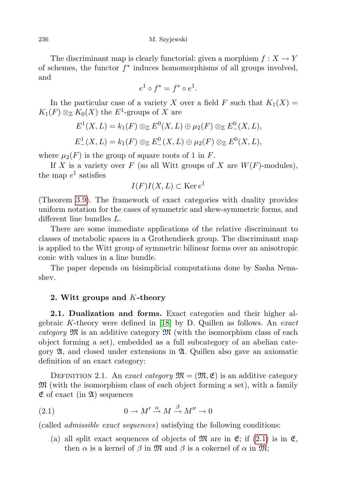The discriminant map is clearly functorial: given a morphism  $f: X \to Y$ of schemes, the functor  $f^*$  induces homomorphisms of all groups involved, and

$$
e^1 \circ f^* = f^* \circ e^1.
$$

In the particular case of a variety X over a field F such that  $K_1(X) =$  $K_1(F) \otimes_{\mathbb{Z}} K_0(X)$  the  $E^1$ -groups of X are

$$
E^{1}(X, L) = k_{1}(F) \otimes_{\mathbb{Z}} E^{0}(X, L) \oplus \mu_{2}(F) \otimes_{\mathbb{Z}} E^{0}(X, L),
$$
  

$$
E^{1}(X, L) = k_{1}(F) \otimes_{\mathbb{Z}} E^{0}(X, L) \oplus \mu_{2}(F) \otimes_{\mathbb{Z}} E^{0}(X, L),
$$

where  $\mu_2(F)$  is the group of square roots of 1 in F.

If X is a variety over F (so all Witt groups of X are  $W(F)$ -modules), the map  $e^1$  satisfies

$$
I(F)I(X,L) \subset \text{Ker } e^1
$$

(Theorem [3.9\)](#page-51-0). The framework of exact categories with duality provides uniform notation for the cases of symmetric and skew-symmetric forms, and different line bundles L.

There are some immediate applications of the relative discriminant to classes of metabolic spaces in a Grothendieck group. The discriminant map is applied to the Witt group of symmetric bilinear forms over an anisotropic conic with values in a line bundle.

The paper depends on bisimplicial computations done by Sasha Nenashev.

## 2. Witt groups and K-theory

<span id="page-3-0"></span>2.1. Dualization and forms. Exact categories and their higher algebraic K-theory were defined in  $[18]$  by D. Quillen as follows. An *exact* category  $\mathfrak{M}$  is an additive category  $\mathfrak{M}$  (with the isomorphism class of each object forming a set), embedded as a full subcategory of an abelian category  $\mathfrak{A}$ , and closed under extensions in  $\mathfrak{A}$ . Quillen also gave an axiomatic definition of an exact category:

<span id="page-3-2"></span>DEFINITION 2.1. An exact category  $\mathfrak{M} = (\mathfrak{M}, \mathfrak{E})$  is an additive category  $\mathfrak{M}$  (with the isomorphism class of each object forming a set), with a family  $\mathfrak E$  of exact (in  $\mathfrak A$ ) sequences

(2.1) 
$$
0 \to M' \xrightarrow{\alpha} M \xrightarrow{\beta} M'' \to 0
$$

(called admissible exact sequences) satisfying the following conditions:

<span id="page-3-1"></span>(a) all split exact sequences of objects of  $\mathfrak{M}$  are in  $\mathfrak{E}$ ; if [\(2.1\)](#page-3-1) is in  $\mathfrak{E}$ , then  $\alpha$  is a kernel of  $\beta$  in  $\mathfrak{M}$  and  $\beta$  is a cokernel of  $\alpha$  in  $\mathfrak{M}$ ;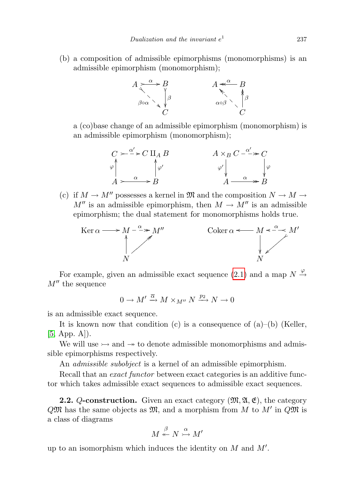(b) a composition of admissible epimorphisms (monomorphisms) is an admissible epimorphism (monomorphism);



a (co)base change of an admissible epimorphism (monomorphism) is an admissible epimorphism (monomorphism);

$$
C \rightarrow \frac{\alpha'}{\alpha} \rightarrow C \amalg_{A} B
$$
\n
$$
\downarrow \alpha
$$
\n
$$
A \rightarrow \frac{\alpha}{B}
$$
\n
$$
\downarrow \alpha
$$
\n
$$
A \rightarrow \frac{\alpha}{B}
$$
\n
$$
\downarrow \alpha
$$
\n
$$
\downarrow \alpha
$$
\n
$$
\downarrow \alpha
$$
\n
$$
\downarrow \alpha
$$
\n
$$
\downarrow \alpha
$$
\n
$$
\downarrow \alpha
$$
\n
$$
\downarrow \alpha
$$
\n
$$
\downarrow \alpha
$$
\n
$$
\downarrow \alpha
$$
\n
$$
\downarrow \alpha
$$
\n
$$
\downarrow \alpha
$$
\n
$$
\downarrow \alpha
$$
\n
$$
\downarrow \alpha
$$
\n
$$
\downarrow \alpha
$$
\n
$$
\downarrow \alpha
$$
\n
$$
\downarrow \alpha
$$
\n
$$
\downarrow \alpha
$$
\n
$$
\downarrow \alpha
$$
\n
$$
\downarrow \alpha
$$
\n
$$
\downarrow \alpha
$$
\n
$$
\downarrow \alpha
$$
\n
$$
\downarrow \alpha
$$
\n
$$
\downarrow \alpha
$$
\n
$$
\downarrow \alpha
$$
\n
$$
\downarrow \alpha
$$
\n
$$
\downarrow \alpha
$$
\n
$$
\downarrow \alpha
$$
\n
$$
\downarrow \alpha
$$
\n
$$
\downarrow \alpha
$$
\n
$$
\downarrow \alpha
$$
\n
$$
\downarrow \alpha
$$
\n
$$
\downarrow \alpha
$$
\n
$$
\downarrow \alpha
$$
\n
$$
\downarrow \alpha
$$
\n
$$
\downarrow \alpha
$$
\n
$$
\downarrow \alpha
$$
\n
$$
\downarrow \alpha
$$
\n
$$
\downarrow \alpha
$$
\n
$$
\downarrow \alpha
$$
\n
$$
\downarrow \alpha
$$
\n
$$
\downarrow \alpha
$$
\n
$$
\downarrow \alpha
$$
\n
$$
\downarrow \alpha
$$
\n
$$
\downarrow \alpha
$$
\n
$$
\downarrow \alpha
$$
\n
$$
\downarrow \alpha
$$
\n
$$
\downarrow \alpha
$$
\n
$$
\downarrow \alpha
$$

(c) if  $M \to M''$  possesses a kernel in  $\mathfrak{M}$  and the composition  $N \to M \to$  $M''$  is an admissible epimorphism, then  $M \to M''$  is an admissible epimorphism; the dual statement for monomorphisms holds true.



For example, given an admissible exact sequence [\(2.1\)](#page-3-1) and a map  $N \stackrel{\varphi}{\rightarrow}$  $M''$  the sequence

 $0 \to M' \xrightarrow{\overline{\alpha}} M \times_{M''} N \xrightarrow{p_2} N \to 0$ 

is an admissible exact sequence.

It is known now that condition  $(c)$  is a consequence of  $(a)$ – $(b)$  (Keller,  $[5, App. A]$  $[5, App. A]$ .

We will use  $\rightarrow$  and  $\rightarrow$  to denote admissible monomorphisms and admissible epimorphisms respectively.

An *admissible subobject* is a kernel of an admissible epimorphism.

Recall that an *exact functor* between exact categories is an additive functor which takes admissible exact sequences to admissible exact sequences.

**2.2.** Q-construction. Given an exact category  $(\mathfrak{M}, \mathfrak{A}, \mathfrak{E})$ , the category  $Q\mathfrak{M}$  has the same objects as  $\mathfrak{M}$ , and a morphism from M to M' in  $Q\mathfrak{M}$  is a class of diagrams

$$
M \stackrel{\beta}{\twoheadleftarrow} N \stackrel{\alpha}{\rightarrowtail} M'
$$

up to an isomorphism which induces the identity on  $M$  and  $M'$ .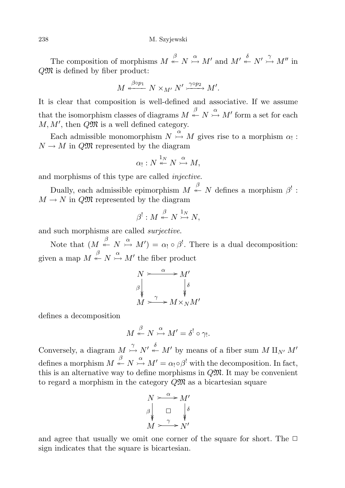The composition of morphisms  $M \stackrel{\beta}{\leftarrow} N \stackrel{\alpha}{\rightarrow} M'$  and  $M' \stackrel{\delta}{\leftarrow} N' \stackrel{\gamma}{\rightarrow} M''$  in QM is defined by fiber product:

$$
M \stackrel{\beta \circ p_1}{\longleftarrow} N \times_{M'} N' \stackrel{\gamma \circ p_2}{\longrightarrow} M'.
$$

It is clear that composition is well-defined and associative. If we assume that the isomorphism classes of diagrams  $M \stackrel{\beta}{\leftarrow} N \stackrel{\alpha}{\rightarrow} M'$  form a set for each  $M, M'$ , then  $Q\mathfrak{M}$  is a well defined category.

Each admissible monomorphism  $N \stackrel{\alpha}{\rightarrow} M$  gives rise to a morphism  $\alpha_!$ :  $N \to M$  in  $Q\mathfrak{M}$  represented by the diagram

$$
\alpha_!: N \stackrel{1_N}{\leftarrow} N \stackrel{\alpha}{\rightarrowtail} M,
$$

and morphisms of this type are called injective.

Dually, each admissible epimorphism  $M \stackrel{\beta}{\leftarrow} N$  defines a morphism  $\beta^!$ :  $M \to N$  in QM represented by the diagram

$$
\beta^!: M \stackrel{\beta}{\leftarrow} N \stackrel{1_N}{\rightarrowtail} N,
$$

and such morphisms are called surjective.

Note that  $(M \stackrel{\beta}{\leftarrow} N \stackrel{\alpha}{\rightarrow} M') = \alpha_! \circ \beta^!$ . There is a dual decomposition: given a map  $M \stackrel{\beta}{\leftarrow} N \stackrel{\alpha}{\rightarrow} M'$  the fiber product

$$
N \xrightarrow{\alpha} M'
$$
  
\n
$$
\beta \downarrow \qquad \qquad \downarrow \delta
$$
  
\n
$$
M \xrightarrow{\gamma} M \times_N M'
$$

defines a decomposition

$$
M \stackrel{\beta}{\leftarrow} N \stackrel{\alpha}{\rightarrowtail} M' = \delta^! \circ \gamma_!
$$

Conversely, a diagram  $M \stackrel{\gamma}{\rightarrow} N' \stackrel{\delta}{\leftarrow} M'$  by means of a fiber sum  $M \amalg_{N'} M'$ defines a morphism  $M \stackrel{\beta}{\leftarrow} N \stackrel{\alpha}{\rightarrow} M' = \alpha_! \circ \beta^!$  with the decomposition. In fact, this is an alternative way to define morphisms in  $Q\mathfrak{M}$ . It may be convenient to regard a morphism in the category  $Q\mathfrak{M}$  as a bicartesian square

$$
N \xrightarrow{\alpha} M'
$$
  
\n
$$
\beta \qquad \Box \qquad \beta \qquad \beta
$$
  
\n
$$
M \xrightarrow{\gamma} N'
$$

and agree that usually we omit one corner of the square for short. The  $\Box$ sign indicates that the square is bicartesian.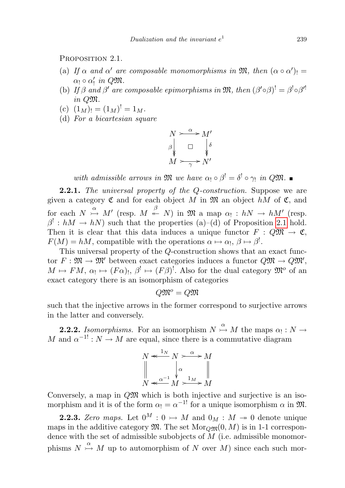<span id="page-6-0"></span>PROPOSITION 2.1.

- (a) If  $\alpha$  and  $\alpha'$  are composable monomorphisms in  $\mathfrak{M}$ , then  $(\alpha \circ \alpha')$  =  $\alpha_! \circ \alpha'_!$  in QM.
- (b) If  $\beta$  and  $\beta'$  are composable epimorphisms in  $\mathfrak{M}$ , then  $(\beta' \circ \beta)' = \beta' \circ \beta'$ in QM.
- (c)  $(1_M)! = (1_M)! = 1_M.$
- (d) For a bicartesian square

$$
N \xrightarrow{\alpha} M'
$$
  
\n
$$
\beta \qquad \Box \qquad \beta \qquad \Diamond
$$
  
\n
$$
M \xrightarrow{\gamma} N'
$$

with admissible arrows in  $\mathfrak{M}$  we have  $\alpha_! \circ \beta^! = \delta^! \circ \gamma_!$  in Q $\mathfrak{M}$ .

**2.2.1.** The universal property of the Q-construction. Suppose we are given a category  $\mathfrak C$  and for each object M in  $\mathfrak M$  an object hM of  $\mathfrak C$ , and for each  $N \stackrel{\alpha}{\rightarrow} M'$  (resp.  $M \stackrel{\beta}{\leftarrow} N$ ) in  $\mathfrak{M}$  a map  $\alpha_! : hN \rightarrow hM'$  (resp.  $\beta^! : hM \to hN$  such that the properties (a)–(d) of Proposition [2.1](#page-6-0) hold. Then it is clear that this data induces a unique functor  $F: Q\mathfrak{M} \to \mathfrak{C}$ ,  $F(M) = hM$ , compatible with the operations  $\alpha \mapsto \alpha_1, \beta \mapsto \beta^!$ .

This universal property of the Q-construction shows that an exact functor  $F: \mathfrak{M} \to \mathfrak{M}'$  between exact categories induces a functor  $Q\mathfrak{M} \to Q\mathfrak{M}'$ ,  $M \mapsto FM$ ,  $\alpha_! \mapsto (F\alpha)_!, \beta^! \mapsto (F\beta)^!$ . Also for the dual category  $\mathfrak{M}^o$  of an exact category there is an isomorphism of categories

$$
Q\mathfrak{M}^o = Q\mathfrak{M}
$$

such that the injective arrows in the former correspond to surjective arrows in the latter and conversely.

**2.2.2.** Isomorphisms. For an isomorphism  $N \stackrel{\alpha}{\rightarrow} M$  the maps  $\alpha_! : N \rightarrow$ M and  $\alpha^{-1}: N \to M$  are equal, since there is a commutative diagram

$$
N \xleftarrow{\mathbf{1}_N} N \xrightarrow{\alpha} M
$$
  

$$
\begin{bmatrix} \alpha \\ \alpha \\ \vdots \\ \alpha^{n-1} M \end{bmatrix} \xleftarrow{\alpha} M
$$

Conversely, a map in  $Q\mathfrak{M}$  which is both injective and surjective is an isomorphism and it is of the form  $\alpha_! = \alpha^{-1}$  for a unique isomorphism  $\alpha$  in  $\mathfrak{M}$ .

**2.2.3.** Zero maps. Let  $0^M$  :  $0 \rightarrow M$  and  $0_M$  :  $M \rightarrow 0$  denote unique maps in the additive category  $\mathfrak{M}$ . The set  $\text{Mor}_{\mathcal{O}\mathfrak{M}}(0, M)$  is in 1-1 correspondence with the set of admissible subobjects of  $M$  (i.e. admissible monomorphisms  $N \stackrel{\alpha}{\rightarrow} M$  up to automorphism of N over M) since each such mor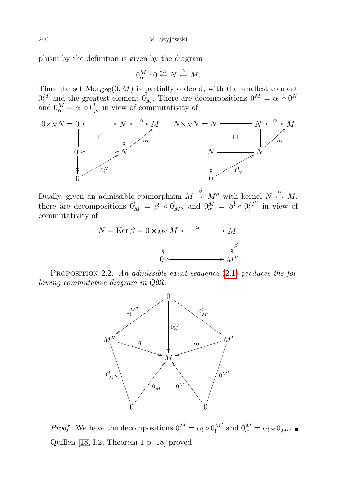phism by the definition is given by the diagram

$$
0^M_\alpha: 0 \stackrel{0_N}{\leftarrow} N \stackrel{\alpha}{\rightarrowtail} M.
$$

Thus the set  $\text{Mor}_{Q\mathfrak{M}}(0, M)$  is partially ordered, with the smallest element  $0_!^M$  and the greatest element  $0_M^!$ . There are decompositions  $0_!^M = \alpha_! \circ 0_!^N$  and  $0_\alpha^M = \alpha_! \circ 0_N^!$  in view of commutativity of



Dually, given an admissible epimorphism  $M \stackrel{\beta}{\rightarrow} M''$  with kernel  $N \stackrel{\alpha}{\rightarrow} M$ , there are decompositions  $0_M^! = \beta^! \circ 0_{M''}^!$  and  $0_\alpha^M = \beta^! \circ 0_1^{M''}$  in view of commutativity of



<span id="page-7-0"></span>PROPOSITION 2.2. An admissible exact sequence  $(2.1)$  produces the following commutative diagram in QM:



*Proof.* We have the decompositions  $0_!^M = \alpha_! \circ 0_!^{M'}$  and  $0_\alpha^M = \alpha_! \circ 0_{M'}^!$ . Quillen [\[18,](#page-65-3) I.2, Theorem 1 p. 18] proved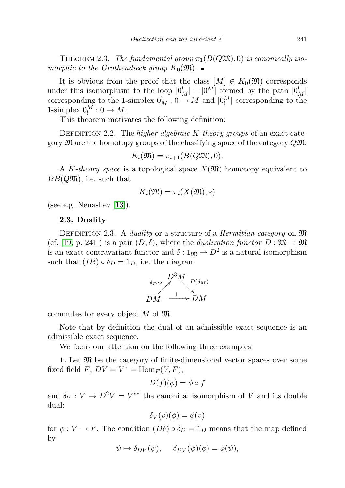THEOREM 2.3. The fundamental group  $\pi_1(B(Q\mathfrak{M}), 0)$  is canonically isomorphic to the Grothendieck group  $K_0(\mathfrak{M})$ .

It is obvious from the proof that the class  $[M] \in K_0(\mathfrak{M})$  corresponds under this isomorphism to the loop  $|0^1_M| - |0^M_l|$  formed by the path  $|0^1_M|$ corresponding to the 1-simplex  $0_M^! : 0 \to M$  and  $|0_M^M|$  corresponding to the 1-simplex  $0_!^M: 0 \to M$ .

This theorem motivates the following definition:

DEFINITION 2.2. The *higher algebraic K-theory groups* of an exact category  $\mathfrak{M}$  are the homotopy groups of the classifying space of the category  $Q\mathfrak{M}$ :

$$
K_i(\mathfrak{M}) = \pi_{i+1}(B(Q\mathfrak{M}), 0).
$$

A K-theory space is a topological space  $X(\mathfrak{M})$  homotopy equivalent to  $\Omega B(Q\mathfrak{M})$ , i.e. such that

$$
K_i(\mathfrak{M}) = \pi_i(X(\mathfrak{M}), *)
$$

(see e.g. Nenashev [\[13\]](#page-65-1)).

#### 2.3. Duality

DEFINITION 2.3. A *duality* or a structure of a *Hermitian category* on  $\mathfrak{M}$ (cf. [\[19,](#page-65-5) p. 241]) is a pair  $(D, \delta)$ , where the *dualization functor*  $D : \mathfrak{M} \to \mathfrak{M}$ is an exact contravariant functor and  $\delta: 1_{\mathfrak{M}} \to D^2$  is a natural isomorphism such that  $(D\delta) \circ \delta_D = 1_D$ , i.e. the diagram

$$
\begin{array}{c}\nD^3M \\
\hline\n\delta_{DM} \\
DM \xrightarrow{1} \quad DM\n\end{array}
$$

commutes for every object  $M$  of  $\mathfrak{M}$ .

Note that by definition the dual of an admissible exact sequence is an admissible exact sequence.

We focus our attention on the following three examples:

1. Let  $\mathfrak{M}$  be the category of finite-dimensional vector spaces over some fixed field  $F, DV = V^* = \text{Hom}_F(V, F),$ 

$$
D(f)(\phi) = \phi \circ f
$$

and  $\delta_V: V \to D^2 V = V^{**}$  the canonical isomorphism of V and its double dual:

$$
\delta_V(v)(\phi) = \phi(v)
$$

for  $\phi: V \to F$ . The condition  $(D\delta) \circ \delta_D = 1_D$  means that the map defined by

$$
\psi \mapsto \delta_{DV}(\psi), \quad \delta_{DV}(\psi)(\phi) = \phi(\psi),
$$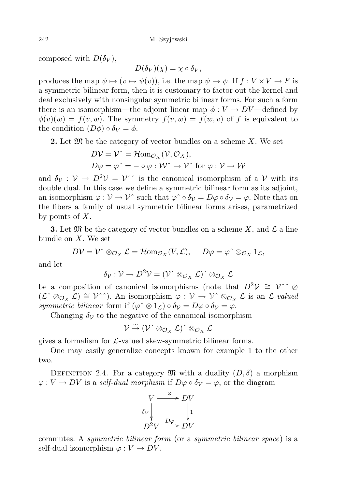composed with  $D(\delta_V)$ ,

$$
D(\delta_V)(\chi) = \chi \circ \delta_V,
$$

produces the map  $\psi \mapsto (v \mapsto \psi(v))$ , i.e. the map  $\psi \mapsto \psi$ . If  $f : V \times V \to F$  is a symmetric bilinear form, then it is customary to factor out the kernel and deal exclusively with nonsingular symmetric bilinear forms. For such a form there is an isomorphism—the adjoint linear map  $\phi: V \to DV$ —defined by  $\phi(v)(w) = f(v, w)$ . The symmetry  $f(v, w) = f(w, v)$  of f is equivalent to the condition  $(D\phi) \circ \delta_V = \phi$ .

**2.** Let  $\mathfrak{M}$  be the category of vector bundles on a scheme X. We set

$$
D\mathcal{V} = \mathcal{V}^{\hat{}} = \mathcal{H}om_{\mathcal{O}_X}(\mathcal{V}, \mathcal{O}_X),
$$
  
 
$$
D\varphi = \varphi^{\hat{}} = -\circ \varphi : \mathcal{W}^{\hat{}} \to \mathcal{V}^{\hat{}} \text{ for } \varphi : \mathcal{V} \to \mathcal{W}
$$

and  $\delta_{\mathcal{V}} : \mathcal{V} \to D^2 \mathcal{V} = \mathcal{V}$  is the canonical isomorphism of a V with its double dual. In this case we define a symmetric bilinear form as its adjoint, an isomorphism  $\varphi : \mathcal{V} \to \mathcal{V}$  such that  $\varphi \circ \delta_{\mathcal{V}} = D\varphi \circ \delta_{\mathcal{V}} = \varphi$ . Note that on the fibers a family of usual symmetric bilinear forms arises, parametrized by points of  $X$ .

**3.** Let  $\mathfrak{M}$  be the category of vector bundles on a scheme X, and  $\mathcal{L}$  a line bundle on X. We set

$$
D\mathcal{V}=\mathcal{V}^{\hat{}}\otimes_{\mathcal{O}_X}\mathcal{L}=\mathcal{H}\text{om}_{\mathcal{O}_X}(V,\mathcal{L}),\quad D\varphi=\varphi^{\hat{}}\otimes_{\mathcal{O}_X}1_{\mathcal{L}},
$$

and let

$$
\delta_{\mathcal{V}}:\mathcal{V}\rightarrow D^2\mathcal{V}=(\mathcal{V}^\smallfrown\otimes_{\mathcal{O}_X}\mathcal{L})^\smallfrown\otimes_{\mathcal{O}_X}\mathcal{L}
$$

be a composition of canonical isomorphisms (note that  $D^2V \cong V^{\frown} \otimes$  $(\mathcal{L} \otimes_{\mathcal{O}_X} \mathcal{L}) \cong \mathcal{V} \hat{\ }$ . An isomorphism  $\varphi : \mathcal{V} \to \mathcal{V} \otimes_{\mathcal{O}_X} \mathcal{L}$  is an  $\mathcal{L}\text{-valued}$ symmetric bilinear form if  $(\varphi \hat{\otimes} 1_{\mathcal{L}}) \circ \delta_{\mathcal{V}} = D\varphi \circ \delta_{\mathcal{V}} = \varphi$ .

Changing  $\delta_{\mathcal{V}}$  to the negative of the canonical isomorphism

$$
\mathcal{V} \stackrel{\sim}{\rightarrow} (\mathcal{V}^\wedge \otimes_{\mathcal{O}_X} \mathcal{L})^\wedge \otimes_{\mathcal{O}_X} \mathcal{L}
$$

gives a formalism for  $\mathcal{L}\text{-valued skew-symmetric bilinear forms.}$ 

One may easily generalize concepts known for example 1 to the other two.

DEFINITION 2.4. For a category  $\mathfrak{M}$  with a duality  $(D, \delta)$  a morphism  $\varphi: V \to DV$  is a self-dual morphism if  $D\varphi \circ \delta_V = \varphi$ , or the diagram

$$
V \xrightarrow{\varphi} DV
$$
  
\n
$$
\delta_V \downarrow \qquad \qquad \downarrow 1
$$
  
\n
$$
D^2 V \xrightarrow{D\varphi} DV
$$

commutes. A symmetric bilinear form (or a symmetric bilinear space) is a self-dual isomorphism  $\varphi: V \to DV$ .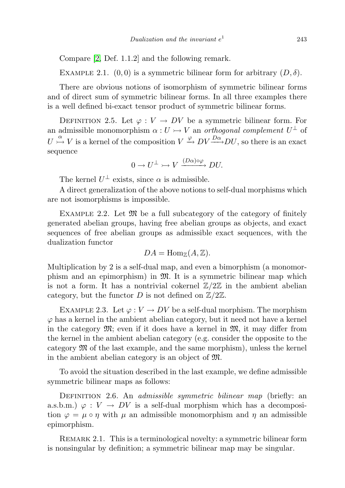Compare [\[2,](#page-65-6) Def. 1.1.2] and the following remark.

EXAMPLE 2.1.  $(0, 0)$  is a symmetric bilinear form for arbitrary  $(D, \delta)$ .

There are obvious notions of isomorphism of symmetric bilinear forms and of direct sum of symmetric bilinear forms. In all three examples there is a well defined bi-exact tensor product of symmetric bilinear forms.

DEFINITION 2.5. Let  $\varphi: V \to DV$  be a symmetric bilinear form. For an admissible monomorphism  $\alpha: U \rightarrowtail V$  an *orthogonal complement*  $U^{\perp}$  of  $U \stackrel{\alpha}{\rightarrow} V$  is a kernel of the composition  $V \stackrel{\varphi}{\rightarrow} DV \stackrel{Da}{\longrightarrow} DU$ , so there is an exact sequence

$$
0 \to U^{\perp} \rightarrowtail V \xrightarrow{(D\alpha)\circ\varphi} DU.
$$

The kernel  $U^{\perp}$  exists, since  $\alpha$  is admissible.

A direct generalization of the above notions to self-dual morphisms which are not isomorphisms is impossible.

EXAMPLE 2.2. Let  $\mathfrak{M}$  be a full subcategory of the category of finitely generated abelian groups, having free abelian groups as objects, and exact sequences of free abelian groups as admissible exact sequences, with the dualization functor

$$
DA = \text{Hom}_{\mathbb{Z}}(A, \mathbb{Z}).
$$

Multiplication by 2 is a self-dual map, and even a bimorphism (a monomorphism and an epimorphism) in M. It is a symmetric bilinear map which is not a form. It has a nontrivial cokernel  $\mathbb{Z}/2\mathbb{Z}$  in the ambient abelian category, but the functor D is not defined on  $\mathbb{Z}/2\mathbb{Z}$ .

EXAMPLE 2.3. Let  $\varphi: V \to DV$  be a self-dual morphism. The morphism  $\varphi$  has a kernel in the ambient abelian category, but it need not have a kernel in the category  $\mathfrak{M}$ ; even if it does have a kernel in  $\mathfrak{M}$ , it may differ from the kernel in the ambient abelian category (e.g. consider the opposite to the category M of the last example, and the same morphism), unless the kernel in the ambient abelian category is an object of M.

To avoid the situation described in the last example, we define admissible symmetric bilinear maps as follows:

DEFINITION 2.6. An *admissible symmetric bilinear map* (briefly: an a.s.b.m.)  $\varphi: V \to DV$  is a self-dual morphism which has a decomposition  $\varphi = \mu \circ \eta$  with  $\mu$  an admissible monomorphism and  $\eta$  an admissible epimorphism.

Remark 2.1. This is a terminological novelty: a symmetric bilinear form is nonsingular by definition; a symmetric bilinear map may be singular.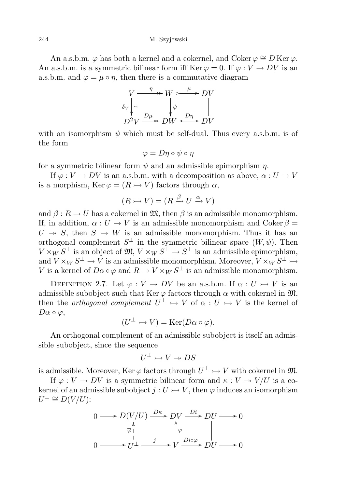#### 244 M. Szyjewski

An a.s.b.m.  $\varphi$  has both a kernel and a cokernel, and Coker  $\varphi \cong D$  Ker $\varphi$ . An a.s.b.m. is a symmetric bilinear form iff  $\text{Ker } \varphi = 0$ . If  $\varphi : V \to DV$  is an a.s.b.m. and  $\varphi = \mu \circ \eta$ , then there is a commutative diagram

$$
V \xrightarrow{\eta} W \rightarrow{\mu} D V
$$
  
\n
$$
\delta_V \downarrow \sim \qquad \qquad \downarrow \psi
$$
  
\n
$$
D^2 V \xrightarrow{D\mu} DW \xrightarrow{D\eta} DV
$$

with an isomorphism  $\psi$  which must be self-dual. Thus every a.s.b.m. is of the form

$$
\varphi = D\eta \circ \psi \circ \eta
$$

for a symmetric bilinear form  $\psi$  and an admissible epimorphism  $\eta$ .

If  $\varphi: V \to DV$  is an a.s.b.m. with a decomposition as above,  $\alpha: U \to V$ is a morphism, Ker  $\varphi = (R \rightarrow V)$  factors through  $\alpha$ ,

$$
(R \rightarrowtail V) = (R \xrightarrow{\beta} U \xrightarrow{\alpha} V)
$$

and  $\beta: R \to U$  has a cokernel in  $\mathfrak{M}$ , then  $\beta$  is an admissible monomorphism. If, in addition,  $\alpha: U \to V$  is an admissible monomorphism and Coker  $\beta =$  $U \rightarrow S$ , then  $S \rightarrow W$  is an admissible monomorphism. Thus it has an orthogonal complement  $S^{\perp}$  in the symmetric bilinear space  $(W, \psi)$ . Then  $V \times_W S^{\perp}$  is an object of  $\mathfrak{M}, V \times_W S^{\perp} \to S^{\perp}$  is an admissible epimorphism, and  $V \times_W S^\perp \to V$  is an admissible monomorphism. Moreover,  $V \times_W S^\perp \to$ V is a kernel of  $D\alpha \circ \varphi$  and  $R \to V \times_W S^{\perp}$  is an admissible monomorphism.

DEFINITION 2.7. Let  $\varphi: V \to DV$  be an a.s.b.m. If  $\alpha: U \to V$  is an admissible subobject such that Ker  $\varphi$  factors through  $\alpha$  with cokernel in  $\mathfrak{M}$ , then the *orthogonal complement*  $U^{\perp} \rightarrowtail V$  of  $\alpha : U \rightarrowtail V$  is the kernel of  $D\alpha \circ \varphi$ ,

$$
(U^{\perp} \rightarrowtail V) = \text{Ker}(D\alpha \circ \varphi).
$$

An orthogonal complement of an admissible subobject is itself an admissible subobject, since the sequence

$$
U^{\perp} \rightarrowtail V \twoheadrightarrow DS
$$

is admissible. Moreover, Ker  $\varphi$  factors through  $U^{\perp} \rightarrowtail V$  with cokernel in  ${\mathfrak M}.$ 

If  $\varphi: V \to DV$  is a symmetric bilinear form and  $\kappa: V \to V/U$  is a cokernel of an admissible subobject  $j: U \rightarrow V$ , then  $\varphi$  induces an isomorphism  $U^{\perp} \cong D(V/U)$ :

$$
0 \longrightarrow D(V/U) \xrightarrow{D\kappa} DV \xrightarrow{Di} DU \longrightarrow 0
$$
  
\n
$$
\downarrow^{\lambda} \qquad \qquad \downarrow^{\varphi} \qquad \qquad \downarrow^{\varphi} \qquad \qquad \downarrow^{\varphi} \qquad \qquad \downarrow^{\varphi} \qquad \downarrow^{\varphi} \qquad \downarrow^{\varphi} \qquad \downarrow^{\varphi} \qquad \downarrow^{\varphi} \qquad \downarrow^{\varphi} \qquad \downarrow^{\varphi} \qquad \downarrow^{\varphi} \qquad \downarrow^{\varphi} \qquad \downarrow^{\varphi} \qquad \downarrow^{\varphi} \qquad \downarrow^{\varphi} \qquad \downarrow^{\varphi} \qquad \downarrow^{\varphi} \qquad \downarrow^{\varphi} \qquad \downarrow^{\varphi} \qquad \downarrow^{\varphi} \qquad \downarrow^{\varphi} \qquad \downarrow^{\varphi} \qquad \downarrow^{\varphi} \qquad \downarrow^{\varphi} \qquad \downarrow^{\varphi} \qquad \downarrow^{\varphi} \qquad \downarrow^{\varphi} \qquad \downarrow^{\varphi} \qquad \downarrow^{\varphi} \qquad \downarrow^{\varphi} \qquad \downarrow^{\varphi} \qquad \downarrow^{\varphi} \qquad \downarrow^{\varphi} \qquad \downarrow^{\varphi} \qquad \downarrow^{\varphi} \qquad \downarrow^{\varphi} \qquad \downarrow^{\varphi} \qquad \downarrow^{\varphi} \qquad \downarrow^{\varphi} \qquad \downarrow^{\varphi} \qquad \downarrow^{\varphi} \qquad \downarrow^{\varphi} \qquad \downarrow^{\varphi} \qquad \downarrow^{\varphi} \qquad \downarrow^{\varphi} \qquad \downarrow^{\varphi} \qquad \downarrow^{\varphi} \qquad \downarrow^{\varphi} \qquad \downarrow^{\varphi} \qquad \downarrow^{\varphi} \qquad \downarrow^{\varphi} \qquad \downarrow^{\varphi} \qquad \downarrow^{\varphi} \qquad \downarrow^{\varphi} \qquad \downarrow^{\varphi} \qquad \downarrow^{\varphi} \qquad \downarrow^{\varphi} \qquad \downarrow^{\varphi} \qquad \downarrow^{\varphi} \qquad \downarrow^{\varphi} \qquad \downarrow^{\varphi} \qquad \downarrow^{\varphi} \qquad \downarrow^{\varphi} \qquad \downarrow^{\
$$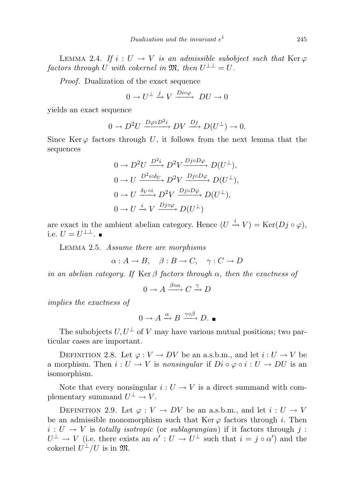LEMMA 2.4. If  $i: U \to V$  is an admissible subobject such that Ker  $\varphi$  $factors$  through U with cokernel in  $\mathfrak{M},$  then  $U^{\perp \perp} = U$ .

Proof. Dualization of the exact sequence

$$
0 \to U^{\perp} \xrightarrow{j} V \xrightarrow{Div\varphi} DU \to 0
$$

yields an exact sequence

$$
0 \to D^2U \xrightarrow{D\varphi \circ D^2i} DV \xrightarrow{Dj} D(U^{\perp}) \to 0.
$$

Since Ker  $\varphi$  factors through U, it follows from the next lemma that the sequences

$$
0 \to D^2 U \xrightarrow{D^2 i} D^2 V \xrightarrow{D^j \circ D\varphi} D(U^{\perp}),
$$
  
\n
$$
0 \to U \xrightarrow{D^2 i \circ \delta_U} D^2 V \xrightarrow{D^j \circ D\varphi} D(U^{\perp}),
$$
  
\n
$$
0 \to U \xrightarrow{\delta_V \circ i} D^2 V \xrightarrow{D^j \circ D\varphi} D(U^{\perp}),
$$
  
\n
$$
0 \to U \xrightarrow{i} V \xrightarrow{D^j \circ \varphi} D(U^{\perp})
$$

are exact in the ambient abelian category. Hence  $(U \stackrel{i}{\rightarrow} V) = \text{Ker}(Dj \circ \varphi)$ , i.e.  $U = U^{\perp \perp}$ .

Lemma 2.5. Assume there are morphisms

 $\alpha : A \to B$ ,  $\beta : B \to C$ ,  $\gamma : C \to D$ 

in an abelian category. If Ker  $\beta$  factors through  $\alpha$ , then the exactness of

$$
0 \to A \xrightarrow{\beta \circ \alpha} C \xrightarrow{\gamma} D
$$

implies the exactness of

$$
0 \to A \xrightarrow{\alpha} B \xrightarrow{\gamma \circ \beta} D.
$$

The subobjects  $U, U^{\perp}$  of V may have various mutual positions; two particular cases are important.

DEFINITION 2.8. Let  $\varphi: V \to DV$  be an a.s.b.m., and let  $i: U \to V$  be a morphism. Then  $i: U \to V$  is nonsingular if  $Di \circ \varphi \circ i: U \to DU$  is an isomorphism.

Note that every nonsingular  $i: U \to V$  is a direct summand with complementary summand  $U^{\perp} \to V$ .

DEFINITION 2.9. Let  $\varphi: V \to DV$  be an a.s.b.m., and let  $i: U \to V$ be an admissible monomorphism such that Ker  $\varphi$  factors through i. Then  $i: U \to V$  is totally isotropic (or sublagrangian) if it factors through j:  $U^{\perp} \to V$  (i.e. there exists an  $\alpha': U \to U^{\perp}$  such that  $i = j \circ \alpha'$ ) and the cokernel  $U^{\perp}/U$  is in  $\mathfrak{M}$ .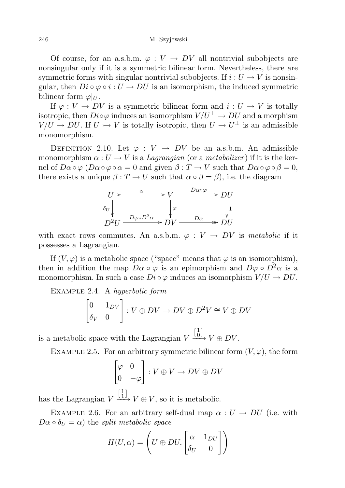Of course, for an a.s.b.m.  $\varphi: V \to DV$  all nontrivial subobjects are nonsingular only if it is a symmetric bilinear form. Nevertheless, there are symmetric forms with singular nontrivial subobjects. If  $i: U \to V$  is nonsingular, then  $Di \circ \varphi \circ i : U \to DU$  is an isomorphism, the induced symmetric bilinear form  $\varphi|_U$ .

If  $\varphi: V \to DV$  is a symmetric bilinear form and  $i: U \to V$  is totally isotropic, then  $Di \circ \varphi$  induces an isomorphism  $V/U^{\perp} \to DU$  and a morphism  $V/U \to DU$ . If  $U \to V$  is totally isotropic, then  $U \to U^{\perp}$  is an admissible monomorphism.

DEFINITION 2.10. Let  $\varphi: V \to DV$  be an a.s.b.m. An admissible monomorphism  $\alpha: U \to V$  is a *Lagrangian* (or a *metabolizer*) if it is the kernel of  $D\alpha \circ \varphi$  ( $D\alpha \circ \varphi \circ \alpha = 0$  and given  $\beta : T \to V$  such that  $D\alpha \circ \varphi \circ \beta = 0$ , there exists a unique  $\overline{\beta}: T \to U$  such that  $\alpha \circ \overline{\beta} = \beta$ , i.e. the diagram



with exact rows commutes. An a.s.b.m.  $\varphi: V \to DV$  is metabolic if it possesses a Lagrangian.

If  $(V, \varphi)$  is a metabolic space ("space" means that  $\varphi$  is an isomorphism), then in addition the map  $D\alpha \circ \varphi$  is an epimorphism and  $D\varphi \circ D^2\alpha$  is a monomorphism. In such a case  $Di \circ \varphi$  induces an isomorphism  $V/U \to DU$ .

Example 2.4. A hyperbolic form

$$
\begin{bmatrix} 0 & 1_{DV} \\ \delta_V & 0 \end{bmatrix} : V \oplus DV \to DV \oplus D^2V \cong V \oplus DV
$$

is a metabolic space with the Lagrangian V  $\left[\begin{smallmatrix} 1 \\ 0 \end{smallmatrix}\right]$  $\xrightarrow{\text{LOJ}} V \oplus DV.$ 

EXAMPLE 2.5. For an arbitrary symmetric bilinear form  $(V, \varphi)$ , the form

$$
\begin{bmatrix} \varphi & 0 \\ 0 & -\varphi \end{bmatrix} : V \oplus V \to DV \oplus DV
$$

has the Lagrangian V  $\left[\begin{smallmatrix} 1 \\ 1 \end{smallmatrix}\right]$  $\stackrel{\perp}{\longrightarrow} V \oplus V$ , so it is metabolic.

EXAMPLE 2.6. For an arbitrary self-dual map  $\alpha : U \rightarrow DU$  (i.e. with  $D\alpha \circ \delta_U = \alpha$ ) the *split metabolic space* 

$$
H(U, \alpha) = \left(U \oplus DU, \begin{bmatrix} \alpha & 1_{DU} \\ \delta_U & 0 \end{bmatrix}\right)
$$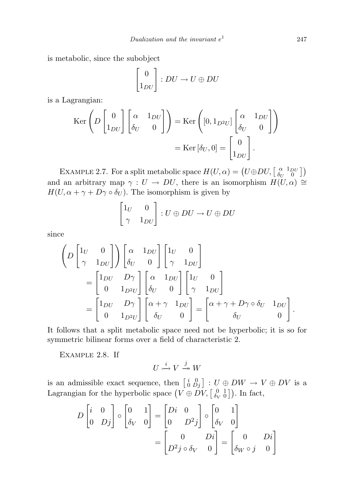is metabolic, since the subobject

$$
\begin{bmatrix} 0 \\ 1_{DU} \end{bmatrix} : DU \to U \oplus DU
$$

is a Lagrangian:

$$
\operatorname{Ker}\left(D\begin{bmatrix}0\\1_{DU}\end{bmatrix}\begin{bmatrix}\alpha&1_{DU}\\ \delta_U&0\end{bmatrix}\right)=\operatorname{Ker}\left([0,1_{D^2U}]\begin{bmatrix}\alpha&1_{DU}\\ \delta_U&0\end{bmatrix}\right)
$$

$$
=\operatorname{Ker}\left[\delta_U,0\right]=\begin{bmatrix}0\\1_{DU}\end{bmatrix}.
$$

EXAMPLE 2.7. For a split metabolic space  $H(U, \alpha) = (U \oplus DU, \begin{bmatrix} \alpha & 1_{DU} \\ \delta_{U} & 0 \end{bmatrix})$  $\begin{bmatrix} \alpha & 1_{DU} \\ \delta_U & 0 \end{bmatrix}$ and an arbitrary map  $\gamma : U \to DU$ , there is an isomorphism  $H(U, \alpha) \cong$  $H(U, \alpha + \gamma + D\gamma \circ \delta_U)$ . The isomorphism is given by

$$
\begin{bmatrix} 1_U & 0 \\ \gamma & 1_{DU} \end{bmatrix} : U \oplus DU \to U \oplus DU
$$

since

$$
\left(D\begin{bmatrix}1_U & 0\\ \gamma & 1_{DU}\end{bmatrix}\right)\begin{bmatrix}\alpha & 1_{DU}\\ \delta_U & 0\end{bmatrix}\begin{bmatrix}1_U & 0\\ \gamma & 1_{DU}\end{bmatrix}
$$

$$
=\begin{bmatrix}1_{DU} & D\gamma\\ 0 & 1_{D^2U}\end{bmatrix}\begin{bmatrix}\alpha & 1_{DU}\\ \delta_U & 0\end{bmatrix}\begin{bmatrix}1_U & 0\\ \gamma & 1_{DU}\end{bmatrix}
$$

$$
=\begin{bmatrix}1_{DU} & D\gamma\\ 0 & 1_{D^2U}\end{bmatrix}\begin{bmatrix}\alpha+\gamma & 1_{DU}\\ \delta_U & 0\end{bmatrix}=\begin{bmatrix}\alpha+\gamma+D\gamma\circ\delta_U & 1_{DU}\\ \delta_U & 0\end{bmatrix}.
$$

It follows that a split metabolic space need not be hyperbolic; it is so for symmetric bilinear forms over a field of characteristic 2.

Example 2.8. If

$$
U\overset{i}{\longrightarrow}V\overset{j}{\twoheadrightarrow}W
$$

is an admissible exact sequence, then  $\begin{bmatrix} i & 0 \\ 0 & Dj \end{bmatrix}$  :  $U \oplus DW \rightarrow V \oplus DV$  is a Lagrangian for the hyperbolic space  $(V \oplus DV, \begin{bmatrix} 0 & 1 \\ \delta_V & 0 \end{bmatrix})$ . In fact,

$$
D\begin{bmatrix} i & 0 \\ 0 & Dj \end{bmatrix} \circ \begin{bmatrix} 0 & 1 \\ \delta_V & 0 \end{bmatrix} = \begin{bmatrix} Di & 0 \\ 0 & D^2j \end{bmatrix} \circ \begin{bmatrix} 0 & 1 \\ \delta_V & 0 \end{bmatrix}
$$

$$
= \begin{bmatrix} 0 & Di \\ D^2j \circ \delta_V & 0 \end{bmatrix} = \begin{bmatrix} 0 & Di \\ \delta_W \circ j & 0 \end{bmatrix}
$$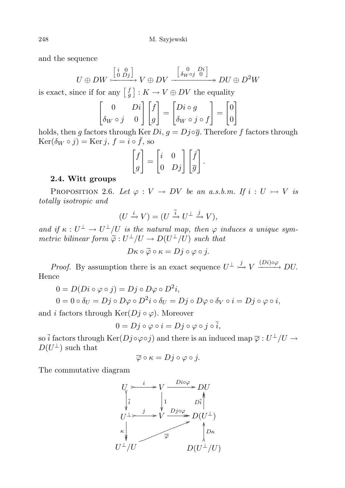and the sequence

$$
U \oplus DW \xrightarrow{\begin{bmatrix} i & 0 \\ 0 & Dj \end{bmatrix}} V \oplus DV \xrightarrow{\begin{bmatrix} 0 & Di \\ \delta_{W} \circ j & 0 \end{bmatrix}} MU \oplus D^2W
$$

is exact, since if for any  $\begin{bmatrix} f \\ g \end{bmatrix} : K \to V \oplus DV$  the equality

$$
\begin{bmatrix} 0 & Di \\ \delta_W \circ j & 0 \end{bmatrix} \begin{bmatrix} f \\ g \end{bmatrix} = \begin{bmatrix} Di \circ g \\ \delta_W \circ j \circ f \end{bmatrix} = \begin{bmatrix} 0 \\ 0 \end{bmatrix}
$$

holds, then g factors through Ker  $Di$ ,  $g = Dj \circ \overline{g}$ . Therefore f factors through  $\text{Ker}(\delta_W \circ j) = \text{Ker } j, f = i \circ \bar{f}, \text{ so}$ 

$$
\begin{bmatrix} f \\ g \end{bmatrix} = \begin{bmatrix} i & 0 \\ 0 & Dj \end{bmatrix} \begin{bmatrix} \overline{f} \\ \overline{g} \end{bmatrix}.
$$

## 2.4. Witt groups

PROPOSITION 2.6. Let  $\varphi: V \to DV$  be an a.s.b.m. If  $i: U \to V$  is totally isotropic and

$$
(U \xrightarrow{i} V) = (U \xrightarrow{\overline{i}} U^{\perp} \xrightarrow{j} V),
$$

and if  $\kappa: U^{\perp} \to U^{\perp}/U$  is the natural map, then  $\varphi$  induces a unique symmetric bilinear form  $\widetilde{\varphi}: U^{\perp}/U \to D(U^{\perp}/U)$  such that

$$
D\kappa \circ \widetilde{\varphi} \circ \kappa = Dj \circ \varphi \circ j.
$$

*Proof.* By assumption there is an exact sequence  $U^{\perp} \stackrel{j}{\rightarrow} V \stackrel{(Di) \circ \varphi}{\longrightarrow} DU$ . Hence

$$
0 = D(Di \circ \varphi \circ j) = Dj \circ D\varphi \circ D^{2}i,
$$
  
\n
$$
0 = 0 \circ \delta_{U} = Dj \circ D\varphi \circ D^{2}i \circ \delta_{U} = Dj \circ D\varphi \circ \delta_{V} \circ i = Dj \circ \varphi \circ i,
$$

and i factors through  $\text{Ker}(D_j \circ \varphi)$ . Moreover

$$
0 = Dj \circ \varphi \circ i = Dj \circ \varphi \circ j \circ \overline{i},
$$

so  $\bar{i}$  factors through  $\text{Ker}(Dj \circ \varphi \circ j)$  and there is an induced map  $\overline{\varphi}: U^{\perp}/U \to$  $D(U^{\perp})$  such that

$$
\overline{\varphi} \circ \kappa = Dj \circ \varphi \circ j.
$$

The commutative diagram

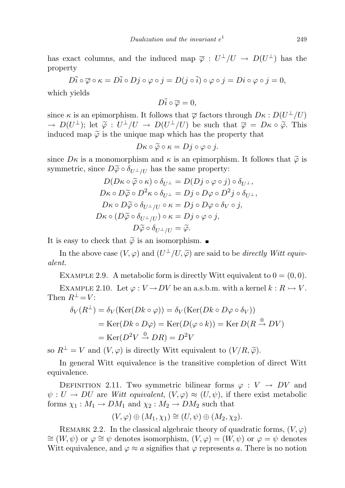has exact columns, and the induced map  $\overline{\varphi}: U^{\perp}/U \to D(U^{\perp})$  has the property

$$
D\bar i\circ\overline\varphi\circ\kappa=D\bar i\circ Dj\circ\varphi\circ j=D(j\circ\bar i)\circ\varphi\circ j=Di\circ\varphi\circ j=0,
$$

which yields

$$
D\bar{i}\circ\overline{\varphi}=0,
$$

since  $\kappa$  is an epimorphism. It follows that  $\overline{\varphi}$  factors through  $D\kappa : D(U^{\perp}/U)$  $\rightarrow D(U^{\perp})$ ; let  $\tilde{\varphi}: U^{\perp}/U \rightarrow D(U^{\perp}/U)$  be such that  $\overline{\varphi} = D\kappa \circ \tilde{\varphi}$ . This induced map  $\tilde{\varphi}$  is the unique map which has the property that

$$
D\kappa \circ \widetilde{\varphi} \circ \kappa = Dj \circ \varphi \circ j.
$$

since  $D\kappa$  is a monomorphism and  $\kappa$  is an epimorphism. It follows that  $\tilde{\varphi}$  is symmetric, since  $D\widetilde{\varphi} \circ \delta_{U^{\perp}/U}$  has the same property:

$$
D(D\kappa \circ \widetilde{\varphi} \circ \kappa) \circ \delta_{U^{\perp}} = D(Dj \circ \varphi \circ j) \circ \delta_{U^{\perp}},
$$
  
\n
$$
D\kappa \circ D\widetilde{\varphi} \circ D^{2}\kappa \circ \delta_{U^{\perp}} = Dj \circ D\varphi \circ D^{2}j \circ \delta_{U^{\perp}},
$$
  
\n
$$
D\kappa \circ D\widetilde{\varphi} \circ \delta_{U^{\perp}/U} \circ \kappa = Dj \circ D\varphi \circ \delta_{V} \circ j,
$$
  
\n
$$
D\kappa \circ (D\widetilde{\varphi} \circ \delta_{U^{\perp}/U}) \circ \kappa = Dj \circ \varphi \circ j,
$$
  
\n
$$
D\widetilde{\varphi} \circ \delta_{U^{\perp}/U} = \widetilde{\varphi}.
$$

It is easy to check that  $\tilde{\varphi}$  is an isomorphism.

In the above case  $(V, \varphi)$  and  $(U^{\perp}/U, \widetilde{\varphi})$  are said to be *directly Witt equivat* alent.

EXAMPLE 2.9. A metabolic form is directly Witt equivalent to  $0 = (0, 0)$ .

<span id="page-16-0"></span>EXAMPLE 2.10. Let  $\varphi: V \to DV$  be an a.s.b.m. with a kernel  $k: R \to V$ . Then  $R^{\perp} = V$ :

$$
\delta_V(R^{\perp}) = \delta_V(\text{Ker}(Dk \circ \varphi)) = \delta_V(\text{Ker}(Dk \circ D\varphi \circ \delta_V))
$$
  
= 
$$
\text{Ker}(Dk \circ D\varphi) = \text{Ker}(D(\varphi \circ k)) = \text{Ker}(D(R \xrightarrow{0} DV))
$$
  
= 
$$
\text{Ker}(D^2V \xrightarrow{0} DR) = D^2V
$$

so  $R^{\perp} = V$  and  $(V, \varphi)$  is directly Witt equivalent to  $(V/R, \tilde{\varphi})$ .

In general Witt equivalence is the transitive completion of direct Witt equivalence.

DEFINITION 2.11. Two symmetric bilinear forms  $\varphi: V \to DV$  and  $\psi: U \to DU$  are Witt equivalent,  $(V, \varphi) \approx (U, \psi)$ , if there exist metabolic forms  $\chi_1 : M_1 \to DM_1$  and  $\chi_2 : M_2 \to DM_2$  such that

$$
(V, \varphi) \oplus (M_1, \chi_1) \cong (U, \psi) \oplus (M_2, \chi_2).
$$

REMARK 2.2. In the classical algebraic theory of quadratic forms,  $(V, \varphi)$  $\cong$   $(W, \psi)$  or  $\varphi \cong \psi$  denotes isomorphism,  $(V, \varphi) = (W, \psi)$  or  $\varphi = \psi$  denotes Witt equivalence, and  $\varphi \approx a$  signifies that  $\varphi$  represents a. There is no notion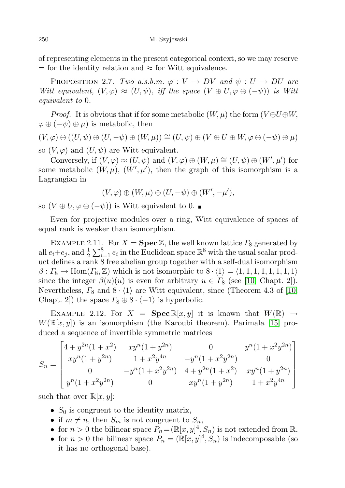of representing elements in the present categorical context, so we may reserve  $=$  for the identity relation and  $\approx$  for Witt equivalence.

PROPOSITION 2.7. Two a.s.b.m.  $\varphi: V \to DV$  and  $\psi: U \to DU$  are Witt equivalent,  $(V, \varphi) \approx (U, \psi)$ , iff the space  $(V \oplus U, \varphi \oplus (-\psi))$  is Witt equivalent to 0.

*Proof.* It is obvious that if for some metabolic  $(W, \mu)$  the form  $(V \oplus U \oplus W,$  $\varphi \oplus (-\psi) \oplus \mu$ ) is metabolic, then

$$
(V, \varphi) \oplus ((U, \psi) \oplus (U, -\psi) \oplus (W, \mu)) \cong (U, \psi) \oplus (V \oplus U \oplus W, \varphi \oplus (-\psi) \oplus \mu)
$$

so  $(V, \varphi)$  and  $(U, \psi)$  are Witt equivalent.

Conversely, if  $(V, \varphi) \approx (U, \psi)$  and  $(V, \varphi) \oplus (W, \mu) \cong (U, \psi) \oplus (W', \mu')$  for some metabolic  $(W, \mu)$ ,  $(W', \mu')$ , then the graph of this isomorphism is a Lagrangian in

$$
(V,\varphi)\oplus (W,\mu)\oplus (U,-\psi)\oplus (W',-\mu'),
$$

so  $(V \oplus U, \varphi \oplus (-\psi))$  is Witt equivalent to 0. ■

Even for projective modules over a ring, Witt equivalence of spaces of equal rank is weaker than isomorphism.

EXAMPLE 2.11. For  $X = \text{Spec } \mathbb{Z}$ , the well known lattice  $\Gamma_8$  generated by all  $e_i+e_j$ , and  $\frac{1}{2}\sum_{i=1}^8 e_i$  in the Euclidean space  $\mathbb{R}^8$  with the usual scalar product defines a rank 8 free abelian group together with a self-dual isomorphism  $\beta: \Gamma_8 \to \text{Hom}(\Gamma_8, \mathbb{Z})$  which is not isomorphic to  $8 \cdot \langle 1 \rangle = \langle 1, 1, 1, 1, 1, 1, 1, 1 \rangle$ since the integer  $\beta(u)(u)$  is even for arbitrary  $u \in \Gamma_8$  (see [\[10,](#page-65-7) Chapt. 2]). Nevertheless,  $\Gamma_8$  and  $8 \cdot \langle 1 \rangle$  are Witt equivalent, since (Theorem 4.3 of [\[10,](#page-65-7) Chapt. 2]) the space  $\Gamma_8 \oplus 8 \cdot \langle -1 \rangle$  is hyperbolic.

EXAMPLE 2.12. For  $X = \text{Spec } \mathbb{R}[x, y]$  it is known that  $W(\mathbb{R}) \to$  $W(\mathbb{R}[x, y])$  is an isomorphism (the Karoubi theorem). Parimala [\[15\]](#page-65-8) produced a sequence of invertible symmetric matrices

$$
S_n = \begin{bmatrix} 4 + y^{2n}(1 + x^2) & xy^n(1 + y^{2n}) & 0 & y^n(1 + x^2y^{2n}) \\ xy^n(1 + y^{2n}) & 1 + x^2y^{4n} & -y^n(1 + x^2y^{2n}) & 0 \\ 0 & -y^n(1 + x^2y^{2n}) & 4 + y^{2n}(1 + x^2) & xy^n(1 + y^{2n}) \\ y^n(1 + x^2y^{2n}) & 0 & xy^n(1 + y^{2n}) & 1 + x^2y^{4n} \end{bmatrix}
$$

such that over  $\mathbb{R}[x, y]$ :

- $S_0$  is congruent to the identity matrix,
- if  $m \neq n$ , then  $S_m$  is not congruent to  $S_n$ ,
- for  $n > 0$  the bilinear space  $P_n = (\mathbb{R}[x, y]^4, S_n)$  is not extended from  $\mathbb{R}$ ,
- for  $n > 0$  the bilinear space  $P_n = (\mathbb{R}[x, y]^4, S_n)$  is indecomposable (so it has no orthogonal base).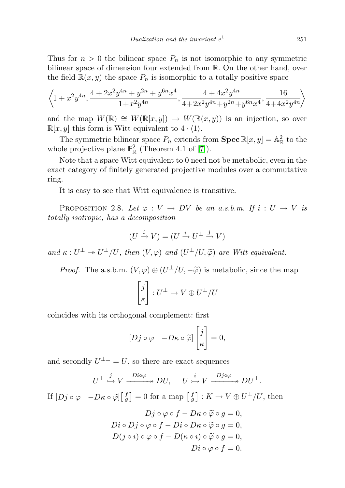Thus for  $n > 0$  the bilinear space  $P_n$  is not isomorphic to any symmetric bilinear space of dimension four extended from R. On the other hand, over the field  $\mathbb{R}(x, y)$  the space  $P_n$  is isomorphic to a totally positive space

$$
\left\langle 1+x^2y^{4n}, \frac{4+2x^2y^{4n}+y^{2n}+y^{6n}x^4}{1+x^2y^{4n}}, \frac{4+4x^2y^{4n}}{4+2x^2y^{4n}+y^{2n}+y^{6n}x^4}, \frac{16}{4+4x^2y^{4n}} \right\rangle
$$

and the map  $W(\mathbb{R}) \cong W(\mathbb{R}[x,y]) \to W(\mathbb{R}(x,y))$  is an injection, so over  $\mathbb{R}[x, y]$  this form is Witt equivalent to  $4 \cdot \langle 1 \rangle$ .

The symmetric bilinear space  $P_n$  extends from  $\text{Spec } \mathbb{R}[x, y] = \mathbb{A}_{\mathbb{R}}^2$  to the whole projective plane  $\mathbb{P}^2_{\mathbb{R}}$  (Theorem 4.1 of [\[7\]](#page-65-9)).

Note that a space Witt equivalent to 0 need not be metabolic, even in the exact category of finitely generated projective modules over a commutative ring.

It is easy to see that Witt equivalence is transitive.

PROPOSITION 2.8. Let  $\varphi: V \to DV$  be an a.s.b.m. If  $i: U \to V$  is totally isotropic, has a decomposition

$$
(U \xrightarrow{i} V) = (U \xrightarrow{\overline{i}} U^{\perp} \xrightarrow{j} V)
$$

and  $\kappa: U^{\perp} \to U^{\perp}/U$ , then  $(V, \varphi)$  and  $(U^{\perp}/U, \widetilde{\varphi})$  are Witt equivalent.

*Proof.* The a.s.b.m.  $(V, \varphi) \oplus (U^{\perp}/U, -\widetilde{\varphi})$  is metabolic, since the map

$$
\begin{bmatrix} j \\ \kappa \end{bmatrix} : U^{\perp} \to V \oplus U^{\perp}/U
$$

coincides with its orthogonal complement: first

$$
[Dj \circ \varphi -D\kappa \circ \widetilde{\varphi}] \begin{bmatrix} j \\ \kappa \end{bmatrix} = 0,
$$

and secondly  $U^{\perp \perp} = U$ , so there are exact sequences

$$
U^{\perp} \stackrel{j}{\rightarrowtail} V \xrightarrow{Div\varphi} DU, \quad U \stackrel{i}{\rightarrowtail} V \xrightarrow{Dj \circ \varphi} DU^{\perp}.
$$

If  $[Dj \circ \varphi \quad -D\kappa \circ \tilde{\varphi}]\begin{bmatrix} f \\ g \end{bmatrix} = 0$  for a map  $\begin{bmatrix} f \\ g \end{bmatrix} : K \to V \oplus U^{\perp}/U$ , then

$$
Dj \circ \varphi \circ f - D\kappa \circ \widetilde{\varphi} \circ g = 0,
$$
  
\n
$$
D\overline{i} \circ Dj \circ \varphi \circ f - D\overline{i} \circ D\kappa \circ \widetilde{\varphi} \circ g = 0,
$$
  
\n
$$
D(j \circ \overline{i}) \circ \varphi \circ f - D(\kappa \circ \overline{i}) \circ \widetilde{\varphi} \circ g = 0,
$$
  
\n
$$
Di \circ \varphi \circ f = 0.
$$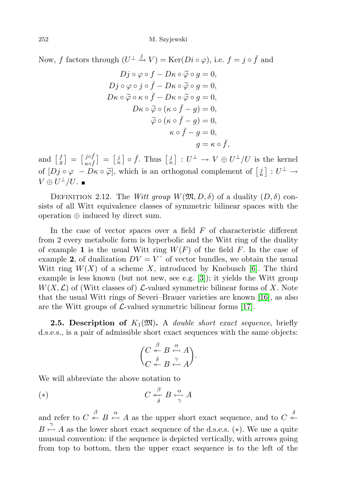Now, f factors through  $(U^{\perp} \stackrel{j}{\rightarrow} V) = \text{Ker}(Di \circ \varphi)$ , i.e.  $f = j \circ \bar{f}$  and

$$
Dj \circ \varphi \circ f - D\kappa \circ \widetilde{\varphi} \circ g = 0,
$$
  
\n
$$
Dj \circ \varphi \circ j \circ \overline{f} - D\kappa \circ \widetilde{\varphi} \circ g = 0,
$$
  
\n
$$
D\kappa \circ \widetilde{\varphi} \circ \kappa \circ \overline{f} - D\kappa \circ \widetilde{\varphi} \circ g = 0,
$$
  
\n
$$
D\kappa \circ \widetilde{\varphi} \circ (\kappa \circ \overline{f} - g) = 0,
$$
  
\n
$$
\widetilde{\varphi} \circ (\kappa \circ \overline{f} - g) = 0,
$$
  
\n
$$
\kappa \circ \overline{f} - g = 0,
$$
  
\n
$$
g = \kappa \circ \overline{f},
$$

and  $\begin{bmatrix} f \\ g \end{bmatrix} = \begin{bmatrix} j \circ \bar{f} \\ \kappa \circ \bar{f} \end{bmatrix}$  $\begin{bmatrix} j \circ f \\ \kappa \circ f \end{bmatrix} = \begin{bmatrix} j \\ \kappa \end{bmatrix} \circ \bar{f}$ . Thus  $\begin{bmatrix} j \\ \kappa \end{bmatrix} : U^{\perp} \to V \oplus U^{\perp}/U$  is the kernel of  $[Dj \circ \varphi] - D\kappa \circ \widetilde{\varphi}]$ , which is an orthogonal complement of  $\begin{bmatrix} j \\ \kappa \end{bmatrix} : U^{\perp} \to$  $V\oplus U^\perp/U.$ 

DEFINITION 2.12. The Witt group  $W(\mathfrak{M}, D, \delta)$  of a duality  $(D, \delta)$  consists of all Witt equivalence classes of symmetric bilinear spaces with the operation ⊕ induced by direct sum.

In the case of vector spaces over a field  $F$  of characteristic different from 2 every metabolic form is hyperbolic and the Witt ring of the duality of example 1 is the usual Witt ring  $W(F)$  of the field F. In the case of example 2, of dualization  $DV = V^{\hat{ }}$  of vector bundles, we obtain the usual Witt ring  $W(X)$  of a scheme X, introduced by Knebusch [\[6\]](#page-65-10). The third example is less known (but not new, see e.g. [\[3\]](#page-65-11)); it yields the Witt group  $W(X, \mathcal{L})$  of (Witt classes of)  $\mathcal{L}\text{-valued symmetric bilinear forms of } X$ . Note that the usual Witt rings of Severi–Brauer varieties are known [\[16\]](#page-65-12), as also are the Witt groups of  $\mathcal{L}\text{-valued symmetric bilinear forms } [17]$  $\mathcal{L}\text{-valued symmetric bilinear forms } [17]$ .

<span id="page-19-0"></span>**2.5. Description of**  $K_1(\mathfrak{M})$ . A *double short exact sequence*, briefly d.s.e.s., is a pair of admissible short exact sequences with the same objects:

$$
\binom{C \overset{\beta}{\twoheadleftarrow} B \overset{\alpha}{\leftarrow} A}{C \overset{\delta}{\twoheadleftarrow} B \overset{\gamma}{\leftarrow} A}.
$$

We will abbreviate the above notation to

$$
(\ast) \qquad \qquad C \stackrel{\beta}{\leftarrow} B \stackrel{\alpha}{\leftarrow} A
$$

and refer to  $C \stackrel{\beta}{\leftarrow} B \stackrel{\alpha}{\leftarrow} A$  as the upper short exact sequence, and to  $C \stackrel{\delta}{\leftarrow} A$  $B \stackrel{\gamma}{\leftarrow} A$  as the lower short exact sequence of the d.s.e.s. (\*). We use a quite unusual convention: if the sequence is depicted vertically, with arrows going from top to bottom, then the upper exact sequence is to the left of the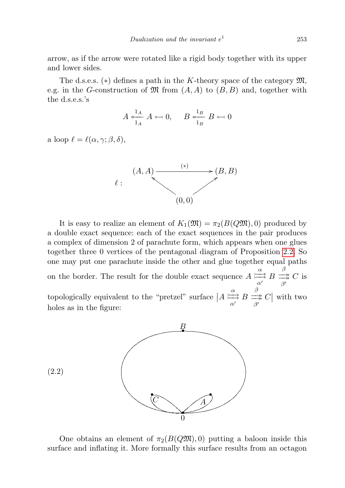arrow, as if the arrow were rotated like a rigid body together with its upper and lower sides.

The d.s.e.s.  $(*)$  defines a path in the K-theory space of the category  $\mathfrak{M}$ , e.g. in the G-construction of  $\mathfrak{M}$  from  $(A, A)$  to  $(B, B)$  and, together with the d.s.e.s.'s

$$
A \stackrel{1_A}{\underset{1_A}{\longleftarrow}} A \leftarrow 0, \quad B \stackrel{1_B}{\underset{1_B}{\longleftarrow}} B \leftarrow 0
$$

a loop  $\ell = \ell(\alpha, \gamma; \beta, \delta),$ 



It is easy to realize an element of  $K_1(\mathfrak{M}) = \pi_2(B(Q\mathfrak{M}), 0)$  produced by a double exact sequence: each of the exact sequences in the pair produces a complex of dimension 2 of parachute form, which appears when one glues together three 0 vertices of the pentagonal diagram of Proposition [2.2.](#page-7-0) So one may put one parachute inside the other and glue together equal paths on the border. The result for the double exact sequence  $A \succeq^{\alpha}$  $\sum_{\alpha'}^{\alpha} B$  $\frac{\beta}{\beta'} C$  is topologically equivalent to the "pretzel" surface  $|A \rangle \frac{\alpha}{\alpha}$  $\sum_{\alpha'}^{\alpha} B$  $\frac{\beta}{\beta'}$  C with two holes as in the figure:



One obtains an element of  $\pi_2(B(Q\mathfrak{M}), 0)$  putting a baloon inside this surface and inflating it. More formally this surface results from an octagon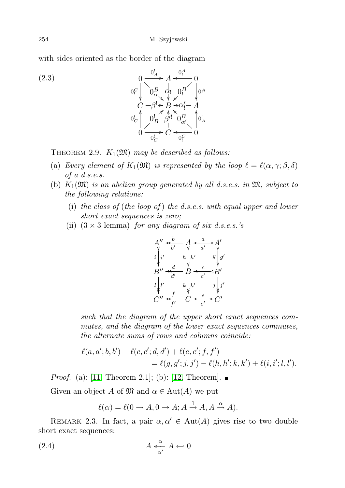with sides oriented as the border of the diagram

(2.3)  
\n
$$
0 \frac{0^{l_A}}{\sqrt{l_A^2 + \frac{d_1^2}{l_B^2}}} = 0
$$
\n
$$
0 \frac{0^{l_A}}{\sqrt{l_B^2 + \frac{d_1^2}{l_B^2}}} = \frac{0}{0} = 0
$$
\n
$$
0 \frac{0^{l_A}}{\sqrt{l_B^2 + \frac{d_1^2}{l_B^2}}} = \frac{0}{0} = 0
$$
\n
$$
0 \frac{0^{l_A}}{\sqrt{l_B^2 + \frac{d_1^2}{l_B^2}}} = \frac{0}{0} = 0
$$

<span id="page-21-0"></span>THEOREM 2.9.  $K_1(\mathfrak{M})$  may be described as follows:

- (a) Every element of  $K_1(\mathfrak{M})$  is represented by the loop  $\ell = \ell(\alpha, \gamma; \beta, \delta)$ of a d.s.e.s.
- (b)  $K_1(\mathfrak{M})$  is an abelian group generated by all d.s.e.s. in  $\mathfrak{M}$ , subject to the following relations:
	- (i) the class of (the loop of) the d.s.e.s. with equal upper and lower short exact sequences is zero;
	- (ii)  $(3 \times 3 \text{ lemma})$  for any diagram of six d.s.e.s.'s



such that the diagram of the upper short exact sequences commutes, and the diagram of the lower exact sequences commutes, the alternate sums of rows and columns coincide:

$$
\ell(a, a'; b, b') - \ell(c, c'; d, d') + \ell(e, e'; f, f')
$$
  
=  $\ell(g, g'; j, j') - \ell(h, h'; k, k') + \ell(i, i'; l, l').$ 

*Proof.* (a): [\[11,](#page-65-0) Theorem 2.1]; (b): [\[12,](#page-65-14) Theorem].  $\blacksquare$ 

Given an object A of  $\mathfrak{M}$  and  $\alpha \in \text{Aut}(A)$  we put

$$
\ell(\alpha) = \ell(0 \to A, 0 \to A; A \xrightarrow{1} A, A \xrightarrow{\alpha} A).
$$

REMARK 2.3. In fact, a pair  $\alpha, \alpha' \in \text{Aut}(A)$  gives rise to two double short exact sequences:

$$
(2.4) \t\t A \xleftarrow{\alpha} A \leftarrow 0
$$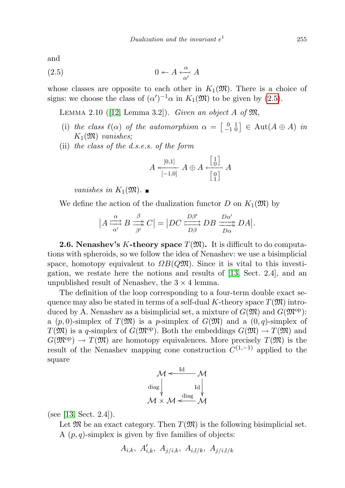and

$$
(2.5) \t\t 0 \leftarrow A \xleftarrow{\alpha} A
$$

whose classes are opposite to each other in  $K_1(\mathfrak{M})$ . There is a choice of signs: we choose the class of  $(\alpha')^{-1}\alpha$  in  $K_1(\mathfrak{M})$  to be given by [\(2.5\)](#page-22-0).

<span id="page-22-1"></span>LEMMA 2.10 ([\[12,](#page-65-14) Lemma 3.2]). Given an object A of  $\mathfrak{M}$ ,

- (i) the class  $\ell(\alpha)$  of the automorphism  $\alpha = \begin{bmatrix} 0 & 1 \\ -1 & 0 \end{bmatrix} \in \text{Aut}(A \oplus A)$  in  $K_1(\mathfrak{M})$  vanishes;
- (ii) the class of the d.s.e.s. of the form

<span id="page-22-0"></span>
$$
A \xleftarrow[0,1]{} A \oplus A \xleftarrow[\frac{1}{0}]{}
$$

$$
A \oplus A \xleftarrow[\frac{1}{0}]{}
$$

vanishes in  $K_1(\mathfrak{M})$ .

We define the action of the dualization functor D on  $K_1(\mathfrak{M})$  by

$$
|A\overset{\alpha}{\underset{\alpha'}{\rightleftharpoons}}B\overset{\beta}{\underset{\beta'}{\rightleftharpoons}}C|=|DC\overset{D\beta'}{\underset{D\beta}{\rightleftharpoons}}DB\overset{D\alpha'}{\underset{D\alpha}{\longrightarrow}}DA|.
$$

**2.6. Nenashev's K-theory space**  $T(\mathfrak{M})$ . It is difficult to do computations with spheroids, so we follow the idea of Nenashev: we use a bisimplicial space, homotopy equivalent to  $\Omega B(QM)$ . Since it is vital to this investigation, we restate here the notions and results of [\[13,](#page-65-1) Sect. 2.4], and an unpublished result of Nenashev, the  $3 \times 4$  lemma.

The definition of the loop corresponding to a four-term double exact sequence may also be stated in terms of a self-dual K-theory space  $T(\mathfrak{M})$  introduced by A. Nenashev as a bisimplicial set, a mixture of  $G(\mathfrak{M})$  and  $G(\mathfrak{M}^{\text{op}})$ : a  $(p, 0)$ -simplex of  $T(\mathfrak{M})$  is a p-simplex of  $G(\mathfrak{M})$  and a  $(0, q)$ -simplex of  $T(\mathfrak{M})$  is a q-simplex of  $G(\mathfrak{M}^{op})$ . Both the embeddings  $G(\mathfrak{M}) \to T(\mathfrak{M})$  and  $G(\mathfrak{M}^{\text{op}}) \to T(\mathfrak{M})$  are homotopy equivalences. More precisely  $T(\mathfrak{M})$  is the result of the Nenashev mapping cone construction  $C^{(1,-1)}$  applied to the square

$$
\mathcal{M} \xleftarrow{\mathrm{Id}} \mathcal{M}
$$
\n
$$
\begin{array}{c}\n\text{diag} \\
\downarrow \\
\mathcal{M} \times \mathcal{M} \xleftarrow{\mathrm{diag}} \mathcal{M} \\
\mathcal{M}\n\end{array}
$$

(see [\[13,](#page-65-1) Sect. 2.4]).

Let  $\mathfrak{M}$  be an exact category. Then  $T(\mathfrak{M})$  is the following bisimplicial set. A  $(p, q)$ -simplex is given by five families of objects:

$$
A_{i,k}
$$
,  $A'_{i,k}$ ,  $A_{j/i,k}$ ,  $A_{i,l/k}$ ,  $A_{j/i,l/k}$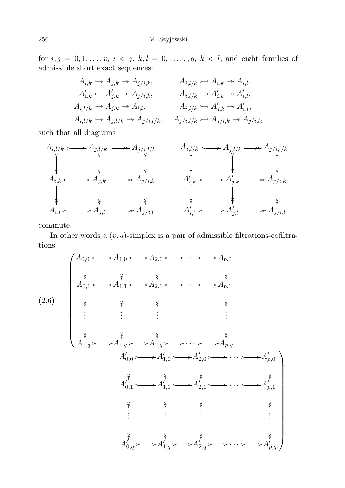for  $i, j = 0, 1, \ldots, p, i < j, k, l = 0, 1, \ldots, q, k < l$ , and eight families of admissible short exact sequences:

$$
A_{i,k} \rightarrowtail A_{j,k} \rightarrowtail A_{j/i,k}, \qquad A_{i,l/k} \rightarrowtail A_{i,k} \rightarrowtail A_{i,l},
$$
  
\n
$$
A'_{i,k} \rightarrowtail A'_{j,k} \rightarrowtail A_{j/i,k}, \qquad A_{i,l/k} \rightarrowtail A'_{i,k} \rightarrowtail A'_{i,l},
$$
  
\n
$$
A_{i,l/k} \rightarrowtail A_{j,k} \rightarrowtail A_{i,l}, \qquad A_{i,l/k} \rightarrowtail A'_{j,k} \rightarrowtail A'_{i,l},
$$
  
\n
$$
A_{i,l/k} \rightarrowtail A_{j,l/k} \rightarrowtail A_{j/i,l/k}, \qquad A_{j/i,l/k} \rightarrowtail A_{j/i,k} \rightarrowtail A_{j/i,l},
$$

such that all diagrams



commute.

In other words a  $(p, q)$ -simplex is a pair of admissible filtrations-cofiltrations

<span id="page-23-0"></span>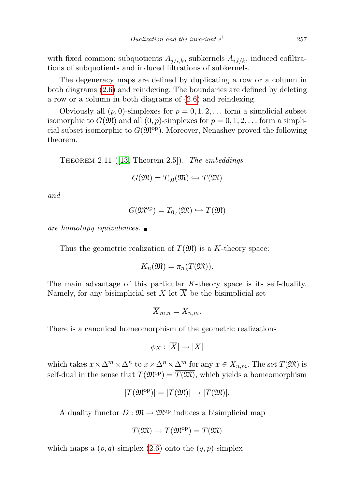with fixed common: subquotients  $A_{i/ik}$ , subkernels  $A_{i,l/k}$ , induced cofiltrations of subquotients and induced filtrations of subkernels.

The degeneracy maps are defined by duplicating a row or a column in both diagrams [\(2.6\)](#page-23-0) and reindexing. The boundaries are defined by deleting a row or a column in both diagrams of [\(2.6\)](#page-23-0) and reindexing.

Obviously all  $(p, 0)$ -simplexes for  $p = 0, 1, 2, \ldots$  form a simplicial subset isomorphic to  $G(\mathfrak{M})$  and all  $(0, p)$ -simplexes for  $p = 0, 1, 2, \ldots$  form a simplicial subset isomorphic to  $G(\mathfrak{M}^{\text{op}})$ . Moreover, Nenashev proved the following theorem.

THEOREM 2.11 ([\[13,](#page-65-1) Theorem 2.5]). The embeddings

$$
G(\mathfrak{M})=T_{0,0}(\mathfrak{M})\hookrightarrow T(\mathfrak{M})
$$

and

$$
G(\mathfrak{M}^{\mathrm{op}}) = T_{0,\cdot}(\mathfrak{M}) \hookrightarrow T(\mathfrak{M})
$$

are homotopy equivalences.  $\blacksquare$ 

Thus the geometric realization of  $T(\mathfrak{M})$  is a K-theory space:

$$
K_n(\mathfrak{M}) = \pi_n(T(\mathfrak{M})).
$$

The main advantage of this particular K-theory space is its self-duality. Namely, for any bisimplicial set X let  $\overline{X}$  be the bisimplicial set

$$
\overline{X}_{m,n} = X_{n,m}.
$$

There is a canonical homeomorphism of the geometric realizations

$$
\phi_X: |\overline{X}| \to |X|
$$

which takes  $x \times \Delta^m \times \Delta^n$  to  $x \times \Delta^n \times \Delta^m$  for any  $x \in X_{n,m}$ . The set  $T(\mathfrak{M})$  is self-dual in the sense that  $T(\mathfrak{M}^{\text{op}}) = \overline{T(\mathfrak{M})}$ , which yields a homeomorphism

$$
|T(\mathfrak{M}^{\mathrm{op}})| = |\overline{T(\mathfrak{M})}| \to |T(\mathfrak{M})|.
$$

A duality functor  $D : \mathfrak{M} \to \mathfrak{M}^{\text{op}}$  induces a bisimplicial map

$$
T(\mathfrak{M}) \to T(\mathfrak{M}^{\mathrm{op}}) = \overline{T(\mathfrak{M})}
$$

which maps a  $(p, q)$ -simplex  $(2.6)$  onto the  $(q, p)$ -simplex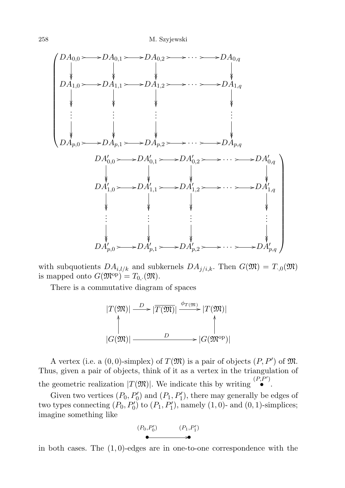

with subquotients  $DA_{i,l/k}$  and subkernels  $DA_{j/i,k}$ . Then  $G(\mathfrak{M}) = T_{i,0}(\mathfrak{M})$ is mapped onto  $G(\mathfrak{M}^{\mathrm{op}})=T_{0}(\mathfrak{M}).$ 

There is a commutative diagram of spaces



A vertex (i.e. a  $(0,0)$ -simplex) of  $T(\mathfrak{M})$  is a pair of objects  $(P, P')$  of  $\mathfrak{M}$ . Thus, given a pair of objects, think of it as a vertex in the triangulation of the geometric realization  $|T(\mathfrak{M})|$ . We indicate this by writing  $\begin{bmatrix} (P, P') \\ \bullet \end{bmatrix}$ .

Given two vertices  $(P_0, P'_0)$  and  $(P_1, P'_1)$ , there may generally be edges of two types connecting  $(P_0, P'_0)$  to  $(P_1, P'_1)$ , namely  $(1, 0)$ - and  $(0, 1)$ -simplices; imagine something like

$$
(P_0, P'_0) \qquad (P_1, P'_1)
$$

in both cases. The  $(1, 0)$ -edges are in one-to-one correspondence with the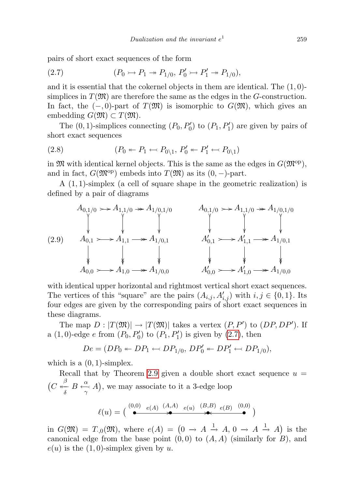pairs of short exact sequences of the form

<span id="page-26-0"></span>(2.7) 
$$
(P_0 \rightarrow P_1 \rightarrow P_{1/0}, P'_0 \rightarrow P'_1 \rightarrow P_{1/0}),
$$

and it is essential that the cokernel objects in them are identical. The  $(1,0)$ simplices in  $T(\mathfrak{M})$  are therefore the same as the edges in the G-construction. In fact, the  $(-, 0)$ -part of  $T(\mathfrak{M})$  is isomorphic to  $G(\mathfrak{M})$ , which gives an embedding  $G(\mathfrak{M}) \subset T(\mathfrak{M})$ .

The  $(0, 1)$ -simplices connecting  $(P_0, P'_0)$  to  $(P_1, P'_1)$  are given by pairs of short exact sequences

(2.8) 
$$
(P_0 \leftarrow P_1 \leftarrow P_{0\backslash 1}, P'_0 \leftarrow P'_1 \leftarrow P_{0\backslash 1})
$$

in  $\mathfrak{M}$  with identical kernel objects. This is the same as the edges in  $G(\mathfrak{M}^{\text{op}})$ , and in fact,  $G(\mathfrak{M}^{\text{op}})$  embeds into  $T(\mathfrak{M})$  as its  $(0, -)$ -part.

A (1, 1)-simplex (a cell of square shape in the geometric realization) is defined by a pair of diagrams



with identical upper horizontal and rightmost vertical short exact sequences. The vertices of this "square" are the pairs  $(A_{i,j}, A'_{i,j})$  with  $i, j \in \{0, 1\}$ . Its four edges are given by the corresponding pairs of short exact sequences in these diagrams.

The map  $D: |T(\mathfrak{M})| \to |T(\mathfrak{M})|$  takes a vertex  $(P, P')$  to  $(DP, DP')$ . If a  $(1,0)$ -edge e from  $(P_0, P'_0)$  to  $(P_1, P'_1)$  is given by  $(2.7)$ , then

$$
De = (DP_0 \leftarrow DP_1 \leftarrow DP_{1/0}, DP'_0 \leftarrow DP'_1 \leftarrow DP_{1/0}),
$$

which is a  $(0, 1)$ -simplex.

Recall that by Theorem [2.9](#page-21-0) given a double short exact sequence  $u =$  $(C \stackrel{\beta}{\underset{\delta}{\longleftrightarrow}} B \stackrel{\alpha}{\underset{\gamma}{\rightarrow}} A)$ , we may associate to it a 3-edge loop

$$
\ell(u) = (\stackrel{(0,0)}{\bullet} \stackrel{e(A)}{\bullet} \stackrel{(A,A)}{\bullet} \stackrel{e(u)}{\bullet} \stackrel{(B,B)}{\bullet} \stackrel{e(B)}{\bullet})
$$

in  $G(\mathfrak{M}) = T_{0}(\mathfrak{M})$ , where  $e(A) = \left(0 \rightarrow A \stackrel{1}{\rightarrow} A, 0 \rightarrow A \stackrel{1}{\rightarrow} A\right)$  is the canonical edge from the base point  $(0, 0)$  to  $(A, A)$  (similarly for B), and  $e(u)$  is the  $(1, 0)$ -simplex given by u.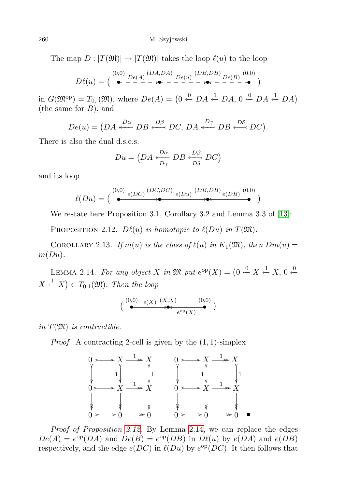The map  $D : |T(\mathfrak{M})| \to |T(\mathfrak{M})|$  takes the loop  $\ell(u)$  to the loop

$$
D\ell(u) = \left(\begin{array}{c} (0,0) \\ \bullet \end{array} \begin{array}{c} \text{[DA,DA]} \\ \text{[DA,DA]} \end{array} \begin{array}{c} \text{[DB,DB]} \\ \text{[DE,DB]} \end{array} \begin{array}{c} \text{[DA,DB]} \\ \text{[DE,CD]} \end{array}\right)
$$

in  $G(\mathfrak{M}^{\text{op}}) = T_{0,\cdot}(\mathfrak{M})$ , where  $De(A) = \left(0 \stackrel{0}{\leftarrow} DA \stackrel{1}{\leftarrow} DA, 0 \stackrel{0}{\leftarrow} DA \stackrel{1}{\leftarrow} DA\right)\right)$ (the same for  $B$ ), and

$$
De(u) = \left( DA \xleftarrow{D\alpha} DB \xleftarrow{D\beta} DC, DA \xleftarrow{D\gamma} DB \xleftarrow{D\delta} DC \right).
$$

There is also the dual d.s.e.s.

$$
Du = \left(DA \stackrel{D\alpha}{\longleftarrow} DB \stackrel{D\beta}{\longleftarrow} DC\right)
$$

and its loop

$$
\ell(Du) = (\bigcirc{\overset{(0,0)}{\bullet}}\mathop{e(DC)}\limits^{\quad (DC,DC)}\mathop{e(Du)}\limits^{\quad (DB,DB)}\mathop{e(DB)}\limits^{\quad (0,0)}\bigcirc)
$$

We restate here Proposition 3.1, Corollary 3.2 and Lemma 3.3 of [\[13\]](#page-65-1):

<span id="page-27-0"></span>PROPOSITION 2.12.  $D\ell(u)$  is homotopic to  $\ell(Du)$  in  $T(\mathfrak{M})$ .

COROLLARY 2.13. If  $m(u)$  is the class of  $\ell(u)$  in  $K_1(\mathfrak{M})$ , then  $Dm(u) =$  $m(Du)$ .

<span id="page-27-1"></span>LEMMA 2.14. For any object X in  $\mathfrak{M}$  put  $e^{\mathrm{op}}(X) = \left(0 \stackrel{0}{\leftarrow} X \stackrel{1}{\leftarrow} X, 0 \stackrel{0}{\leftarrow} \right)$  $X \stackrel{1}{\leftarrow} X$   $\in T_{0,1}(\mathfrak{M})$ . Then the loop

$$
\begin{pmatrix}\n(0,0) & e(X) & (X,X) & (0,0) \\
\bullet & \bullet & e^{\mathrm{op}}(X)\n\end{pmatrix}
$$

in  $T(\mathfrak{M})$  is contractible.

*Proof.* A contracting 2-cell is given by the  $(1, 1)$ -simplex



Proof of Proposition [2.12](#page-27-0). By Lemma [2.14,](#page-27-1) we can replace the edges  $De(A) = e^{op}(DA)$  and  $De(B) = e^{op}(DB)$  in  $D\ell(u)$  by  $e(DA)$  and  $e(DB)$ respectively, and the edge  $e(DC)$  in  $\ell(Du)$  by  $e^{\text{op}}(DC)$ . It then follows that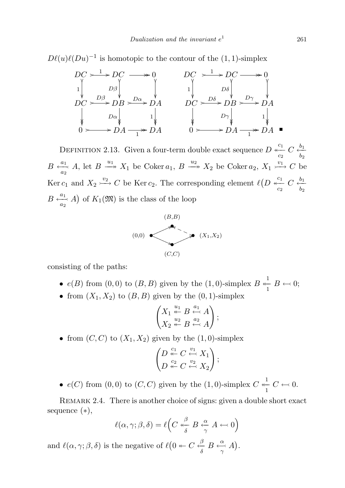$D\ell(u)\ell(Du)^{-1}$  is homotopic to the contour of the  $(1, 1)$ -simplex



<span id="page-28-0"></span>DEFINITION 2.13. Given a four-term double exact sequence  $D \stackrel{c_1}{\underset{c_2}{\leftarrow}} C \stackrel{b_1}{\underset{b_2}{\leftarrow}}$  $b<sub>2</sub>$  $B \xrightarrow[a_2]{a_1} A$ , let  $B \xrightarrow{u_1} X_1$  be Coker  $a_1, B \xrightarrow{u_2} X_2$  be Coker  $a_2, X_1 \xrightarrow{v_1} C$  be Ker  $c_1$  and  $X_2 \xrightarrow{v_2} C$  be Ker  $c_2$ . The corresponding element  $\ell\left(D \xleftarrow{c_1}^{\overline{c_1}} C \xleftarrow{b_1}^{\overline{c_2}} C\right)$  $b<sub>2</sub>$  $B \xrightarrow[a_2]{a_1} A$  of  $K_1(\mathfrak{M})$  is the class of the loop



consisting of the paths:

- $e(B)$  from  $(0,0)$  to  $(B, B)$  given by the  $(1,0)$ -simplex  $B \stackrel{1}{\leftarrow} B \leftarrow 0;$
- from  $(X_1, X_2)$  to  $(B, B)$  given by the  $(0, 1)$ -simplex

$$
\begin{pmatrix} X_1 \stackrel{u_1}{\twoheadleftarrow} B \stackrel{a_1}{\leftarrow} A \\ X_2 \stackrel{u_2}{\twoheadleftarrow} B \stackrel{a_2}{\leftarrow} A \end{pmatrix};
$$

• from  $(C, C)$  to  $(X_1, X_2)$  given by the  $(1, 0)$ -simplex

$$
\begin{pmatrix} D\stackrel{c_1}{\twoheadleftarrow}C\stackrel{v_1}{\leftarrow}X_1\\ D\stackrel{c_2}{\twoheadleftarrow}C\stackrel{v_2}{\leftarrow}X_2 \end{pmatrix};
$$

•  $e(C)$  from  $(0,0)$  to  $(C, C)$  given by the  $(1,0)$ -simplex  $C \stackrel{1}{\leftarrow} C \leftarrow 0$ .

REMARK 2.4. There is another choice of signs: given a double short exact sequence (∗),

$$
\ell(\alpha, \gamma; \beta, \delta) = \ell\Big(C \overset{\beta}{\underset{\delta}{\longleftrightarrow}} B \overset{\alpha}{\underset{\gamma}{\longleftrightarrow}} A \overset{\delta}{\longleftrightarrow} 0\Big)
$$

and  $\ell(\alpha, \gamma; \beta, \delta)$  is the negative of  $\ell(0 \leftarrow C \stackrel{\beta}{\leftarrow} B \stackrel{\alpha}{\leftarrow} A)$ .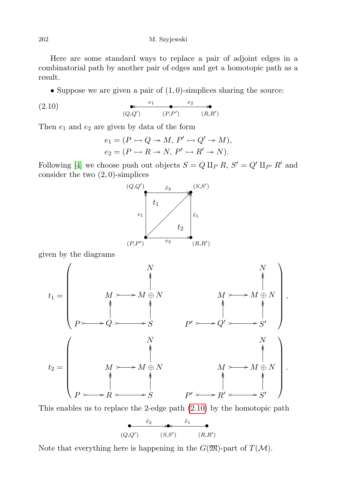Here are some standard ways to replace a pair of adjoint edges in a combinatorial path by another pair of edges and get a homotopic path as a result.

• Suppose we are given a pair of  $(1,0)$ -simplices sharing the source:

$$
(2.10) \qquad \qquad \underbrace{e_1 \qquad e_2 \qquad \qquad e_2}_{(Q,Q')} \qquad \qquad (R,R') \qquad \qquad (R,R')
$$

Then  $e_1$  and  $e_2$  are given by data of the form

<span id="page-29-0"></span>
$$
e_1 = (P \rightarrowtail Q \twoheadrightarrow M, P' \rightarrowtail Q' \twoheadrightarrow M),
$$
  

$$
e_2 = (P \rightarrowtail R \twoheadrightarrow N, P' \rightarrowtail R' \twoheadrightarrow N).
$$

Following [\[4\]](#page-65-15) we choose push out objects  $S = Q \amalg_P R$ ,  $S' = Q' \amalg_{P'} R'$  and consider the two  $(2,0)$ -simplices



given by the diagrams

t<sup>1</sup> = N N M / /M ⊕ N OO OO M / /M ⊕ N OO OO P / /Q / / OO OO S OO OO P <sup>0</sup> / /Q<sup>0</sup> / / OO OO S 0 OO OO , t<sup>2</sup> = N N M / /M ⊕ N OO OO M / /M ⊕ N OO OO P / /R / / OO OO S OO OO P <sup>0</sup> / /R<sup>0</sup> / / OO OO S 0 OO OO .

This enables us to replace the 2-edge path [\(2.10\)](#page-29-0) by the homotopic path

$$
\begin{array}{ccccc}\n\tilde{e}_2 & \star & \tilde{e}_1 & \bullet \\
\hline\n(Q,Q') & (S,S') & (R,R')\n\end{array}
$$

Note that everything here is happening in the  $G(\mathfrak{M})$ -part of  $T(\mathcal{M})$ .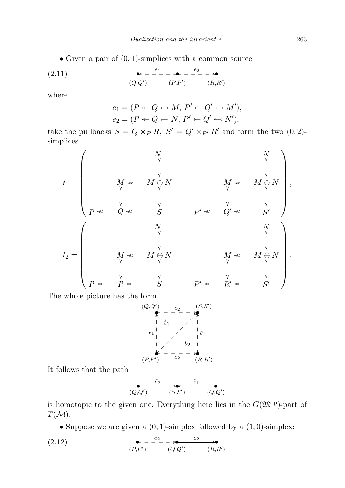• Given a pair of  $(0, 1)$ -simplices with a common source

(2.11) 
$$
\bullet - \frac{e_1}{ } - \bullet - \frac{e_2}{ } - \bullet
$$

$$
(Q,Q') \qquad (P,P') \qquad (R,R')
$$

where

<span id="page-30-1"></span>
$$
e_1 = (P \leftarrow Q \leftarrow M, P' \leftarrow Q' \leftarrow M'),
$$
  

$$
e_2 = (P \leftarrow Q \leftarrow N, P' \leftarrow Q' \leftarrow N'),
$$

take the pullbacks  $S = Q \times_P R$ ,  $S' = Q' \times_{P'} R'$  and form the two  $(0, 2)$ simplices



The whole picture has the form

$$
(Q,Q') \n\begin{array}{ccc}\n\overline{e}_2 & (S,S') \\
\uparrow & - & - & - \\
\downarrow & 1 & / & \downarrow \\
\hline\ne_1 & / & \downarrow \\
\downarrow & / & \downarrow \\
\downarrow & / & \downarrow \\
\downarrow & / & \downarrow \\
\downarrow & / & \downarrow \\
\downarrow & / & \downarrow \\
\downarrow & / & \downarrow \\
\downarrow & / & \downarrow \\
\downarrow & / & \downarrow \\
\downarrow & / & \downarrow \\
\downarrow & / & \downarrow \\
\downarrow & / & \downarrow \\
\downarrow & / & \downarrow \\
\downarrow & / & \downarrow \\
\downarrow & / & \downarrow \\
\downarrow & / & \downarrow \\
\downarrow & / & \downarrow \\
\downarrow & / & \downarrow \\
\downarrow & / & \downarrow \\
\downarrow & / & \downarrow \\
\downarrow & / & \downarrow \\
\downarrow & / & \downarrow \\
\downarrow & / & \downarrow \\
\downarrow & / & \downarrow \\
\downarrow & / & \downarrow \\
\downarrow & / & \downarrow \\
\downarrow & / & \downarrow \\
\downarrow & / & \downarrow \\
\downarrow & / & \downarrow \\
\downarrow & / & \downarrow \\
\downarrow & / & \downarrow \\
\downarrow & / & \downarrow \\
\downarrow & / & \downarrow \\
\downarrow & / & \downarrow \\
\downarrow & / & \downarrow \\
\downarrow & / & \downarrow \\
\downarrow & / & \downarrow \\
\downarrow & / & \downarrow \\
\downarrow & / & \downarrow \\
\downarrow & / & \downarrow \\
\downarrow & / & \downarrow \\
\downarrow & / & \downarrow \\
\downarrow & / & \downarrow \\
\downarrow & / & \downarrow \\
\downarrow & / & \downarrow \\
\downarrow & / & \downarrow \\
\downarrow & / & \downarrow \\
\downarrow & / & \downarrow \\
\downarrow & / & \downarrow \\
\downarrow &
$$

It follows that the path

<span id="page-30-0"></span>
$$
\begin{array}{cc}\n & -\frac{\tilde{e}_2}{\sqrt{2}} - \frac{\tilde{e}_1}{\sqrt{2}} - \frac{\tilde{e}_1}{\sqrt{2}} \\
 & (Q, Q')\n\end{array}
$$

is homotopic to the given one. Everything here lies in the  $G(\mathfrak{M}^{\text{op}})$ -part of  $T(M).$ 

• Suppose we are given a  $(0, 1)$ -simplex followed by a  $(1, 0)$ -simplex:

$$
(2.12) \qquad \qquad \bullet \quad -\quad \stackrel{e_2}{\bullet} \quad -\quad \stackrel{e_2}{\bullet} \quad \stackrel{e_2}{\bullet} \quad \bullet
$$
\n
$$
(P, P') \qquad (Q, Q') \qquad (R, R')
$$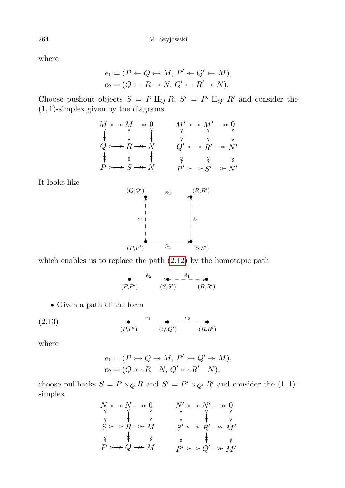where

$$
e_1 = (P \leftarrow Q \leftarrow M, P' \leftarrow Q' \leftarrow M),
$$
  

$$
e_2 = (Q \rightarrow R \rightarrow N, Q' \rightarrow R' \rightarrow N).
$$

Choose pushout objects  $S = P \amalg_Q R$ ,  $S' = P' \amalg_{Q'} R'$  and consider the  $(1, 1)$ -simplex given by the diagrams

$$
M \rightarrow M \rightarrow 0
$$
  
\n
$$
\begin{array}{c}\nM \rightarrow 0 \\
\downarrow \\
Q \rightarrow R \rightarrow N \\
P \rightarrow S \rightarrow N\n\end{array}
$$
  
\n
$$
M' \rightarrow M' \rightarrow 0
$$
  
\n
$$
\begin{array}{c}\nM' \rightarrow 0 \\
\downarrow \\
Q' \rightarrow R' \rightarrow N' \\
\downarrow \\
P' \rightarrow S' \rightarrow N'\n\end{array}
$$

It looks like



which enables us to replace the path [\(2.12\)](#page-30-0) by the homotopic path

$$
\begin{array}{ccc}\n\bullet & \stackrel{\tilde{e}_2}{\bullet} & \stackrel{\tilde{e}_1}{\bullet} & -\stackrel{\tilde{e}_1}{\bullet} \\
(R, R') & (S, S') & (R, R')\n\end{array}
$$

• Given a path of the form

$$
(2.13) \qquad \qquad \underbrace{e_1 \qquad \qquad \bullet}_{(P,P')} - \underbrace{e_2}_{(Q,Q')} - \underbrace{e_3}_{(R,R')}
$$

where

<span id="page-31-0"></span>
$$
e_1 = (P \rightarrowtail Q \twoheadrightarrow M, P' \rightarrowtail Q' \twoheadrightarrow M),
$$
  

$$
e_2 = (Q \leftarrowtail R \quad N, Q' \leftarrowtail R' \quad N),
$$

choose pullbacks  $S = P \times_Q R$  and  $S' = P' \times_{Q'} R'$  and consider the  $(1, 1)$ simplex

$$
N \rightarrow N \rightarrow 0
$$
  
\n
$$
\begin{array}{c}\nN \rightarrow N \rightarrow 0 \\
\downarrow \\
S \rightarrow R \rightarrow M \\
\downarrow \\
P \rightarrow Q \rightarrow M\n\end{array}
$$
  
\n
$$
N' \rightarrow N' \rightarrow N' \\
\downarrow \qquad \downarrow \\
S' \rightarrow R' \rightarrow M' \\
S' \rightarrow R' \rightarrow M' \\
\downarrow \qquad \downarrow \\
P' \rightarrow Q' \rightarrow M' \\
\end{array}
$$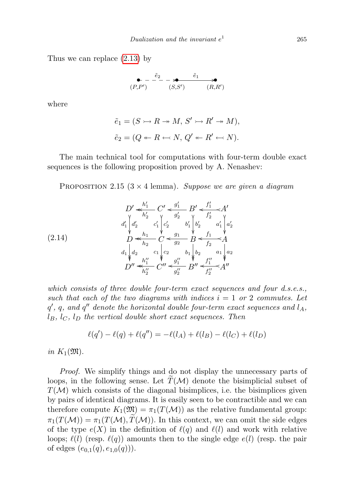Thus we can replace [\(2.13\)](#page-31-0) by

$$
\begin{array}{ccc}\n\bullet & -\stackrel{\tilde{e}_2}{\bullet} & -\stackrel{\tilde{e}_1}{\bullet} & \bullet \\
(P, P') & (S, S') & (R, R')\n\end{array}
$$

where

$$
\tilde{e}_1 = (S \rightarrowtail R \twoheadrightarrow M, S' \rightarrowtail R' \twoheadrightarrow M),
$$
  

$$
\tilde{e}_2 = (Q \twoheadleftarrow R \leftarrowtail N, Q' \leftarrow R' \leftarrowtail N).
$$

The main technical tool for computations with four-term double exact sequences is the following proposition proved by A. Nenashev:

<span id="page-32-0"></span>PROPOSITION 2.15 ( $3 \times 4$  lemma). Suppose we are given a diagram

$$
(2.14) \quad\n\begin{array}{c}\nD' \leftarrow \frac{h'_1}{h'_2} C' \leftarrow \frac{g'_1}{g'_2} B' \leftarrow \frac{f'_1}{f'_2} A' \\
d'_1 \begin{bmatrix} d'_2 & c'_1 \\ c'_2 & b'_1 \\ c'_2 & d'_1 \end{bmatrix} b'_2 & a'_1 \begin{bmatrix} a'_2 \\ a'_2 \end{bmatrix} \\
D \leftarrow \frac{h_1}{h_2} C \leftarrow \frac{g_1}{g_2} B \leftarrow f_1 \\
d_1 \begin{bmatrix} d_2 & c_1 \\ d_2 & c_1 \end{bmatrix} c_2 & b_1 \begin{bmatrix} b_2 & a_1 \\ b_2 & a_1 \end{bmatrix} a_2 \\
D'' \leftarrow \frac{h''_1}{h''_2} C'' \leftarrow \frac{g''_1}{g''_2} B'' \leftarrow \frac{f''_1}{f''_2} A''\n\end{array}
$$

which consists of three double four-term exact sequences and four d.s.e.s., such that each of the two diagrams with indices  $i = 1$  or 2 commutes. Let  $q'$ ,  $q$ , and  $q''$  denote the horizontal double four-term exact sequences and  $l_A$ ,  $l_B$ ,  $l_C$ ,  $l_D$  the vertical double short exact sequences. Then

$$
\ell(q') - \ell(q) + \ell(q'') = -\ell(l_A) + \ell(l_B) - \ell(l_C) + \ell(l_D)
$$

in  $K_1(\mathfrak{M})$ .

Proof. We simplify things and do not display the unnecessary parts of loops, in the following sense. Let  $\widetilde{T}(\mathcal{M})$  denote the bisimplicial subset of  $T(\mathcal{M})$  which consists of the diagonal bisimplices, i.e. the bisimplices given by pairs of identical diagrams. It is easily seen to be contractible and we can therefore compute  $K_1(\mathfrak{M}) = \pi_1(T(\mathcal{M}))$  as the relative fundamental group:  $\pi_1(T(\mathcal{M})) = \pi_1(T(\mathcal{M}), T(\mathcal{M}))$ . In this context, we can omit the side edges of the type  $e(X)$  in the definition of  $\ell(q)$  and  $\ell(l)$  and work with relative loops;  $\ell(l)$  (resp.  $\ell(q)$ ) amounts then to the single edge  $e(l)$  (resp. the pair of edges  $(e_{0,1}(q), e_{1,0}(q))$ .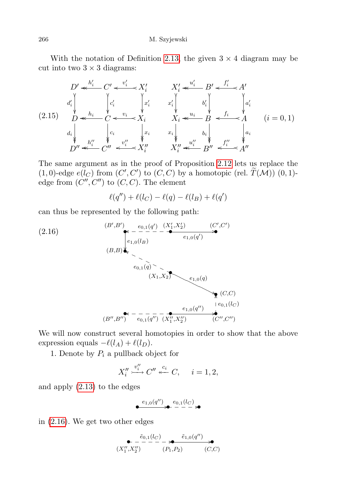266 M. Szyjewski

With the notation of Definition [2.13,](#page-28-0) the given  $3 \times 4$  diagram may be cut into two  $3 \times 3$  diagrams:

<span id="page-33-1"></span>
$$
D' \leftarrow^{h'_i} C' \leftarrow^{v'_i} X'_i \qquad X'_i \leftarrow^{u'_i} B' \leftarrow^{f'_i} A'
$$
\n
$$
d'_i \leftarrow^{h_i} \leftarrow^{h_i} C' \leftarrow^{v_i} X'_i \qquad x'_i \leftarrow^{u'_i} B' \leftarrow^{f'_i} A'
$$
\n
$$
(2.15) \qquad D \leftarrow^{h_i} C \leftarrow^{v_i} X_i \qquad X_i \leftarrow^{u_i} B \leftarrow^{f_i} A
$$
\n
$$
d_i \leftarrow^{h_i} \leftarrow^{h_i} \leftarrow^{v_i} \leftarrow^{v_i} X_i \qquad x_i \leftarrow^{h_i} \leftarrow^{h_i} \leftarrow^{h_i} A
$$
\n
$$
D'' \leftarrow^{h''_i} C'' \leftarrow^{v''_i} X''_i \qquad X''_i \leftarrow^{u''_i} B'' \leftarrow^{f''_i} A''
$$

The same argument as in the proof of Proposition [2.12](#page-27-0) lets us replace the  $(1,0)$ -edge  $e(l_C)$  from  $(C', C')$  to  $(C, C)$  by a homotopic (rel.  $\widetilde{T}(\mathcal{M})$ )  $(0, 1)$ edge from  $(C'', C'')$  to  $(C, C)$ . The element

<span id="page-33-0"></span>
$$
\ell(q'') + \ell(l_C) - \ell(q) - \ell(l_B) + \ell(q')
$$

can thus be represented by the following path:

(2.16)  
\n
$$
(B', B') \leftarrow e_{0,1}(q') \xrightarrow{e_{1,0}(q')} \xrightarrow{e_{1,0}(q')} (C', C')
$$
\n
$$
(B, B) \leftarrow e_{1,0}(I_B)
$$
\n
$$
(X_1, X_2) \leftarrow e_{1,0}(q)
$$
\n
$$
(B'', B'') \leftarrow e_{0,1}(q'') \xrightarrow{e_{1,0}(q')} (C,C)
$$
\n
$$
(B'', B'') \leftarrow e_{0,1}(q'') \xrightarrow{(X''_1, X''_2)} (C'', C'')
$$

We will now construct several homotopies in order to show that the above expression equals  $-\ell(l_A) + \ell(l_D)$ .

1. Denote by  $P_i$  a pullback object for

$$
X_i'' \stackrel{v_i''}{\longrightarrow} C'' \stackrel{c_i}{\longleftarrow} C, \quad i = 1, 2,
$$

and apply [\(2.13\)](#page-31-0) to the edges

$$
\overset{e_{1,0}(q'')}{\longmapsto} \overset{e_{0,1}(l_C)}{\xrightarrow{\hspace*{1cm}}} \overset{e_{0,1}(l_C)}{\xrightarrow{\hspace*{1cm}}} \overset{e_{0,1}(l_C)}{\xrightarrow{\hspace*{1cm}}} \overset{e_{0,1}(l_C)}{\xrightarrow{\hspace*{1cm}}} \overset{e_{0,1}(l_C)}{\xrightarrow{\hspace*{1cm}}} \overset{e_{0,1}(l_C)}{\xrightarrow{\hspace*{1cm}}} \overset{e_{0,1}(l_C)}{\xrightarrow{\hspace*{1cm}}} \overset{e_{0,1}(l_C)}{\xrightarrow{\hspace*{1cm}}} \overset{e_{0,1}(l_C)}{\xrightarrow{\hspace*{1cm}}} \overset{e_{0,1}(l_C)}{\xrightarrow{\hspace*{1cm}}} \overset{e_{0,1}(l_C)}{\xrightarrow{\hspace*{1cm}}} \overset{e_{0,1}(l_C)}{\xrightarrow{\hspace*{1cm}}} \overset{e_{0,1}(l_C)}{\xrightarrow{\hspace*{1cm}}} \overset{e_{0,1}(l_C)}{\xrightarrow{\hspace*{1cm}}} \overset{e_{0,1}(l_C)}{\xrightarrow{\hspace*{1cm}}} \overset{e_{0,1}(l_C)}{\xrightarrow{\hspace*{1cm}}} \overset{e_{0,1}(l_C)}{\xrightarrow{\hspace*{1cm}}} \overset{e_{0,1}(l_C)}{\xrightarrow{\hspace*{1cm}}} \overset{e_{0,1}(l_C)}{\xrightarrow{\hspace*{1cm}}} \overset{e_{0,1}(l_C)}{\xrightarrow{\hspace*{1cm}}} \overset{e_{0,1}(l_C)}{\xrightarrow{\hspace*{1cm}}} \overset{e_{0,1}(l_C)}{\xrightarrow{\hspace*{1cm}}} \overset{e_{0,1}(l_C)}{\xrightarrow{\hspace*{1cm}}} \overset{e_{0,1}(l_C)}{\xrightarrow{\hspace*{1cm}}} \overset{e_{0,1}(l_C)}{\xrightarrow{\hspace*{1cm}}} \overset{e_{0,1}(l_C)}{\xrightarrow{\hspace*{1cm}}} \overset{e_{0,1}(l_C)}{\xrightarrow{\hspace*{1cm}}} \overset{e_{0,1}(l_C)}{\xrightarrow{\hspace*{1cm}}} \overset{e_{0,1}(l_C)}{\xrightarrow{\hspace*{1cm}}} \overset{e_{0,1}(l_C)}{\xrightarrow{\hspace*{1cm}}} \overset{e_{0,1}(l_C)}{\xrightarrow{\hspace*{
$$

in [\(2.16\)](#page-33-0). We get two other edges

$$
\begin{array}{c}\n\bullet \quad -\frac{\tilde{e}_{0,1}(l_C)}{r} - \ast \stackrel{\tilde{e}_{1,0}(q'')}{(P_1, P_2)} \\
(X_1'', X_2'')\n\end{array}
$$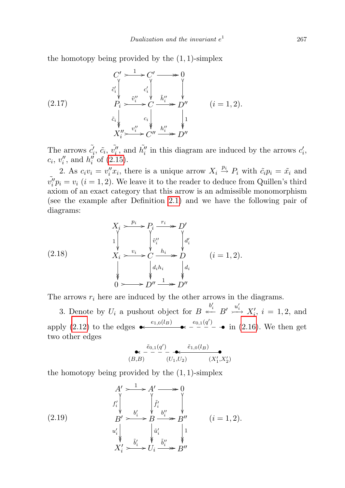the homotopy being provided by the  $(1, 1)$ -simplex

$$
(2.17)
$$
\n
$$
C' \longrightarrow C' \longrightarrow 0
$$
\n
$$
\tilde{c}'_i \downarrow \qquad c'_i \downarrow \qquad \qquad \downarrow
$$
\n
$$
P_i \longrightarrow C' \longrightarrow \tilde{h}''_i \longrightarrow D''
$$
\n
$$
\tilde{c}_i \downarrow \qquad c_i \downarrow \qquad \qquad \downarrow
$$
\n
$$
X''_i \longrightarrow C'' \longrightarrow \tilde{h}''_i \longrightarrow D''
$$
\n
$$
(i = 1, 2).
$$

The arrows  $\tilde{c}'_i$ ,  $\tilde{c}_i$ ,  $\tilde{v}''_i$ , and  $\tilde{h}''_i$  in this diagram are induced by the arrows  $c'_i$ ,  $c_i, v''_i$ , and  $h''_i$  of [\(2.15\)](#page-33-1).

2. As  $c_i v_i = v_i'' x_i$ , there is a unique arrow  $X_i \stackrel{p_i}{\rightarrow} P_i$  with  $\tilde{c}_i p_i = \tilde{x}_i$  and  $\tilde{v''_i} p_i = v_i$   $(i = 1, 2)$ . We leave it to the reader to deduce from Quillen's third axiom of an exact category that this arrow is an admissible monomorphism (see the example after Definition [2.1\)](#page-3-2) and we have the following pair of diagrams:

<span id="page-34-0"></span>(2.18)  
\n
$$
\begin{array}{ccc}\nX_i > \frac{p_i}{\sqrt{p_i}} > P_i \xrightarrow{r_i} > D' \\
\downarrow & \downarrow & \downarrow & \downarrow \\
X_i > \frac{v_i}{\sqrt{p_i}} > C \xrightarrow{h_i} > D \\
\downarrow & \downarrow & \downarrow & \downarrow \\
0 > > D'' \xrightarrow{1} > D''\n\end{array}\n\quad (i = 1, 2).
$$

The arrows  $r_i$  here are induced by the other arrows in the diagrams.

3. Denote by  $U_i$  a pushout object for  $B \stackrel{b'_i}{\longleftarrow} B' \stackrel{u'_i}{\longrightarrow} X'_i$ ,  $i = 1, 2$ , and apply [\(2.12\)](#page-30-0) to the edges  $\leftarrow$   $e_{1,0}(l_B)$   $\leftarrow$   $e_{0,1}(q')$   $\rightarrow$  in [\(2.16\)](#page-33-0). We then get two other edges

$$
\underset{(B,B)}{\underbrace{\ast\circ\cdots\circ}^{~\widetilde{e}_{0,1}(q')}\cdots\underset{(U_1,U_2)}{\underbrace{\ast\circ\cdots\circ}^{~\widetilde{e}_{1,0}(l_B)}}}
$$

the homotopy being provided by the  $(1, 1)$ -simplex

(2.19) 
$$
A' \longrightarrow A' \longrightarrow 0
$$
  
\n
$$
f'_i \downarrow \qquad \qquad \downarrow \qquad \qquad \downarrow \qquad \downarrow \qquad \downarrow \qquad \downarrow
$$
  
\n
$$
B' \longrightarrow B \longrightarrow B'' \longrightarrow B''
$$
  
\n
$$
u'_i \downarrow \qquad \qquad \downarrow \qquad \downarrow \qquad \downarrow \qquad \downarrow \qquad \downarrow
$$
  
\n
$$
X'_i \longrightarrow U_i \longrightarrow B''
$$
  
\n
$$
(i = 1, 2).
$$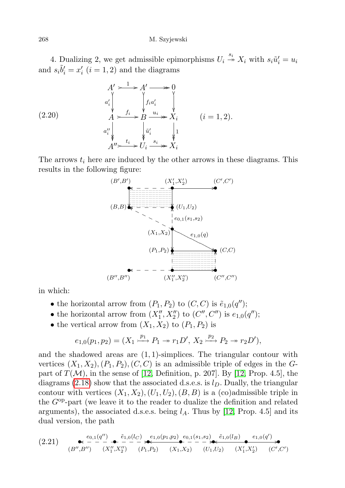4. Dualizing 2, we get admissible epimorphisms  $U_i \stackrel{s_i}{\rightarrow} X_i$  with  $s_i \tilde{u}'_i = u_i$ and  $s_i \tilde{b}'_i = x'_i$   $(i = 1, 2)$  and the diagrams

(2.20)  
\n
$$
\begin{array}{ccc}\nA' & \xrightarrow{1} & A' & \xrightarrow{0} & 0 \\
a'_i & \searrow & \searrow & \searrow & \searrow \\
A & \xrightarrow{f_i} & B \xrightarrow{u_i} & X_i & (i = 1, 2). \\
a''_i & \searrow & \searrow & \searrow \\
A'' & \xrightarrow{t_i} & U_i \xrightarrow{s_i} & X_i\n\end{array}
$$

The arrows  $t_i$  here are induced by the other arrows in these diagrams. This results in the following figure:



in which:

- the horizontal arrow from  $(P_1, P_2)$  to  $(C, C)$  is  $\tilde{e}_{1,0}(q'')$ ;
- the horizontal arrow from  $(X''_1, X''_2)$  to  $(C'', C'')$  is  $e_{1,0}(q'')$ ;
- the vertical arrow from  $(X_1, X_2)$  to  $(P_1, P_2)$  is

$$
e_{1,0}(p_1, p_2) = (X_1 \xrightarrow{p_1} P_1 \twoheadrightarrow r_1 D', X_2 \xrightarrow{p_2} P_2 \twoheadrightarrow r_2 D'),
$$

and the shadowed areas are  $(1, 1)$ -simplices. The triangular contour with vertices  $(X_1, X_2), (P_1, P_2), (C, C)$  is an admissible triple of edges in the Gpart of  $T(\mathcal{M})$ , in the sense of [\[12,](#page-65-14) Definition, p. 207]. By [12, Prop. 4.5], the diagrams [\(2.18\)](#page-34-0) show that the associated d.s.e.s. is  $l<sub>D</sub>$ . Dually, the triangular contour with vertices  $(X_1, X_2), (U_1, U_2), (B, B)$  is a (co)admissible triple in the Gop-part (we leave it to the reader to dualize the definition and related arguments), the associated d.s.e.s. being  $l_A$ . Thus by [\[12,](#page-65-14) Prop. 4.5] and its dual version, the path

<span id="page-35-0"></span>
$$
(2.21) \quad \underset{(B'',B'')}{\bullet} \overset{e_{0,1}(q'')}{\bullet} \overset{\tilde{e}_{1,0}(l_C)}{\bullet} \underset{(X''_1, X''_2)}{\bullet} \overset{e_{1,0}(p_1, p_2)}{\bullet} \underset{(P_1, P_2)}{\bullet} \overset{e_{1,0}(p_1, p_2)}{\bullet} \overset{e_{0,1}(s_1, s_2)}{\bullet} \overset{\tilde{e}_{1,0}(l_B)}{\bullet} \overset{e_{1,0}(q')}{\bullet} \overset{e_{1,0}(q')}{\bullet} \overset{e_{1,0}(q')}{\bullet} \overset{e_{1,0}(q')}{\bullet} \overset{e_{1,0}(q')}{\bullet} \overset{e_{1,0}(q')}{\bullet} \overset{e_{1,0}(q')}{\bullet} \overset{e_{1,0}(q')}{\bullet} \overset{e_{1,0}(q')}{\bullet} \overset{e_{1,0}(q')}{\bullet} \overset{e_{1,0}(q')}{\bullet} \overset{e_{1,0}(q')}{\bullet} \overset{e_{1,0}(q')}{\bullet} \overset{e_{1,0}(q')}{\bullet} \overset{e_{1,0}(q')}{\bullet} \overset{e_{1,0}(q')}{\bullet} \overset{e_{1,0}(q')}{\bullet} \overset{e_{1,0}(q')}{\bullet} \overset{e_{1,0}(q')}{\bullet} \overset{e_{1,0}(q')}{\bullet} \overset{e_{1,0}(q')}{\bullet} \overset{e_{1,0}(q')}{\bullet} \overset{e_{1,0}(q')}{\bullet} \overset{e_{1,0}(q')}{\bullet} \overset{e_{1,0}(q')}{\bullet} \overset{e_{1,0}(q')}{\bullet} \overset{e_{1,0}(q')}{\bullet} \overset{e_{1,0}(q')}{\bullet} \overset{e_{1,0}(q')}{\bullet} \overset{e_{1,0}(q')}{\bullet} \overset{e_{1,0}(q')}{\bullet} \overset{e_{1,0}(q')}{\bullet} \overset{e_{1,0}(q')}{\bullet} \overset{e_{1,0}(q')}{\bullet} \overset{e_{1,0}(q')}{\bullet} \overset{e_{1,0}(q')}{\bullet} \overset{e_{1,0}(q')}{\bullet
$$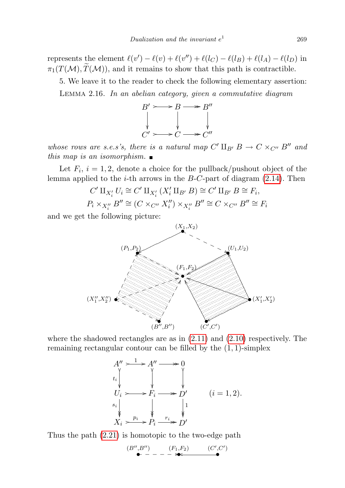represents the element  $\ell(v') - \ell(v) + \ell(v'') + \ell(l_C) - \ell(l_B) + \ell(l_A) - \ell(l_D)$  in  $\pi_1(T(\mathcal{M}), \widetilde{T}(\mathcal{M}))$ , and it remains to show that this path is contractible.

5. We leave it to the reader to check the following elementary assertion: Lemma 2.16. In an abelian category, given a commutative diagram



whose rows are s.e.s's, there is a natural map  $C' \amalg_{B'} B \to C \times_{C''} B''$  and this map is an isomorphism.  $\blacksquare$ 

Let  $F_i$ ,  $i = 1, 2$ , denote a choice for the pullback/pushout object of the lemma applied to the *i*-th arrows in the  $B$ -C-part of diagram [\(2.14\)](#page-32-0). Then

$$
C' \amalg_{X_i'} U_i \cong C' \amalg_{X_i'} (X_i' \amalg_{B'} B) \cong C' \amalg_{B'} B \cong F_i,
$$
  

$$
P_i \times_{X_i''} B'' \cong (C \times_{C''} X_i'') \times_{X_i''} B'' \cong C \times_{C''} B'' \cong F_i
$$

and we get the following picture:



where the shadowed rectangles are as in  $(2.11)$  and  $(2.10)$  respectively. The remaining rectangular contour can be filled by the (1, 1)-simplex

$$
A'' \longrightarrow A'' \longrightarrow 0
$$
  
\n
$$
t_i \downarrow \qquad \qquad \searrow \qquad \searrow
$$
  
\n
$$
U_i \longrightarrow F_i \longrightarrow D'
$$
  
\n
$$
s_i \downarrow \qquad \qquad \searrow \qquad \searrow
$$
  
\n
$$
X_i \longrightarrow P_i \xrightarrow{r_i} D'
$$
  
\n
$$
(i = 1, 2).
$$

Thus the path [\(2.21\)](#page-35-0) is homotopic to the two-edge path

(B00,B00) (F1,F2) (C<sup>0</sup> ,C<sup>0</sup> ) • \_\_\_\_\_\_ • • o/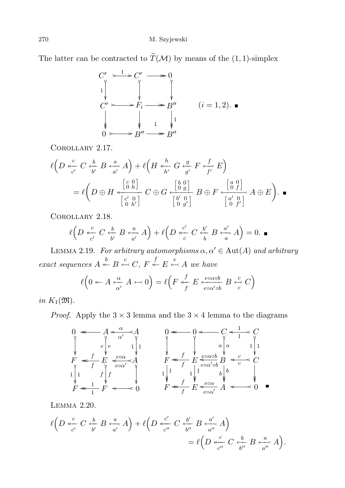The latter can be contracted to  $\widetilde{T}(\mathcal{M})$  by means of the (1, 1)-simplex

$$
C' \longrightarrow C' \longrightarrow 0
$$
  
\n
$$
\downarrow \qquad \qquad \downarrow \qquad \qquad \downarrow
$$
  
\n
$$
C' \longrightarrow F_i \longrightarrow B''
$$
  
\n
$$
\downarrow \qquad \qquad \downarrow
$$
  
\n
$$
\downarrow \qquad \qquad \downarrow
$$
  
\n
$$
\downarrow \qquad \qquad \downarrow
$$
  
\n
$$
\downarrow \qquad \qquad \downarrow
$$
  
\n
$$
\downarrow \qquad \qquad \downarrow
$$
  
\n
$$
\downarrow \qquad \qquad \downarrow
$$
  
\n
$$
\downarrow \qquad \qquad \downarrow
$$
  
\n
$$
\downarrow \qquad \qquad \downarrow
$$
  
\n
$$
\downarrow \qquad \qquad \downarrow
$$
  
\n
$$
\downarrow \qquad \qquad \downarrow
$$
  
\n
$$
\downarrow \qquad \qquad \downarrow
$$
  
\n
$$
\downarrow \qquad \qquad \downarrow
$$
  
\n
$$
\downarrow \qquad \qquad \downarrow
$$
  
\n
$$
\downarrow \qquad \qquad \downarrow
$$
  
\n
$$
\downarrow \qquad \qquad \downarrow
$$
  
\n
$$
\downarrow \qquad \qquad \downarrow
$$
  
\n
$$
\downarrow \qquad \qquad \downarrow
$$
  
\n
$$
\downarrow \qquad \qquad \downarrow
$$
  
\n
$$
\downarrow \qquad \qquad \downarrow
$$
  
\n
$$
\downarrow \qquad \qquad \downarrow
$$
  
\n
$$
\downarrow \qquad \qquad \downarrow
$$
  
\n
$$
\downarrow \qquad \qquad \downarrow
$$
  
\n
$$
\downarrow \qquad \qquad \downarrow
$$
  
\n
$$
\downarrow \qquad \qquad \downarrow
$$
  
\n
$$
\downarrow \qquad \qquad \downarrow
$$
  
\n
$$
\downarrow \qquad \qquad \downarrow
$$
  
\n
$$
\downarrow \qquad \qquad \downarrow
$$
  
\n
$$
\downarrow \qquad \qquad \downarrow
$$
  
\n
$$
\downarrow \qquad \qquad \downarrow
$$
  
\n
$$
\downarrow \qquad \qquad \downarrow
$$
  
\

Corollary 2.17.

$$
\ell\left(D \stackrel{c}{\underset{c'}{*}} C \stackrel{b}{\underset{b'}{*}} B \stackrel{a}{\underset{a'}{*}} A\right) + \ell\left(H \stackrel{h}{\underset{h'}{*}} G \stackrel{g}{\underset{g'}{*}} F \stackrel{f}{\underset{f'}{*}} E\right)
$$
\n
$$
= \ell\left(D \oplus H \stackrel{\left[\begin{smallmatrix}c & 0\\0 & h\end{smallmatrix}\right]}{\underset{\left[\begin{smallmatrix}c' & 0\\0 & h'\end{smallmatrix}\right]}{*}} C \oplus G \stackrel{\left[\begin{smallmatrix}b & 0\\0 & g\end{smallmatrix}\right]}{\underset{\left[\begin{smallmatrix}b' & 0\\0 & g'\end{smallmatrix}\right]}{*}} B \oplus F \stackrel{\left[\begin{smallmatrix}a & 0\\0 & f\end{smallmatrix}\right]}{\underset{\left[\begin{smallmatrix}a' & 0\\0 & f'\end{smallmatrix}\right]}{*}} A \oplus E\right).
$$

Corollary 2.18.

$$
\ell\left(D \stackrel{c}{\underset{c'}{*}} C \stackrel{b}{\underset{b'}{*}} B \stackrel{a}{\underset{a'}{*}} A\right) + \ell\left(D \stackrel{c'}{\underset{c}{*}} C \stackrel{b'}{\underset{b}{*}} B \stackrel{a'}{\underset{a'}{*}} A\right) = 0.
$$

<span id="page-37-0"></span>LEMMA 2.19. For arbitrary automorphisms  $\alpha, \alpha' \in \text{Aut}(A)$  and arbitrary exact sequences  $A \stackrel{b}{\leftarrow} B \stackrel{c}{\leftarrow} C$ ,  $F \stackrel{f}{\leftarrow} E \stackrel{e}{\leftarrow} A$  we have

$$
\ell\Big(0 \twoheadleftarrow A \xleftarrow{\alpha} A \leftarrow 0\Big) = \ell\Big(F \xleftarrow{f} E \xleftarrow{e \circ \alpha \circ b} B \xleftarrow{c} C\Big)
$$

in  $K_1(\mathfrak{M})$ .

*Proof.* Apply the  $3 \times 3$  lemma and the  $3 \times 4$  lemma to the diagrams



<span id="page-37-1"></span>Lemma 2.20.

$$
\ell\left(D \stackrel{c}{\underset{c'}{*}} C \stackrel{b}{\underset{b'}{*}} B \stackrel{a}{\underset{a'}{*}} A\right) + \ell\left(D \stackrel{c'}{\underset{c''}{*}} C \stackrel{b'}{\underset{b''}{*}} B \stackrel{a'}{\underset{a''}{*}} A\right)
$$

$$
= \ell\left(D \stackrel{c}{\underset{c''}{*}} C \stackrel{b}{\underset{b''}{*}} B \stackrel{a}{\underset{a''}{*}} A\right).
$$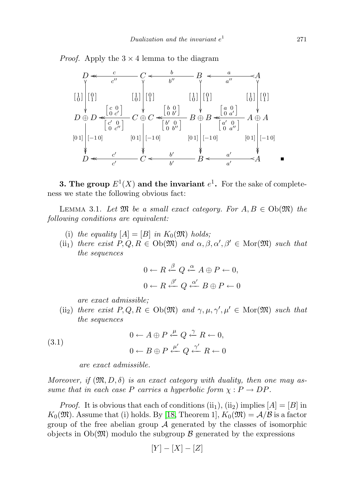*Proof.* Apply the  $3 \times 4$  lemma to the diagram



**3. The group**  $E^1(X)$  and the invariant  $e^1$ . For the sake of completeness we state the following obvious fact:

LEMMA 3.1. Let  $\mathfrak{M}$  be a small exact category. For  $A, B \in Ob(\mathfrak{M})$  the following conditions are equivalent:

- (i) the equality  $[A] = [B]$  in  $K_0(\mathfrak{M})$  holds;
- (ii<sub>1</sub>) there exist  $P,Q,R \in Ob(\mathfrak{M})$  and  $\alpha,\beta,\alpha',\beta' \in \text{Mor}(\mathfrak{M})$  such that the sequences

$$
0 \leftarrow R \stackrel{\beta}{\leftarrow} Q \stackrel{\alpha}{\leftarrow} A \oplus P \leftarrow 0,
$$
  

$$
0 \leftarrow R \stackrel{\beta'}{\leftarrow} Q \stackrel{\alpha'}{\leftarrow} B \oplus P \leftarrow 0
$$

are exact admissible;

(ii<sub>2</sub>) there exist  $P, Q, R \in Ob(\mathfrak{M})$  and  $\gamma, \mu, \gamma', \mu' \in Mor(\mathfrak{M})$  such that the sequences

(3.1) 
$$
0 \leftarrow A \oplus P \stackrel{\mu}{\leftarrow} Q \stackrel{\gamma}{\leftarrow} R \leftarrow 0, 0 \leftarrow B \oplus P \stackrel{\mu'}{\leftarrow} Q \stackrel{\gamma'}{\leftarrow} R \leftarrow 0
$$

<span id="page-38-0"></span>are exact admissible.

Moreover, if  $(\mathfrak{M}, D, \delta)$  is an exact category with duality, then one may assume that in each case P carries a hyperbolic form  $\chi : P \to DP$ .

*Proof.* It is obvious that each of conditions  $(ii_1)$ ,  $(ii_2)$  implies  $[A] = [B]$  in  $K_0(\mathfrak{M})$ . Assume that (i) holds. By [\[18,](#page-65-3) Theorem 1],  $K_0(\mathfrak{M}) = \mathcal{A}/\mathcal{B}$  is a factor group of the free abelian group  $\mathcal A$  generated by the classes of isomorphic objects in  $Ob(\mathfrak{M})$  modulo the subgroup  $\beta$  generated by the expressions

$$
[Y] - [X] - [Z]
$$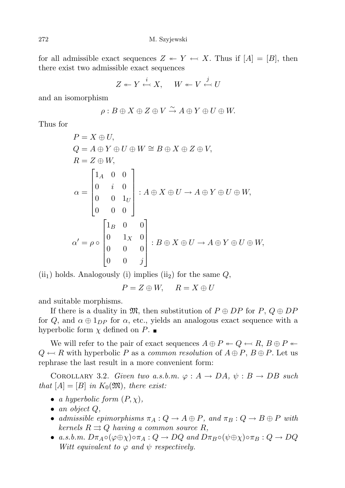for all admissible exact sequences  $Z \leftarrow Y \leftarrow X$ . Thus if  $[A] = [B]$ , then there exist two admissible exact sequences

$$
Z \leftarrow Y \xleftarrow{i} X, \quad W \leftarrow V \xleftarrow{j} U
$$

and an isomorphism

$$
\rho: B \oplus X \oplus Z \oplus V \xrightarrow{\sim} A \oplus Y \oplus U \oplus W.
$$

Thus for

$$
P = X \oplus U,
$$
  
\n
$$
Q = A \oplus Y \oplus U \oplus W \cong B \oplus X \oplus Z \oplus V,
$$
  
\n
$$
R = Z \oplus W,
$$
  
\n
$$
\alpha = \begin{bmatrix} 1_A & 0 & 0 \\ 0 & i & 0 \\ 0 & 0 & 1_U \\ 0 & 0 & 0 \end{bmatrix} : A \oplus X \oplus U \to A \oplus Y \oplus U \oplus W,
$$
  
\n
$$
\alpha' = \rho \circ \begin{bmatrix} 1_B & 0 & 0 \\ 0 & 1_X & 0 \\ 0 & 0 & 0 \\ 0 & 0 & j \end{bmatrix} : B \oplus X \oplus U \to A \oplus Y \oplus U \oplus W,
$$

 $(iii<sub>1</sub>)$  holds. Analogously (i) implies  $(ii<sub>2</sub>)$  for the same  $Q$ ,

$$
P = Z \oplus W, \quad R = X \oplus U
$$

and suitable morphisms.

If there is a duality in  $\mathfrak{M}$ , then substitution of  $P \oplus DP$  for  $P, Q \oplus DP$ for Q, and  $\alpha \oplus 1_{DP}$  for  $\alpha$ , etc., yields an analogous exact sequence with a hyperbolic form  $\chi$  defined on P.

We will refer to the pair of exact sequences  $A \oplus P \leftarrow Q \leftarrow R$ ,  $B \oplus P \leftarrow$  $Q \leftarrow R$  with hyperbolic P as a common resolution of  $A \oplus P$ ,  $B \oplus P$ . Let us rephrase the last result in a more convenient form:

<span id="page-39-0"></span>COROLLARY 3.2. Given two a.s.b.m.  $\varphi : A \to DA$ ,  $\psi : B \to DB$  such that  $[A] = [B]$  in  $K_0(\mathfrak{M})$ , there exist:

- a hyperbolic form  $(P, \chi)$ ,
- $\bullet$  an object  $Q$ ,
- admissible epimorphisms  $\pi_A: Q \to A \oplus P$ , and  $\pi_B: Q \to B \oplus P$  with kernels  $R \rightrightarrows Q$  having a common source R,
- a.s.b.m.  $D\pi_A \circ (\varphi \oplus \chi) \circ \pi_A : Q \to DQ$  and  $D\pi_B \circ (\psi \oplus \chi) \circ \pi_B : Q \to DQ$ Witt equivalent to  $\varphi$  and  $\psi$  respectively.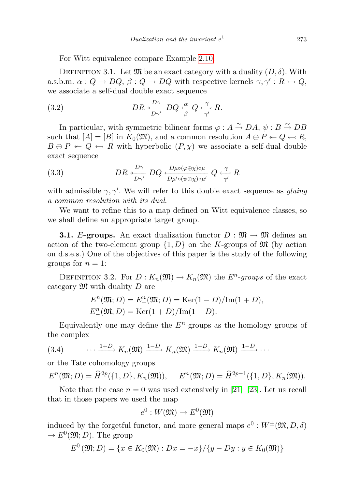For Witt equivalence compare Example [2.10.](#page-16-0)

DEFINITION 3.1. Let  $\mathfrak{M}$  be an exact category with a duality  $(D, \delta)$ . With a.s.b.m.  $\alpha: Q \to DQ, \beta: Q \to DQ$  with respective kernels  $\gamma, \gamma': R \to Q$ , we associate a self-dual double exact sequence

(3.2) 
$$
DR \underset{D\gamma'}{\xrightarrow{D\gamma}} DQ \underset{\beta}{\xrightarrow{\alpha}} Q \underset{\gamma'}{\xrightarrow{\gamma}} R.
$$

In particular, with symmetric bilinear forms  $\varphi : A \overset{\sim}{\to} DA$ ,  $\psi : B \overset{\sim}{\to} DB$ such that  $[A] = [B]$  in  $K_0(\mathfrak{M})$ , and a common resolution  $A \oplus P \leftarrow Q \leftarrow R$ ,  $B \oplus P \leftarrow Q \leftarrow R$  with hyperbolic  $(P, \chi)$  we associate a self-dual double exact sequence

<span id="page-40-1"></span>(3.3) 
$$
DR \underset{D\gamma'}{\xrightarrow{D\gamma}} DQ \underset{D\mu'\circ(\psi\oplus\chi)\circ\mu'}{\xrightarrow{D\mu\circ(\varphi\oplus\chi)\circ\mu}} Q \underset{\gamma'}{\xrightarrow{\gamma}} R
$$

with admissible  $\gamma$ ,  $\gamma'$ . We will refer to this double exact sequence as *gluing* a common resolution with its dual.

We want to refine this to a map defined on Witt equivalence classes, so we shall define an appropriate target group.

**3.1.** E-groups. An exact dualization functor  $D : \mathfrak{M} \to \mathfrak{M}$  defines an action of the two-element group  $\{1, D\}$  on the K-groups of  $\mathfrak{M}$  (by action on d.s.e.s.) One of the objectives of this paper is the study of the following groups for  $n = 1$ :

<span id="page-40-0"></span>DEFINITION 3.2. For  $D: K_n(\mathfrak{M}) \to K_n(\mathfrak{M})$  the  $E^n$ -groups of the exact category  $\mathfrak{M}$  with duality D are

$$
E^{n}(\mathfrak{M}; D) = E_{+}^{n}(\mathfrak{M}; D) = \text{Ker}(1 - D) / \text{Im}(1 + D),
$$
  

$$
E_{-}^{n}(\mathfrak{M}; D) = \text{Ker}(1 + D) / \text{Im}(1 - D).
$$

Equivalently one may define the  $E<sup>n</sup>$ -groups as the homology groups of the complex

(3.4) 
$$
\cdots \xrightarrow{1+D} K_n(\mathfrak{M}) \xrightarrow{1-D} K_n(\mathfrak{M}) \xrightarrow{1+D} K_n(\mathfrak{M}) \xrightarrow{1-D} \cdots
$$

or the Tate cohomology groups

$$
E^{n}(\mathfrak{M}; D) = \widehat{H}^{2p}(\{1, D\}, K_{n}(\mathfrak{M})), \quad E_{-}^{n}(\mathfrak{M}; D) = \widehat{H}^{2p-1}(\{1, D\}, K_{n}(\mathfrak{M})).
$$

Note that the case  $n = 0$  was used extensively in [\[21\]](#page-65-16)–[\[23\]](#page-66-0). Let us recall that in those papers we used the map

$$
e^0: W(\mathfrak{M}) \to E^0(\mathfrak{M})
$$

induced by the forgetful functor, and more general maps  $e^0 : W^{\pm}(\mathfrak{M}, D, \delta)$  $\to E^0(\mathfrak{M}; D)$ . The group

$$
E_{-}^{0}(\mathfrak{M};D)=\{x\in K_{0}(\mathfrak{M}):Dx=-x\}/\{y-Dy:y\in K_{0}(\mathfrak{M})\}
$$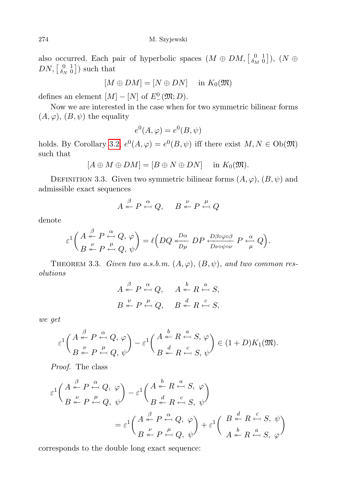also occurred. Each pair of hyperbolic spaces  $(M \oplus DM, \begin{bmatrix} 0 & 1 \\ \delta_M & 0 \end{bmatrix})$ ,  $(N \oplus$  $DN, \begin{bmatrix} 0 & 1 \\ \delta_N & 0 \end{bmatrix}$  such that

$$
[M \oplus DM] = [N \oplus DN] \quad \text{ in } K_0(\mathfrak{M})
$$

defines an element  $[M] - [N]$  of  $E^0_-(\mathfrak{M}; D)$ .

Now we are interested in the case when for two symmetric bilinear forms  $(A, \varphi), (B, \psi)$  the equality

$$
e^0(A,\varphi) = e^0(B,\psi)
$$

holds. By Corollary [3.2,](#page-39-0)  $e^{0}(A, \varphi) = e^{0}(B, \psi)$  iff there exist  $M, N \in Ob(\mathfrak{M})$ such that

$$
[A \oplus M \oplus DM] = [B \oplus N \oplus DN] \quad \text{in } K_0(\mathfrak{M}).
$$

DEFINITION 3.3. Given two symmetric bilinear forms  $(A, \varphi), (B, \psi)$  and admissible exact sequences

$$
A \stackrel{\beta}{\leftarrow} P \stackrel{\alpha}{\leftarrow} Q, \quad B \stackrel{\nu}{\leftarrow} P \stackrel{\mu}{\leftarrow} Q
$$

denote

$$
\varepsilon^1 \bigg( \frac{A}{B} \underset{\leftarrow}{\overset{\beta}{\leftarrow}} P \underset{\leftarrow}{\overset{\alpha}{\leftarrow}} Q, \varphi \bigg) = \ell \bigg( D Q \underset{D\mu}{\overset{D\alpha}{\leftarrow}} DP \underset{D\nu \circ \psi \circ \nu}{\overset{D\beta \circ \varphi \circ \beta}{\leftarrow}} P \underset{\mu}{\overset{\alpha}{\leftarrow}} Q \bigg).
$$

<span id="page-41-0"></span>THEOREM 3.3. Given two a.s.b.m.  $(A, \varphi), (B, \psi),$  and two common resolutions

$$
A \stackrel{\beta}{\leftarrow} P \stackrel{\alpha}{\leftarrow} Q, \quad A \stackrel{b}{\leftarrow} R \stackrel{a}{\leftarrow} S,
$$
  

$$
B \stackrel{\nu}{\leftarrow} P \stackrel{\mu}{\leftarrow} Q, \quad B \stackrel{d}{\leftarrow} R \stackrel{c}{\leftarrow} S,
$$

we get

$$
\varepsilon^1 \bigg( \frac{A \overset{\beta}{\leftarrow} P \overset{\alpha}{\leftarrow} Q, \varphi}{B \overset{\nu}{\leftarrow} P \overset{\alpha}{\leftarrow} Q, \psi} \bigg) - \varepsilon^1 \bigg( \frac{A \overset{b}{\leftarrow} R \overset{a}{\leftarrow} S, \varphi}{B \overset{d}{\leftarrow} R \overset{c}{\leftarrow} S, \psi} \bigg) \in (1+D)K_1(\mathfrak{M}).
$$

Proof. The class

$$
\varepsilon^{1}\left(\begin{array}{c} A & \stackrel{\beta}{\leftarrow} P & \stackrel{\alpha}{\leftarrow} Q, \ \varphi \\ B & \stackrel{\nu}{\leftarrow} P & \stackrel{\mu}{\leftarrow} Q, \ \psi \end{array}\right) - \varepsilon^{1}\left(\begin{array}{c} A & \stackrel{b}{\leftarrow} R & \stackrel{a}{\leftarrow} S, \ \varphi \\ B & \stackrel{d}{\leftarrow} R & \stackrel{c}{\leftarrow} S, \ \psi \end{array}\right)\right) \\
= \varepsilon^{1}\left(\begin{array}{c} A & \stackrel{\beta}{\leftarrow} P & \stackrel{\alpha}{\leftarrow} Q, \ \varphi \\ B & \stackrel{\mu}{\leftarrow} P & \stackrel{\alpha}{\leftarrow} Q, \ \psi \end{array}\right) + \varepsilon^{1}\left(\begin{array}{c} B & \stackrel{d}{\leftarrow} R & \stackrel{c}{\leftarrow} S, \ \psi \\ A & \stackrel{b}{\leftarrow} R & \stackrel{a}{\leftarrow} S, \ \varphi \end{array}\right) \right)\right)\right)
$$

corresponds to the double long exact sequence: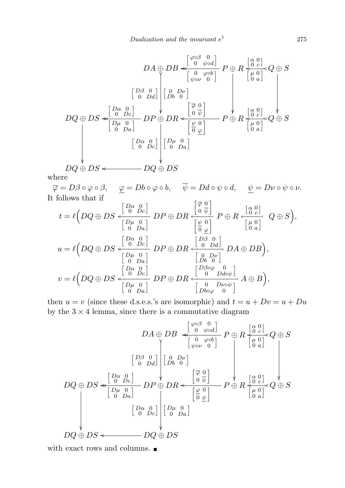$$
DA \oplus DB \llbracket \frac{\varphi \circ \beta & 0}{\varphi \circ \phi} \right] P \oplus R \frac{\frac{\varphi \circ \beta}{\varphi \circ \varphi}}{\frac{\varphi \circ \beta}{\varphi \circ \varphi}} Q \oplus S
$$
\n
$$
DQ \oplus DS \llbracket \frac{D\alpha & 0}{\varphi \circ \varphi} \right] \qquad \qquad \downarrow \qquad \downarrow \qquad \downarrow \qquad \downarrow \qquad \downarrow \qquad \downarrow \qquad \downarrow \qquad \downarrow \qquad \downarrow \qquad \downarrow \qquad \downarrow \qquad \downarrow \qquad \downarrow \qquad \downarrow \qquad \downarrow \qquad \downarrow \qquad \downarrow \qquad \downarrow \qquad \downarrow \qquad \downarrow \qquad \downarrow \qquad \downarrow \qquad \downarrow \qquad \downarrow \qquad \downarrow \qquad \downarrow \qquad \downarrow \qquad \downarrow \qquad \downarrow \qquad \downarrow \qquad \downarrow \qquad \downarrow \qquad \downarrow \qquad \downarrow \qquad \downarrow \qquad \downarrow \qquad \downarrow \qquad \downarrow \qquad \downarrow \qquad \downarrow \qquad \downarrow \qquad \downarrow \qquad \downarrow \qquad \downarrow \qquad \downarrow \qquad \downarrow \qquad \downarrow \qquad \downarrow \qquad \downarrow \qquad \downarrow \qquad \downarrow \qquad \downarrow \qquad \downarrow \qquad \downarrow \qquad \downarrow \qquad \downarrow \qquad \downarrow \qquad \downarrow \qquad \downarrow \qquad \downarrow \qquad \downarrow \qquad \downarrow \qquad \downarrow \qquad \downarrow \qquad \downarrow \qquad \downarrow \qquad \downarrow \qquad \downarrow \qquad \downarrow \qquad \downarrow \qquad \downarrow \qquad \downarrow \qquad \downarrow \qquad \downarrow \qquad \downarrow \qquad \downarrow \qquad \downarrow \qquad \downarrow \qquad \downarrow \qquad \downarrow \qquad \downarrow \qquad \downarrow \qquad \downarrow \qquad \downarrow \qquad \downarrow \qquad \downarrow \qquad \downarrow \qquad \downarrow \qquad \downarrow \qquad \downarrow \qquad \downarrow \qquad \downarrow \qquad \downarrow \qquad \downarrow \qquad \downarrow \qquad \downarrow \qquad \downarrow \qquad \downarrow \qquad \downarrow \qquad \downarrow \qquad \downarrow \qquad \downarrow \qquad \downarrow \qquad \downarrow \qquad \downarrow \
$$

where

 $\overline{\varphi} = D\beta \circ \varphi \circ \beta$ ,  $\underline{\varphi} = Db \circ \varphi \circ b$ ,  $\overline{\psi} = Dd \circ \psi \circ d$ ,  $\underline{\psi} = D\nu \circ \psi \circ \nu$ .<br>
t follows that if It follows that if

$$
t = \ell \left(DQ \oplus DS \xleftarrow{\begin{bmatrix}D\alpha & 0 \\ 0 & D\bar{C} \end{bmatrix}} D P \oplus DR \xleftarrow{\begin{bmatrix} \overline{\varphi} & 0 \\ 0 & \overline{\psi} \end{bmatrix}} P \oplus R \xleftarrow{\begin{bmatrix} \alpha & 0 \\ 0 & c \end{bmatrix}} Q \oplus S \right),
$$
  
\n
$$
u = \ell \left(DQ \oplus DS \xleftarrow{\begin{bmatrix}D\alpha & 0 \\ 0 & D\bar{c} \end{bmatrix}} D P \oplus DR \xleftarrow{\begin{bmatrix} \psi & 0 \\ 0 & Dd \end{bmatrix}} D A \oplus DB \right),
$$
  
\n
$$
v = \ell \left(DQ \oplus DS \xleftarrow{\begin{bmatrix}D\alpha & 0 \\ 0 & D\bar{c} \end{bmatrix}} D P \oplus DR \xleftarrow{\begin{bmatrix}D\beta & 0 \\ 0 & Dd \end{bmatrix}} D A \oplus DB \right),
$$
  
\n
$$
v = \ell \left(DQ \oplus DS \xleftarrow{\begin{bmatrix}D\alpha & 0 \\ 0 & D\bar{c} \end{bmatrix}} D P \oplus DR \xleftarrow{\begin{bmatrix}D\beta \circ \varphi & 0 \\ 0 & Dd\sigma \psi \end{bmatrix}} A \oplus B \right),
$$
  
\n
$$
\left[\begin{bmatrix}D\mu & 0 \\ 0 & Da \end{bmatrix} D P \oplus DR \xleftarrow{\begin{bmatrix}D\beta \circ \varphi & 0 \\ 0 & Dd\sigma \psi \end{bmatrix}} A \oplus B \right),
$$

then  $u = v$  (since these d.s.e.s.'s are isomorphic) and  $t = u + Dv = u + Du$ by the  $3 \times 4$  lemma, since there is a commutative diagram

$$
DA \oplus DB \xleftarrow{\begin{bmatrix} \varphi \circ \beta & 0 \\ 0 & \psi \circ d \end{bmatrix}} P \oplus R \xleftarrow{\begin{bmatrix} \varphi & 0 \\ 0 & c \end{bmatrix}} Q \oplus S
$$
\n
$$
\begin{bmatrix} D\beta & 0 \\ 0 & D\alpha \end{bmatrix} \begin{bmatrix} 0 & D\nu \\ Db & 0 \end{bmatrix}
$$
\n
$$
DQ \oplus DS \xleftarrow{\begin{bmatrix} D\alpha & 0 \\ 0 & Dc \end{bmatrix}} DP \oplus DR \xleftarrow{\begin{bmatrix} \overline{\varphi} & 0 \\ 0 & \overline{\psi} \end{bmatrix}} P \oplus R \xleftarrow{\begin{bmatrix} \varphi & 0 \\ 0 & c \end{bmatrix}} Q \oplus S
$$
\n
$$
\begin{bmatrix} D\alpha & 0 \\ 0 & D\alpha \end{bmatrix} \begin{bmatrix} D\mu & 0 \\ 0 & D\alpha \end{bmatrix}
$$
\n
$$
\begin{bmatrix} D\alpha & 0 \\ 0 & Dc \end{bmatrix} \begin{bmatrix} D\mu & 0 \\ 0 & D\alpha \end{bmatrix}
$$
\n
$$
DQ \oplus DS \xleftarrow{DQ \oplus DS
$$

<span id="page-42-0"></span>with exact rows and columns.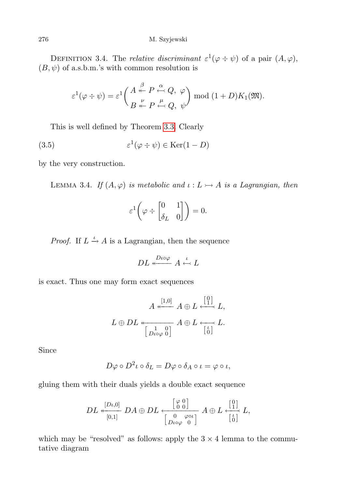DEFINITION 3.4. The *relative discriminant*  $\varepsilon^1(\varphi \div \psi)$  of a pair  $(A, \varphi)$ ,  $(B, \psi)$  of a.s.b.m.'s with common resolution is

$$
\varepsilon^1(\varphi \div \psi) = \varepsilon^1 \left( \frac{A \stackrel{\beta}{\leftarrow} P \stackrel{\alpha}{\leftarrow} Q, \varphi}{B \stackrel{\nu}{\leftarrow} P \stackrel{\mu}{\leftarrow} Q, \psi} \right) \bmod (1+D) K_1(\mathfrak{M}).
$$

This is well defined by Theorem [3.3.](#page-41-0) Clearly

(3.5) 
$$
\varepsilon^1(\varphi \div \psi) \in \text{Ker}(1-D)
$$

by the very construction.

LEMMA 3.4. If  $(A, \varphi)$  is metabolic and  $\iota : L \rightarrowtail A$  is a Lagrangian, then

$$
\varepsilon^1\bigg(\varphi \div \begin{bmatrix} 0 & 1 \\ \delta_L & 0 \end{bmatrix}\bigg) = 0.
$$

*Proof.* If  $L \stackrel{\iota}{\rightarrow} A$  is a Lagrangian, then the sequence

$$
DL \stackrel{D\iota\circ\varphi}{\longleftarrow} A \stackrel{\iota}{\hookleftarrow} L
$$

is exact. Thus one may form exact sequences

$$
A \stackrel{[1,0]}{\longleftarrow} A \oplus L \stackrel{[0]}{\longleftarrow} L,
$$
  

$$
L \oplus DL \stackrel{\longleftarrow}{\longleftarrow} L \stackrel{1}{\longleftarrow} \begin{bmatrix} 0 \\ D \log \theta \end{bmatrix} A \oplus L \stackrel{[0]}{\longleftarrow} L.
$$

Since

$$
D\varphi \circ D^2\iota \circ \delta_L = D\varphi \circ \delta_A \circ \iota = \varphi \circ \iota,
$$

gluing them with their duals yields a double exact sequence

$$
DL \xleftarrow[\begin{subarray}{c} [D\iota, 0] \\ \hline [0, 1] \end{subarray}] DA \oplus DL \xleftarrow[\begin{subarray}{c} \begin{subarray}{c} \begin{subarray}{c} \varphi & 0 \\ 0 & 0 \end{subarray} \end{subarray}] A \oplus L \xleftarrow[\begin{subarray}{c} \begin{subarray}{c} \begin{subarray}{c} \begin{subarray}{c} \begin{subarray}{c} \end{subarray} \\ \hline \begin{subarray}{c} \end{subarray} \end{subarray}] \end{subarray}] D A \oplus DL \xleftarrow[\begin{subarray}{c} \begin{subarray}{c} \begin{subarray}{c} \begin{subarray}{c} \end{subarray} \\ \hline \begin{subarray}{c} \end{subarray} \end{subarray}] \end{subarray}] \end{subarray} \begin{subarray}{c} \begin{subarray}{c} \begin{subarray}{c} \begin{subarray}{c} \end{subarray} \end{subarray} \end{subarray} \end{subarray} \end{subarray}]
$$

which may be "resolved" as follows: apply the  $3 \times 4$  lemma to the commutative diagram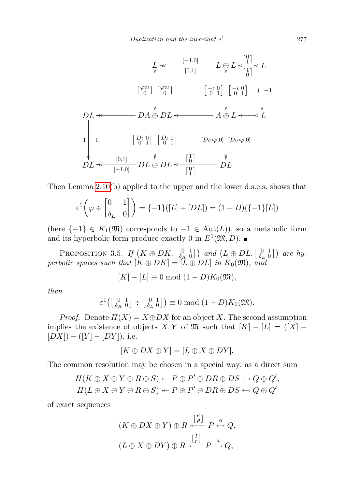

Then Lemma [2.10\(](#page-22-1)b) applied to the upper and the lower d.s.e.s. shows that

$$
\varepsilon^1\left(\varphi \div \begin{bmatrix} 0 & 1 \\ \delta_L & 0 \end{bmatrix}\right) = \{-1\}([L] + [DL]) = (1 + D)(\{-1\}[L])
$$

(here  $\{-1\} \in K_1(\mathfrak{M})$  corresponds to  $-1 \in Aut(L)$ ), so a metabolic form and its hyperbolic form produce exactly 0 in  $E^1(\mathfrak{M}, D)$ .

<span id="page-44-0"></span>PROPOSITION 3.5. If  $(K \oplus DK, \left[ \begin{smallmatrix} 0 & 1 \\ \delta_K & 0 \end{smallmatrix} \right])$  and  $(L \oplus DL, \left[ \begin{smallmatrix} 0 & 1 \\ \delta_L & 0 \end{smallmatrix} \right])$  are hyperbolic spaces such that  $[K \oplus DK] = [L \oplus DL]$  in  $K_0(\mathfrak{M})$ , and

$$
[K] - [L] \equiv 0 \bmod (1 - D)K_0(\mathfrak{M}),
$$

then

$$
\varepsilon^1\left(\begin{bmatrix} 0 & 1 \\ \delta_K & 0 \end{bmatrix} \div \begin{bmatrix} 0 & 1 \\ \delta_L & 0 \end{bmatrix}\right) \equiv 0 \bmod (1+D)K_1(\mathfrak{M}).
$$

*Proof.* Denote  $H(X) = X \oplus DX$  for an object X. The second assumption implies the existence of objects X, Y of  $\mathfrak{M}$  such that  $|K| - |L| = |X| [DX] - ([Y] - [DY]),$  i.e.

$$
[K \oplus DX \oplus Y] = [L \oplus X \oplus DY].
$$

The common resolution may be chosen in a special way: as a direct sum

$$
H(K \oplus X \oplus Y \oplus R \oplus S) \leftarrow P \oplus P' \oplus DR \oplus DS \leftarrow Q \oplus Q',
$$
  

$$
H(L \oplus X \oplus Y \oplus R \oplus S) \leftarrow P \oplus P' \oplus DR \oplus DS \leftarrow Q \oplus Q'
$$

of exact sequences

$$
(K \oplus DX \oplus Y) \oplus R \stackrel{[\begin{smallmatrix} \kappa \\ \rho \end{smallmatrix}]}{\longleftarrow} P \stackrel{\alpha}{\leftarrow} Q,
$$

$$
(L \oplus X \oplus DY) \oplus R \stackrel{[\begin{smallmatrix} l \\ r \end{smallmatrix}]}{\longleftarrow} P \stackrel{a}{\leftarrow} Q,
$$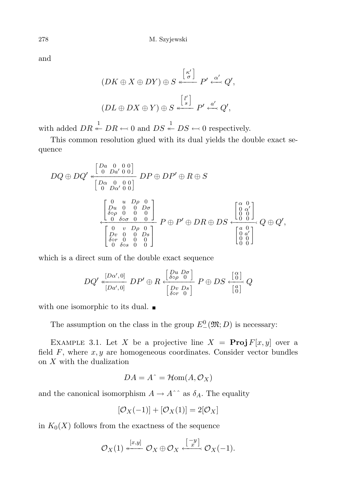and

$$
(DK \oplus X \oplus DY) \oplus S \stackrel{\begin{bmatrix} \begin{bmatrix} \kappa' \\ \sigma \end{bmatrix} & \begin{bmatrix} P' & \alpha' \\ \sim' & Q', \end{bmatrix}}{\begin{bmatrix} UL \oplus DX \oplus Y) \oplus S \stackrel{\begin{bmatrix} l' \\ \infty \end{bmatrix} & P' \stackrel{\alpha'}{\longleftarrow} Q', \end{bmatrix}}
$$

with added  $DR \stackrel{1}{\leftarrow} DR \leftarrow 0$  and  $DS \stackrel{1}{\leftarrow} DS \leftarrow 0$  respectively.

This common resolution glued with its dual yields the double exact sequence

$$
DQ \oplus DQ' \stackrel{\left[\begin{matrix}Da & 0 & 0 & 0 \\ 0 & Da' & 0 & 0 \end{matrix}\right]}{\left[\begin{matrix}Da & 0 & 0 & 0 \\ 0 & Da' & 0 & 0 \end{matrix}\right]} \ DP \oplus DP' \oplus R \oplus S
$$

$$
\stackrel{\left[\begin{matrix}0 & u & D\rho & 0 \\ Du & 0 & 0 & D\sigma \\ \delta \circ \rho & 0 & 0 & 0 \end{matrix}\right]}{\left[\begin{matrix}0 & u & D\rho & 0 \\ Da & 0 & 0 & 0 \\ 0 & \delta \circ \sigma & 0 & 0 \end{matrix}\right]} \ P \oplus P' \oplus DR \oplus DS \stackrel{\left[\begin{matrix}a & 0 \\ 0 & \alpha' \\ 0 & 0 \end{matrix}\right]}{\left[\begin{matrix}a & v & D\rho & 0 \\ \delta \circ r & 0 & 0 & 0 \\ 0 & \delta \circ s & 0 & 0 \end{matrix}\right]} Q \oplus Q',
$$

which is a direct sum of the double exact sequence

$$
DQ' \stackrel{[D\alpha', 0]}{\longleftarrow} DP' \oplus R \stackrel{[D\alpha \ D\sigma]}{\longleftarrow} P \oplus DS \stackrel{[\begin{smallmatrix} \alpha \\ \delta \circ \rho & 0 \end{smallmatrix}]}{\underbrace{[D\alpha \ D\sigma]}_{\delta \circ r & 0}} P \oplus DS \stackrel{[\begin{smallmatrix} \alpha \\ 0 \end{smallmatrix}]}{\underbrace{[\begin{smallmatrix} \alpha \\ 0 \end{smallmatrix}]}_{\{ \begin{smallmatrix} \beta \\ 0 \end{smallmatrix} \}} Q
$$

with one isomorphic to its dual.  $\blacksquare$ 

The assumption on the class in the group  $E^0(\mathfrak{M}; D)$  is necessary:

<span id="page-45-0"></span>EXAMPLE 3.1. Let X be a projective line  $X = \text{Proj } F[x, y]$  over a field  $F$ , where  $x, y$  are homogeneous coordinates. Consider vector bundles on X with the dualization

$$
DA = A^{\hat{ }} = \mathcal{H}om(A, \mathcal{O}_X)
$$

and the canonical isomorphism  $A \to A^*$  as  $\delta_A$ . The equality

$$
[\mathcal{O}_X(-1)] + [\mathcal{O}_X(1)] = 2[\mathcal{O}_X]
$$

in  $K_0(X)$  follows from the exactness of the sequence

$$
\mathcal{O}_X(1) \stackrel{[x,y]}{\longleftarrow} \mathcal{O}_X \oplus \mathcal{O}_X \stackrel{[-y]}{\longleftarrow} \mathcal{O}_X(-1).
$$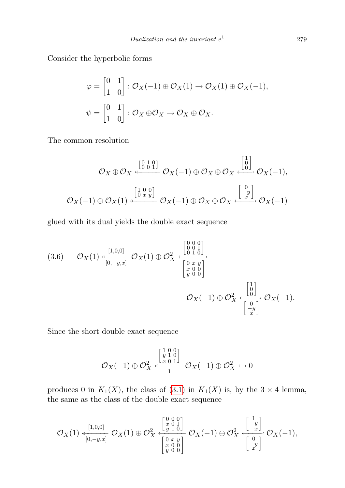Consider the hyperbolic forms

$$
\varphi = \begin{bmatrix} 0 & 1 \\ 1 & 0 \end{bmatrix} : \mathcal{O}_X(-1) \oplus \mathcal{O}_X(1) \to \mathcal{O}_X(1) \oplus \mathcal{O}_X(-1),
$$
  

$$
\psi = \begin{bmatrix} 0 & 1 \\ 1 & 0 \end{bmatrix} : \mathcal{O}_X \oplus \mathcal{O}_X \to \mathcal{O}_X \oplus \mathcal{O}_X.
$$

The common resolution

$$
\mathcal{O}_X \oplus \mathcal{O}_X \stackrel{\begin{bmatrix} 0 & 1 & 0 \\ 0 & 0 & 1 \end{bmatrix}}{\longleftrightarrow} \mathcal{O}_X(-1) \oplus \mathcal{O}_X \oplus \mathcal{O}_X \stackrel{\begin{bmatrix} 1 \\ 0 \\ -1 \end{bmatrix}}{\longleftrightarrow} \mathcal{O}_X(-1),
$$
  

$$
\mathcal{O}_X(-1) \oplus \mathcal{O}_X(1) \stackrel{\begin{bmatrix} 1 & 0 & 0 \\ 0 & x & y \end{bmatrix}}{\longleftarrow} \mathcal{O}_X(-1) \oplus \mathcal{O}_X \oplus \mathcal{O}_X \stackrel{\begin{bmatrix} 0 \\ -y \\ x \end{bmatrix}}{\longleftrightarrow} \mathcal{O}_X(-1)
$$

glued with its dual yields the double exact sequence

$$
(3.6) \qquad \mathcal{O}_X(1) \xleftarrow[\begin{smallmatrix} [1,0,0] \\ [0,0] \end{smallmatrix} ] \mathcal{O}_X(1) \oplus \mathcal{O}_X^2 \xleftarrow[\begin{smallmatrix} 0 & 0 & 0 \\ 0 & 0 & 1 \\ 0 & 1 & 0 \\ y & 0 & 0 \end{smallmatrix} ] \begin{smallmatrix} \mathcal{O}_X \\ [0,0] \\ [0,0] \end{smallmatrix} \right) \mathcal{O}_X(-1). \qquad \mathcal{O}_X(-1).
$$

Since the short double exact sequence

$$
\mathcal{O}_X(-1) \oplus \mathcal{O}_X^2 \stackrel{\begin{bmatrix} 1 & 0 & 0 \\ y & 1 & 0 \\ x & 0 & 1 \end{bmatrix}}{1} \mathcal{O}_X(-1) \oplus \mathcal{O}_X^2 \leftarrow 0
$$

produces 0 in  $K_1(X)$ , the class of [\(3.1\)](#page-45-0) in  $K_1(X)$  is, by the 3  $\times$  4 lemma, the same as the class of the double exact sequence

$$
\mathcal{O}_X(1) \xleftarrow[\begin{smallmatrix} [1,0,0] \\ [0,-y,x] \end{smallmatrix} ] \mathcal{O}_X(1) \oplus \mathcal{O}_X^2 \xleftarrow[\begin{smallmatrix} 0 & 0 & 0 \\ x & 0 & 1 \\ y & 1 & 0 \end{smallmatrix} ] \mathcal{O}_X(-1) \oplus \mathcal{O}_X^2 \xleftarrow[\begin{smallmatrix} 1 \\ -y \\ -x \end{smallmatrix} ] \mathcal{O}_X(-1),
$$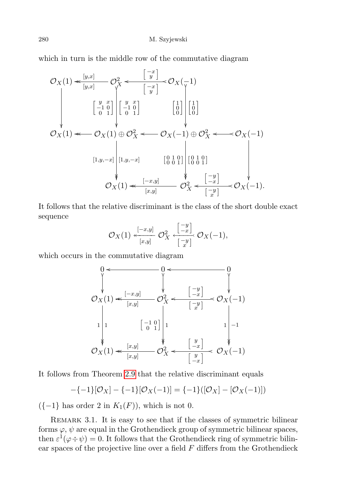which in turn is the middle row of the commutative diagram

$$
\mathcal{O}_X(1) \leq \frac{[y,x]}{[y,x]} \quad \mathcal{O}_X^2 \leq \frac{[-x]}{[x]} \quad \mathcal{O}_X(-1)
$$
\n
$$
\begin{bmatrix} y & x \\ -1 & 0 \\ 0 & 1 \end{bmatrix} \begin{bmatrix} y & x \\ -1 & 0 \\ 0 & 1 \end{bmatrix} \quad \begin{bmatrix} 1 \\ 0 \\ 0 \end{bmatrix} \begin{bmatrix} 1 \\ 0 \\ 0 \end{bmatrix}
$$
\n
$$
\mathcal{O}_X(1) \leq \mathcal{O}_X(1) \oplus \mathcal{O}_X^2 \leq \mathcal{O}_X(-1) \oplus \mathcal{O}_X^2 \leq \mathcal{O}_X(-1)
$$
\n
$$
[1,y,-x] \quad [0,1,0] \quad [0,1,0] \quad [0,0,1] \quad [0,1,0] \quad [0,1,0] \quad [0,1,0] \quad [0,1,0] \quad [0,1,0] \quad [0,1,0] \quad [0,1,0] \quad [0,1,0] \quad [0,1,0] \quad [0,1,0] \quad [0,1,0] \quad [0,1,0] \quad [0,1,0] \quad [0,1,0] \quad [0,1,0] \quad [0,1,0] \quad [0,1,0] \quad [0,1,0] \quad [0,1,0] \quad [0,1,0] \quad [0,1,0] \quad [0,1,0] \quad [0,1,0] \quad [0,1,0] \quad [0,1,0] \quad [0,1,0] \quad [0,1,0] \quad [0,1,0] \quad [0,1,0] \quad [0,1,0] \quad [0,1,0] \quad [0,1,0] \quad [0,1,0] \quad [0,1,0] \quad [0,1,0] \quad [0,1,0] \quad [0,1,0] \quad [0,1,0] \quad [0,1,0] \quad [0,1,0] \quad [0,1,0] \quad [0,1,0] \quad [0,1,0] \quad [0,1,0] \quad [0,1,0] \quad [0,1,0] \quad [0,1,0] \quad [0,1,0] \quad [0,1,0] \quad [0,1,0] \quad [0,1,0] \quad [0,1,0] \quad [0
$$

It follows that the relative discriminant is the class of the short double exact sequence

$$
\mathcal{O}_X(1) \stackrel{[-x,y]}{\leftarrow} \mathcal{O}_X^2 \stackrel{[-y]}{\leftarrow} \mathcal{O}_X \cdot \frac{(-y)}{[-y]} \mathcal{O}_X(-1),
$$

which occurs in the commutative diagram



It follows from Theorem [2.9](#page-21-0) that the relative discriminant equals

$$
-\{-1\}[\mathcal{O}_X] - \{-1\}[\mathcal{O}_X(-1)] = \{-1\}([\mathcal{O}_X] - [\mathcal{O}_X(-1)])
$$

 $({-1}$  has order 2 in  $K_1(F)$ , which is not 0.

<span id="page-47-0"></span>Remark 3.1. It is easy to see that if the classes of symmetric bilinear forms  $\varphi$ ,  $\psi$  are equal in the Grothendieck group of symmetric bilinear spaces, then  $\varepsilon^1(\varphi \div \psi) = 0$ . It follows that the Grothendieck ring of symmetric bilinear spaces of the projective line over a field  $F$  differs from the Grothendieck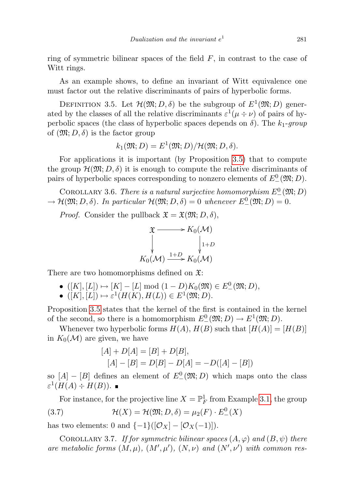ring of symmetric bilinear spaces of the field  $F$ , in contrast to the case of Witt rings.

As an example shows, to define an invariant of Witt equivalence one must factor out the relative discriminants of pairs of hyperbolic forms.

<span id="page-48-0"></span>DEFINITION 3.5. Let  $\mathcal{H}(\mathfrak{M}; D, \delta)$  be the subgroup of  $E^1(\mathfrak{M}; D)$  generated by the classes of all the relative discriminants  $\varepsilon^1(\mu \div \nu)$  of pairs of hyperbolic spaces (the class of hyperbolic spaces depends on  $\delta$ ). The  $k_1$ -group of  $(\mathfrak{M}; D, \delta)$  is the factor group

$$
k_1(\mathfrak{M}; D) = E^1(\mathfrak{M}; D)/\mathcal{H}(\mathfrak{M}; D, \delta).
$$

For applications it is important (by Proposition [3.5\)](#page-44-0) that to compute the group  $\mathcal{H}(\mathfrak{M}; D, \delta)$  it is enough to compute the relative discriminants of pairs of hyperbolic spaces corresponding to nonzero elements of  $E^0(\mathfrak{M}; D)$ .

<span id="page-48-1"></span>COROLLARY 3.6. There is a natural surjective homomorphism  $E^0_-(\mathfrak{M};D)$  $\rightarrow \mathcal{H}(\mathfrak{M}; D, \delta)$ . In particular  $\mathcal{H}(\mathfrak{M}; D, \delta) = 0$  whenever  $E^0(\mathfrak{M}; D) = 0$ .

*Proof.* Consider the pullback  $\mathfrak{X} = \mathfrak{X}(\mathfrak{M}; D, \delta)$ ,

$$
\begin{aligned}\n\mathfrak{X} &\xrightarrow{\hspace{1.5cm}} K_0(\mathcal{M}) \\
\downarrow^{\hspace{1.5cm}} \downarrow^{\hspace{1.5cm} 1+D} \\
K_0(\mathcal{M}) &\xrightarrow{1+D} K_0(\mathcal{M})\n\end{aligned}
$$

There are two homomorphisms defined on  $\mathfrak{X}$ :

- $([K], [L]) \mapsto [K] [L] \bmod (1 D)K_0(\mathfrak{M}) \in E^0(\mathfrak{M}; D),$
- $([K], [L]) \mapsto \varepsilon^1(H(K), H(L)) \in E^1(\mathfrak{M}; D).$

Proposition [3.5](#page-44-0) states that the kernel of the first is contained in the kernel of the second, so there is a homomorphism  $E^0(\mathfrak{M}; D) \to E^1(\mathfrak{M}; D)$ .

Whenever two hyperbolic forms  $H(A)$ ,  $H(B)$  such that  $[H(A)] = [H(B)]$ in  $K_0(\mathcal{M})$  are given, we have

$$
[A] + D[A] = [B] + D[B],
$$
  

$$
[A] - [B] = D[B] - D[A] = -D([A] - [B])
$$

so  $[A] - [B]$  defines an element of  $E^0(\mathfrak{M}; D)$  which maps onto the class  $\varepsilon^1(H(A) \div H(B)).$ 

For instance, for the projective line  $X = \mathbb{P}^1_F$  from Example [3.1,](#page-45-0) the group (3.7)  $\mathcal{H}(X) = \mathcal{H}(\mathfrak{M}; D, \delta) = \mu_2(F) \cdot E^0_-(X)$ 

has two elements: 0 and  $\{-1\}([\mathcal{O}_X] - [\mathcal{O}_X(-1)]).$ 

COROLLARY 3.7. If for symmetric bilinear spaces  $(A, \varphi)$  and  $(B, \psi)$  there are metabolic forms  $(M, \mu)$ ,  $(M', \mu')$ ,  $(N, \nu)$  and  $(N', \nu')$  with common res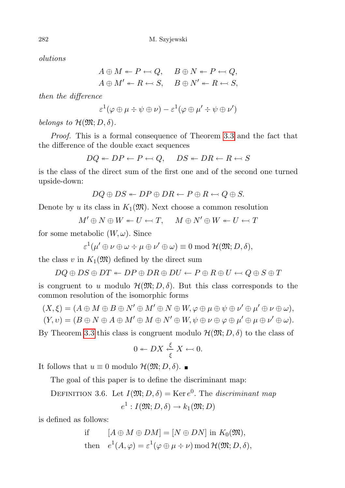olutions

 $A \oplus M \leftarrow P \leftarrow Q, \quad B \oplus N \leftarrow P \leftarrow Q,$  $A \oplus M' \leftarrow R \leftarrow S, \quad B \oplus N' \leftarrow R \leftarrow S,$ 

then the difference

$$
\varepsilon^1(\varphi \oplus \mu \div \psi \oplus \nu) - \varepsilon^1(\varphi \oplus \mu' \div \psi \oplus \nu')
$$

belongs to  $\mathcal{H}(\mathfrak{M}; D, \delta)$ .

Proof. This is a formal consequence of Theorem [3.3](#page-41-0) and the fact that the difference of the double exact sequences

$$
DQ \leftarrow DP \leftarrow P \leftarrow Q, \quad DS \leftarrow DR \leftarrow R \leftarrow S
$$

is the class of the direct sum of the first one and of the second one turned upside-down:

$$
DQ \oplus DS \leftarrow DP \oplus DR \leftarrow P \oplus R \leftarrow Q \oplus S.
$$

Denote by u its class in  $K_1(\mathfrak{M})$ . Next choose a common resolution

 $M' \oplus N \oplus W \leftarrow U \leftarrow T$ ,  $M \oplus N' \oplus W \leftarrow U \leftarrow T$ 

for some metabolic  $(W, \omega)$ . Since

$$
\varepsilon^1(\mu'\oplus\nu\oplus\omega\div\mu\oplus\nu'\oplus\omega)\equiv 0\bmod {\mathcal H}({\mathfrak M};D,\delta),
$$

the class v in  $K_1(\mathfrak{M})$  defined by the direct sum

$$
DQ \oplus DS \oplus DT \leftarrow DP \oplus DR \oplus DU \leftarrow P \oplus R \oplus U \leftarrow Q \oplus S \oplus T
$$

is congruent to u modulo  $\mathcal{H}(\mathfrak{M}; D, \delta)$ . But this class corresponds to the common resolution of the isomorphic forms

$$
(X, \xi) = (A \oplus M \oplus B \oplus N' \oplus M' \oplus N \oplus W, \varphi \oplus \mu \oplus \psi \oplus \nu' \oplus \mu \oplus \nu \oplus \omega),
$$
  
\n
$$
(Y, \nu) = (B \oplus N \oplus A \oplus M' \oplus M \oplus N' \oplus W, \psi \oplus \nu \oplus \varphi \oplus \mu' \oplus \mu \oplus \nu' \oplus \omega).
$$

By Theorem [3.3](#page-41-0) this class is congruent modulo  $\mathcal{H}(\mathfrak{M}; D, \delta)$  to the class of

$$
0 \leftarrow DX \stackrel{\xi}{\underset{\xi}{\leftarrow}} X \leftarrow 0.
$$

It follows that  $u \equiv 0$  modulo  $\mathcal{H}(\mathfrak{M}; D, \delta)$ . ■

The goal of this paper is to define the discriminant map:

<span id="page-49-0"></span>DEFINITION 3.6. Let  $I(\mathfrak{M}; D, \delta) = \text{Ker } e^{0}$ . The discriminant map

$$
e^1: I(\mathfrak{M}; D, \delta) \to k_1(\mathfrak{M}; D)
$$

is defined as follows:

if 
$$
[A \oplus M \oplus DM] = [N \oplus DN]
$$
 in  $K_0(\mathfrak{M})$ ,  
then  $e^1(A, \varphi) = \varepsilon^1(\varphi \oplus \mu \div \nu) \mod \mathcal{H}(\mathfrak{M}; D, \delta)$ ,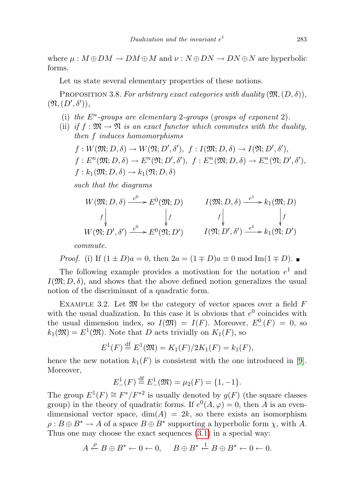where  $\mu : M \oplus DM \to DM \oplus M$  and  $\nu : N \oplus DN \to DN \oplus N$  are hyperbolic forms.

Let us state several elementary properties of these notions.

PROPOSITION 3.8. For arbitrary exact categories with duality  $(\mathfrak{M},(D,\delta)),$  $(\mathfrak{N}, (D', \delta')),$ 

- (i) the  $E<sup>n</sup>$ -groups are elementary 2-groups (groups of exponent 2).
- (ii) if  $f : \mathfrak{M} \to \mathfrak{N}$  is an exact functor which commutes with the duality, then f induces homomorphisms

$$
f: W(\mathfrak{M}; D, \delta) \to W(\mathfrak{N}; D', \delta'), f: I(\mathfrak{M}; D, \delta) \to I(\mathfrak{N}; D', \delta'),f: E^n(\mathfrak{M}; D, \delta) \to E^n(\mathfrak{N}; D', \delta'), f: E^n_-(\mathfrak{M}; D, \delta) \to E^n_-(\mathfrak{N}; D', \delta'),f: k_1(\mathfrak{M}; D, \delta) \to k_1(\mathfrak{N}; D, \delta)
$$

such that the diagrams

$$
W(\mathfrak{M}; D, \delta) \xrightarrow{e^0} E^0(\mathfrak{M}; D) \qquad I(\mathfrak{M}; D, \delta) \xrightarrow{e^1} k_1(\mathfrak{M}; D)
$$
  

$$
f \downarrow \qquad f \downarrow \qquad f \downarrow \qquad f \downarrow \qquad f
$$
  

$$
W(\mathfrak{N}; D', \delta') \xrightarrow{e^0} E^0(\mathfrak{N}; D') \qquad I(\mathfrak{N}; D', \delta') \xrightarrow{e^1} k_1(\mathfrak{N}; D')
$$

commute.

*Proof.* (i) If 
$$
(1 \pm D)a = 0
$$
, then  $2a = (1 \mp D)a \equiv 0 \mod \text{Im}(1 \mp D)$ .

The following example provides a motivation for the notation  $e^1$  and  $I(\mathfrak{M}; D, \delta)$ , and shows that the above defined notion generalizes the usual notion of the discriminant of a quadratic form.

<span id="page-50-0"></span>EXAMPLE 3.2. Let  $\mathfrak{M}$  be the category of vector spaces over a field F with the usual dualization. In this case it is obvious that  $e^0$  coincides with the usual dimension index, so  $I(\mathfrak{M}) = I(F)$ . Moreover,  $E_{-}^{0}(F) = 0$ , so  $k_1(\mathfrak{M}) = E^1(\mathfrak{M})$ . Note that D acts trivially on  $K_1(F)$ , so

$$
E^{1}(F) \stackrel{\text{df}}{=} E^{1}(\mathfrak{M}) = K_{1}(F)/2K_{1}(F) = k_{1}(F),
$$

hence the new notation  $k_1(F)$  is consistent with the one introduced in [\[9\]](#page-65-17). Moreover,

$$
E_{-}^{1}(F) \stackrel{\text{df}}{=} E_{-}^{1}(\mathfrak{M}) = \mu_{2}(F) = \{1, -1\}.
$$

The group  $E^1(F) \cong F^*/F^{*2}$  is usually denoted by  $g(F)$  (the square classes group) in the theory of quadratic forms. If  $e^{0}(A, \varphi) = 0$ , then A is an evendimensional vector space,  $dim(A) = 2k$ , so there exists an isomorphism  $\rho: B \oplus B^* \to A$  of a space  $B \oplus B^*$  supporting a hyperbolic form  $\chi$ , with A. Thus one may choose the exact sequences [\(3.1\)](#page-38-0) in a special way:

$$
A \xleftarrow{\rho} B \oplus B^* \leftarrow 0 \leftarrow 0, \quad B \oplus B^* \xleftarrow{1} B \oplus B^* \leftarrow 0 \leftarrow 0.
$$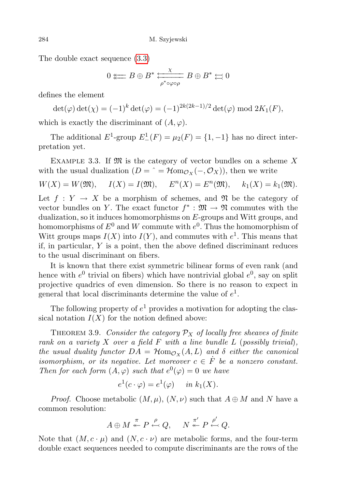The double exact sequence [\(3.3\)](#page-40-1)

$$
0\text{ }\mathop{\overleftarrow{\Longleftarrow}} B\oplus B^*\text{ } \mathop{\overleftarrow{\longrightarrow}}\limits_{\rho^*\circ\varphi\circ\rho} B\oplus B^*\text{ }\mathop{\overleftarrow{\longrightarrow}} 0
$$

defines the element

$$
\det(\varphi) \det(\chi) = (-1)^k \det(\varphi) = (-1)^{2k(2k-1)/2} \det(\varphi) \bmod 2K_1(F),
$$

which is exactly the discriminant of  $(A, \varphi)$ .

The additional  $E^1$ -group  $E^1_-(F) = \mu_2(F) = \{1, -1\}$  has no direct interpretation yet.

EXAMPLE 3.3. If  $\mathfrak{M}$  is the category of vector bundles on a scheme X with the usual dualization  $(D = \hat{} = \mathcal{H}\text{om}_{\mathcal{O}_X}(-,\mathcal{O}_X)$ , then we write

$$
W(X) = W(\mathfrak{M}), \quad I(X) = I(\mathfrak{M}), \quad E^{n}(X) = E^{n}(\mathfrak{M}), \quad k_1(X) = k_1(\mathfrak{M}).
$$

Let  $f: Y \to X$  be a morphism of schemes, and  $\mathfrak N$  be the category of vector bundles on Y. The exact functor  $f^* : \mathfrak{M} \to \mathfrak{N}$  commutes with the dualization, so it induces homomorphisms on E-groups and Witt groups, and homomorphisms of  $E^0$  and  $W$  commute with  $e^0$ . Thus the homomorphism of Witt groups maps  $I(X)$  into  $I(Y)$ , and commutes with  $e^1$ . This means that if, in particular,  $Y$  is a point, then the above defined discriminant reduces to the usual discriminant on fibers.

It is known that there exist symmetric bilinear forms of even rank (and hence with  $e^0$  trivial on fibers) which have nontrivial global  $e^0$ , say on split projective quadrics of even dimension. So there is no reason to expect in general that local discriminants determine the value of  $e^1$ .

The following property of  $e^1$  provides a motivation for adopting the classical notation  $I(X)$  for the notion defined above:

<span id="page-51-0"></span>THEOREM 3.9. Consider the category  $\mathcal{P}_X$  of locally free sheaves of finite rank on a variety  $X$  over a field  $F$  with a line bundle  $L$  (possibly trivial), the usual duality functor  $DA = \mathcal{H}_{\text{om}_{\mathcal{O}_X}}(A, L)$  and  $\delta$  either the canonical isomorphism, or its negative. Let moreover  $c \in \dot{F}$  be a nonzero constant. Then for each form  $(A, \varphi)$  such that  $e^{0}(\varphi) = 0$  we have

$$
e^1(c \cdot \varphi) = e^1(\varphi) \quad in \ k_1(X).
$$

*Proof.* Choose metabolic  $(M, \mu)$ ,  $(N, \nu)$  such that  $A \oplus M$  and N have a common resolution:

$$
A\oplus M\stackrel{\pi}{\twoheadleftarrow}P\stackrel{\rho}{\leftarrow}Q,\quad \ N\stackrel{\pi'}{\twoheadleftarrow}P\stackrel{\rho'}{\leftarrow}Q.
$$

Note that  $(M, c \cdot \mu)$  and  $(N, c \cdot \nu)$  are metabolic forms, and the four-term double exact sequences needed to compute discriminants are the rows of the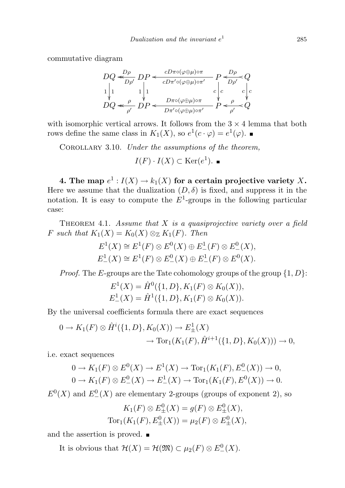commutative diagram

$$
\begin{array}{l}DQ \xleftarrow{D\rho} DP \xleftarrow{cD\pi o(\varphi \oplus \mu) \circ \pi} P \xleftarrow{D\rho} Q \\ 1 \Big| 1 & 1 \Big| 1 & c \\ DQ \xleftarrow{\rho} DP \xleftarrow{D\pi o(\varphi \oplus \mu) \circ \pi} P \xleftarrow{c} c \Big| c \\ DQ \xleftarrow{\rho} DP \xleftarrow{D\pi o(\varphi \oplus \mu) \circ \pi} P \xleftarrow{\rho} Q \end{array}
$$

with isomorphic vertical arrows. It follows from the  $3 \times 4$  lemma that both rows define the same class in  $K_1(X)$ , so  $e^1(c \cdot \varphi) = e^1(\varphi)$ .

COROLLARY 3.10. Under the assumptions of the theorem,  $I(F) \cdot I(X) \subset \text{Ker}(e^1).$ 

4. The map  $e^1: I(X) \to k_1(X)$  for a certain projective variety X. Here we assume that the dualization  $(D, \delta)$  is fixed, and suppress it in the notation. It is easy to compute the  $E^1$ -groups in the following particular case:

<span id="page-52-0"></span>THEOREM 4.1. Assume that  $X$  is a quasiprojective variety over a field F such that  $K_1(X) = K_0(X) \otimes_{\mathbb{Z}} K_1(F)$ . Then

$$
E^{1}(X) \cong E^{1}(F) \otimes E^{0}(X) \oplus E^{1}_{-}(F) \otimes E^{0}_{-}(X),
$$
  

$$
E^{1}_{-}(X) \cong E^{1}(F) \otimes E^{0}_{-}(X) \oplus E^{1}_{-}(F) \otimes E^{0}(X).
$$

*Proof.* The E-groups are the Tate cohomology groups of the group  $\{1, D\}$ :

$$
E^1(X) = \hat{H}^0(\{1, D\}, K_1(F) \otimes K_0(X)),
$$
  

$$
E^1_-(X) = \hat{H}^1(\{1, D\}, K_1(F) \otimes K_0(X)).
$$

By the universal coefficients formula there are exact sequences

$$
0 \to K_1(F) \otimes \hat{H}^i(\{1, D\}, K_0(X)) \to E^1_{\pm}(X) \to \text{Tor}_1(K_1(F), \hat{H}^{i+1}(\{1, D\}, K_0(X))) \to 0,
$$

i.e. exact sequences

$$
0 \to K_1(F) \otimes E^0(X) \to E^1(X) \to \text{Tor}_1(K_1(F), E^0_-(X)) \to 0,
$$
  

$$
0 \to K_1(F) \otimes E^0_-(X) \to E^1_-(X) \to \text{Tor}_1(K_1(F), E^0(X)) \to 0.
$$

 $E^0(X)$  and  $E^0_-(X)$  are elementary 2-groups (groups of exponent 2), so

$$
K_1(F) \otimes E_{\pm}^0(X) = g(F) \otimes E_{\pm}^0(X),
$$
  
Tor<sub>1</sub> $(K_1(F), E_{\pm}^0(X)) = \mu_2(F) \otimes E_{\pm}^0(X),$ 

and the assertion is proved.

It is obvious that  $\mathcal{H}(X) = \mathcal{H}(\mathfrak{M}) \subset \mu_2(F) \otimes E^0_-(X)$ .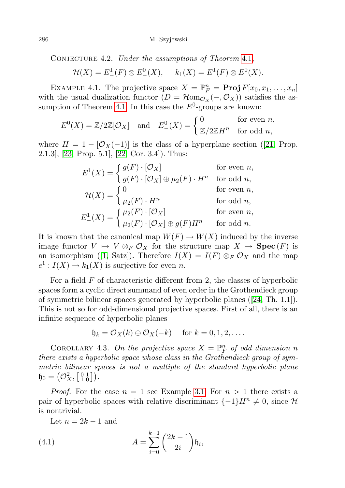CONJECTURE 4.2. Under the assumptions of Theorem [4.1](#page-52-0),

$$
\mathcal{H}(X) = E^1_-(F) \otimes E^0_-(X), \quad k_1(X) = E^1(F) \otimes E^0(X).
$$

EXAMPLE 4.1. The projective space  $X = \mathbb{P}_{F}^{n} = \text{Proj } F[x_0, x_1, \ldots, x_n]$ with the usual dualization functor  $(D = \mathcal{H}_{\text{om}}_{\mathcal{O}_X}(-,\mathcal{O}_X))$  satisfies the as-sumption of Theorem [4.1.](#page-52-0) In this case the  $E^0$ -groups are known:

$$
E^0(X) = \mathbb{Z}/2\mathbb{Z}[\mathcal{O}_X] \quad \text{and} \quad E^0_-(X) = \begin{cases} 0 & \text{for even } n, \\ \mathbb{Z}/2\mathbb{Z}H^n & \text{for odd } n, \end{cases}
$$

where  $H = 1 - [O_X(-1)]$  is the class of a hyperplane section ([\[21,](#page-65-16) Prop. 2.1.3], [\[23,](#page-66-0) Prop. 5.1], [\[22,](#page-66-1) Cor. 3.4]). Thus:

$$
E^{1}(X) = \begin{cases} g(F) \cdot [\mathcal{O}_{X}] & \text{for even } n, \\ g(F) \cdot [\mathcal{O}_{X}] \oplus \mu_{2}(F) \cdot H^{n} & \text{for odd } n, \\ \mu_{2}(F) \cdot H^{n} & \text{for odd } n, \\ \mu_{2}(F) \cdot H^{n} & \text{for odd } n, \\ E_{-}^{1}(X) = \begin{cases} \mu_{2}(F) \cdot [\mathcal{O}_{X}] & \text{for even } n, \\ \mu_{2}(F) \cdot [\mathcal{O}_{X}] \oplus g(F)H^{n} & \text{for odd } n. \end{cases}
$$

It is known that the canonical map  $W(F) \to W(X)$  induced by the inverse image functor  $V \mapsto V \otimes_F \mathcal{O}_X$  for the structure map  $X \to \textbf{Spec}(F)$  is an isomorphism ([\[1,](#page-65-18) Satz]). Therefore  $I(X) = I(F) \otimes_F \mathcal{O}_X$  and the map  $e^1: I(X) \to k_1(X)$  is surjective for even n.

For a field  $F$  of characteristic different from 2, the classes of hyperbolic spaces form a cyclic direct summand of even order in the Grothendieck group of symmetric bilinear spaces generated by hyperbolic planes ([\[24,](#page-66-2) Th. 1.1]). This is not so for odd-dimensional projective spaces. First of all, there is an infinite sequence of hyperbolic planes

$$
\mathfrak{h}_k = \mathcal{O}_X(k) \oplus \mathcal{O}_X(-k) \quad \text{for } k = 0, 1, 2, \dots.
$$

COROLLARY 4.3. On the projective space  $X = \mathbb{P}_F^n$  of odd dimension n there exists a hyperbolic space whose class in the Grothendieck group of symmetric bilinear spaces is not a multiple of the standard hyperbolic plane  $\mathfrak{h}_0 = \left(\mathcal{O}_X^2,\left[\begin{smallmatrix} 0 & 1 \ 1 & 0 \end{smallmatrix}\right]\right).$ 

*Proof.* For the case  $n = 1$  see Example [3.1.](#page-45-0) For  $n > 1$  there exists a pair of hyperbolic spaces with relative discriminant  $\{-1\}H^n \neq 0$ , since H is nontrivial.

Let  $n = 2k - 1$  and

(4.1) 
$$
A = \sum_{i=0}^{k-1} {2k-1 \choose 2i} \mathfrak{h}_i,
$$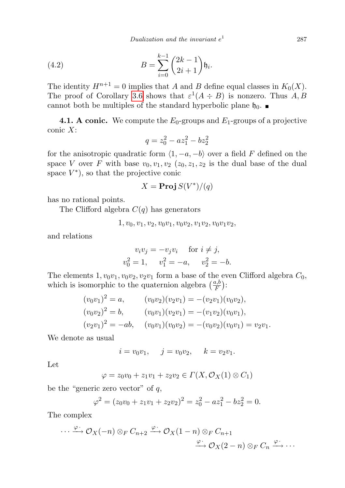(4.2) 
$$
B = \sum_{i=0}^{k-1} {2k - 1 \choose 2i + 1} \mathfrak{h}_i.
$$

The identity  $H^{n+1} = 0$  implies that A and B define equal classes in  $K_0(X)$ . The proof of Corollary [3.6](#page-48-1) shows that  $\varepsilon^1(A \div B)$  is nonzero. Thus  $A, B$ cannot both be multiples of the standard hyperbolic plane  $\mathfrak{h}_0$ .

**4.1. A conic.** We compute the  $E_0$ -groups and  $E_1$ -groups of a projective conic X:

$$
q = z_0^2 - az_1^2 - bz_2^2
$$

for the anisotropic quadratic form  $\langle 1, -a, -b \rangle$  over a field F defined on the space V over F with base  $v_0, v_1, v_2$  ( $z_0, z_1, z_2$  is the dual base of the dual space  $V^*$ ), so that the projective conic

$$
X = \mathbf{Proj}\, S(V^*)/(q)
$$

has no rational points.

The Clifford algebra  $C(q)$  has generators

$$
1, v_0, v_1, v_2, v_0v_1, v_0v_2, v_1v_2, v_0v_1v_2,
$$

and relations

$$
v_i v_j = -v_j v_i \quad \text{for } i \neq j,
$$
  

$$
v_0^2 = 1, \quad v_1^2 = -a, \quad v_2^2 = -b.
$$

The elements  $1, v_0v_1, v_0v_2, v_2v_1$  form a base of the even Clifford algebra  $C_0$ , which is isomorphic to the quaternion algebra  $\left(\frac{a,b}{F}\right)$  $\frac{a,b}{F}\Big)$  :

$$
(v_0v_1)^2 = a,
$$
  
\n
$$
(v_0v_2)^2 = b,
$$
  
\n
$$
(v_0v_1)(v_2v_1) = -(v_2v_1)(v_0v_2),
$$
  
\n
$$
(v_0v_2)^2 = b,
$$
  
\n
$$
(v_0v_1)(v_2v_1) = -(v_1v_2)(v_0v_1),
$$
  
\n
$$
(v_2v_1)^2 = -ab,
$$
  
\n
$$
(v_0v_1)(v_0v_2) = -(v_0v_2)(v_0v_1) = v_2v_1.
$$

We denote as usual

$$
i = v_0 v_1
$$
,  $j = v_0 v_2$ ,  $k = v_2 v_1$ .

Let

$$
\varphi = z_0 v_0 + z_1 v_1 + z_2 v_2 \in \Gamma(X, \mathcal{O}_X(1) \otimes C_1)
$$

be the "generic zero vector" of  $q$ ,

$$
\varphi^2 = (z_0v_0 + z_1v_1 + z_2v_2)^2 = z_0^2 - az_1^2 - bz_2^2 = 0.
$$

The complex

$$
\cdots \xrightarrow{\varphi} \mathcal{O}_X(-n) \otimes_F C_{n+2} \xrightarrow{\varphi} \mathcal{O}_X(1-n) \otimes_F C_{n+1}
$$
  

$$
\xrightarrow{\varphi} \mathcal{O}_X(2-n) \otimes_F C_n \xrightarrow{\varphi} \cdots
$$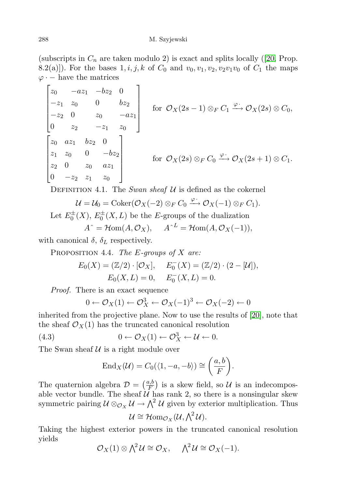(subscripts in  $C_n$  are taken modulo 2) is exact and splits locally ([\[20,](#page-65-19) Prop. 8.2(a)]). For the bases  $1, i, j, k$  of  $C_0$  and  $v_0, v_1, v_2, v_2v_1v_0$  of  $C_1$  the maps  $\varphi$  · – have the matrices

$$
\begin{bmatrix} z_0 & -az_1 & -bz_2 & 0 \ -z_1 & z_0 & 0 & bz_2 \ -z_2 & 0 & z_0 & -az_1 \ 0 & z_2 & -z_1 & z_0 \ z_1 & z_0 & 0 & -bz_2 \ z_2 & 0 & z_0 & az_1 \ 0 & -z_2 & z_1 & z_0 \end{bmatrix}
$$
 for  $\mathcal{O}_X(2s - 1) \otimes_F C_1 \xrightarrow{\varphi} \mathcal{O}_X(2s) \otimes C_0$ ,  
for  $\mathcal{O}_X(2s) \otimes_F C_0 \xrightarrow{\varphi} \mathcal{O}_X(2s+1) \otimes C_1$ .

DEFINITION 4.1. The Swan sheaf  $U$  is defined as the cokernel

$$
\mathcal{U} = \mathcal{U}_0 = \mathrm{Coker}(\mathcal{O}_X(-2) \otimes_F C_0 \xrightarrow{\varphi} \mathcal{O}_X(-1) \otimes_F C_1).
$$

Let  $E_0^{\pm}(X)$ ,  $E_0^{\pm}(X, L)$  be the E-groups of the dualization

$$
A^{\hat{}} = \mathcal{H}om(A, \mathcal{O}_X), \quad A^{\hat{}}^L = \mathcal{H}om(A, \mathcal{O}_X(-1)),
$$

<span id="page-55-0"></span>with canonical  $\delta$ ,  $\delta_L$  respectively.

PROPOSITION 4.4. The E-groups of  $X$  are:

$$
E_0(X) = (\mathbb{Z}/2) \cdot [\mathcal{O}_X], \quad E_0^-(X) = (\mathbb{Z}/2) \cdot (2 - [\mathcal{U}]),
$$
  

$$
E_0(X, L) = 0, \quad E_0^-(X, L) = 0.
$$

Proof. There is an exact sequence

$$
0 \leftarrow \mathcal{O}_X(1) \leftarrow \mathcal{O}_X^3 \leftarrow \mathcal{O}_X(-1)^3 \leftarrow \mathcal{O}_X(-2) \leftarrow 0
$$

inherited from the projective plane. Now to use the results of [\[20\]](#page-65-19), note that the sheaf  $\mathcal{O}_X(1)$  has the truncated canonical resolution

(4.3) 
$$
0 \leftarrow \mathcal{O}_X(1) \leftarrow \mathcal{O}_X^3 \leftarrow \mathcal{U} \leftarrow 0.
$$

The Swan sheaf  $U$  is a right module over

$$
End_X(\mathcal{U})=C_0(\langle 1,-a,-b\rangle)\cong \left(\frac{a,b}{F}\right).
$$

The quaternion algebra  $\mathcal{D} = \left(\frac{a,b}{F}\right)$  $\left(\frac{a,b}{F}\right)$  is a skew field, so U is an indecomposable vector bundle. The sheaf  $U$  has rank 2, so there is a nonsingular skew symmetric pairing  $\mathcal{U} \otimes_{\mathcal{O}_X} \mathcal{U} \to \bigwedge^2 \mathcal{U}$  given by exterior multiplication. Thus

$$
\mathcal{U} \cong \mathcal{H}om_{\mathcal{O}_X}(\mathcal{U}, \bigwedge^2 \mathcal{U}).
$$

Taking the highest exterior powers in the truncated canonical resolution yields

$$
\mathcal{O}_X(1) \otimes \bigwedge^2 \mathcal{U} \cong \mathcal{O}_X, \quad \bigwedge^2 \mathcal{U} \cong \mathcal{O}_X(-1).
$$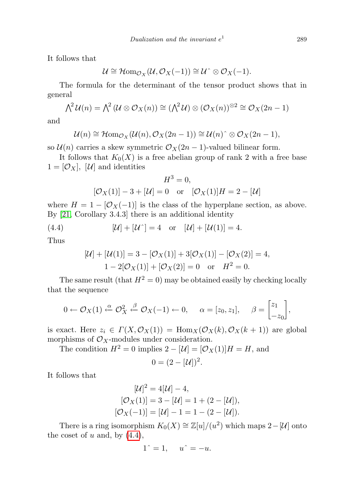It follows that

$$
\mathcal{U} \cong \mathcal{H}om_{\mathcal{O}_X}(\mathcal{U}, \mathcal{O}_X(-1)) \cong \mathcal{U}^{\hat{}} \otimes \mathcal{O}_X(-1).
$$

The formula for the determinant of the tensor product shows that in general

$$
\bigwedge^2 \mathcal{U}(n) = \bigwedge^2 (\mathcal{U} \otimes \mathcal{O}_X(n)) \cong (\bigwedge^2 \mathcal{U}) \otimes (\mathcal{O}_X(n))^{\otimes 2} \cong \mathcal{O}_X(2n-1)
$$

and

$$
\mathcal{U}(n) \cong \mathcal{H}om_{\mathcal{O}_X}(\mathcal{U}(n), \mathcal{O}_X(2n-1)) \cong \mathcal{U}(n) \hat{\circ} \otimes \mathcal{O}_X(2n-1),
$$

so  $\mathcal{U}(n)$  carries a skew symmetric  $\mathcal{O}_X(2n-1)$ -valued bilinear form.

It follows that  $K_0(X)$  is a free abelian group of rank 2 with a free base  $1 = [\mathcal{O}_X], [\mathcal{U}]$  and identities

$$
H^{3} = 0,
$$
  

$$
[\mathcal{O}_{X}(1)] - 3 + [\mathcal{U}] = 0 \text{ or } [\mathcal{O}_{X}(1)]H = 2 - [\mathcal{U}]
$$

where  $H = 1 - [O_X(-1)]$  is the class of the hyperplane section, as above. By [\[21,](#page-65-16) Corollary 3.4.3] there is an additional identity

(4.4) 
$$
[\mathcal{U}] + [\mathcal{U}^{\hat{ }}] = 4 \text{ or } [\mathcal{U}] + [\mathcal{U}(1)] = 4.
$$

Thus

<span id="page-56-0"></span>
$$
[\mathcal{U}] + [\mathcal{U}(1)] = 3 - [\mathcal{O}_X(1)] + 3[\mathcal{O}_X(1)] - [\mathcal{O}_X(2)] = 4,
$$
  
1 - 2[\mathcal{O}\_X(1)] + [\mathcal{O}\_X(2)] = 0 or  $H^2 = 0$ .

The same result (that  $H^2 = 0$ ) may be obtained easily by checking locally that the sequence

$$
0 \leftarrow \mathcal{O}_X(1) \xleftarrow{\alpha} \mathcal{O}_X^2 \xleftarrow{\beta} \mathcal{O}_X(-1) \leftarrow 0, \quad \alpha = [z_0, z_1], \quad \beta = \begin{bmatrix} z_1 \\ -z_0 \end{bmatrix},
$$

is exact. Here  $z_i \in \Gamma(X, \mathcal{O}_X(1)) = \text{Hom}_X(\mathcal{O}_X(k), \mathcal{O}_X(k+1))$  are global morphisms of  $\mathcal{O}_X$ -modules under consideration.

The condition  $H^2 = 0$  implies  $2 - |\mathcal{U}| = |\mathcal{O}_X(1)|H = H$ , and  $0 = (2 - [\mathcal{U}])^2$ .

It follows that

$$
[\mathcal{U}]^2 = 4[\mathcal{U}] - 4,
$$
  
\n
$$
[\mathcal{O}_X(1)] = 3 - [\mathcal{U}] = 1 + (2 - [\mathcal{U}]),
$$
  
\n
$$
[\mathcal{O}_X(-1)] = [\mathcal{U}] - 1 = 1 - (2 - [\mathcal{U}]).
$$

There is a ring isomorphism  $K_0(X) \cong \mathbb{Z}[u]/(u^2)$  which maps  $2-[\mathcal{U}]$  onto the coset of  $u$  and, by  $(4.4)$ ,

$$
1^{\hat{-}} = 1, \quad u^{\hat{-}} = -u.
$$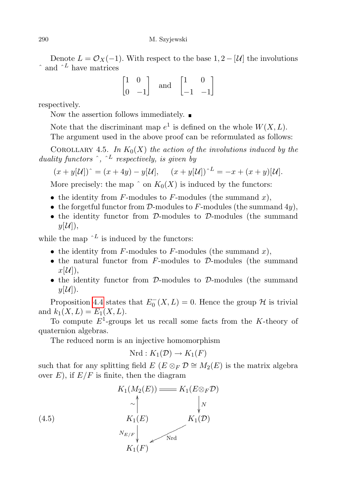Denote  $L = \mathcal{O}_X(-1)$ . With respect to the base  $1, 2 - |\mathcal{U}|$  the involutions  $\hat{a}$  and  $\hat{b}^L$  have matrices

$$
\begin{bmatrix} 1 & 0 \\ 0 & -1 \end{bmatrix} \quad \text{and} \quad \begin{bmatrix} 1 & 0 \\ -1 & -1 \end{bmatrix}
$$

respectively.

Now the assertion follows immediately.  $\blacksquare$ 

Note that the discriminant map  $e^1$  is defined on the whole  $W(X, L)$ . The argument used in the above proof can be reformulated as follows:

<span id="page-57-0"></span>COROLLARY 4.5. In  $K_0(X)$  the action of the involutions induced by the duality functors  $\hat{a}$ ,  $\hat{b}$  respectively, is given by

$$
(x+y[\mathcal{U}])^{\wedge} = (x+4y) - y[\mathcal{U}], \quad (x+y[\mathcal{U}])^{\wedge L} = -x + (x+y)[\mathcal{U}].
$$

More precisely: the map  $\hat{p}$  on  $K_0(X)$  is induced by the functors:

- the identity from  $F$ -modules to  $F$ -modules (the summand  $x$ ),
- the forgetful functor from  $D$ -modules to F-modules (the summand 4y),
- the identity functor from D-modules to D-modules (the summand  $y[\mathcal{U}]),$

while the map  $\Delta^L$  is induced by the functors:

- the identity from  $F$ -modules to  $F$ -modules (the summand  $x$ ),
- the natural functor from  $F$ -modules to  $\mathcal{D}$ -modules (the summand  $x[\mathcal{U}$ ),
- the identity functor from D-modules to D-modules (the summand  $y[\mathcal{U}$ ).

Proposition [4.4](#page-55-0) states that  $E_0^-(X, L) = 0$ . Hence the group  $\mathcal H$  is trivial and  $k_1(X, L) = E_1(X, L)$ .

To compute  $E^1$ -groups let us recall some facts from the K-theory of quaternion algebras.

The reduced norm is an injective homomorphism

$$
Nrd: K_1(\mathcal{D}) \to K_1(F)
$$

such that for any splitting field  $E(E \otimes_F \mathcal{D} \cong M_2(E))$  is the matrix algebra over  $E$ ), if  $E/F$  is finite, then the diagram

(4.5)  
\n
$$
K_1(M_2(E)) \longrightarrow K_1(E \otimes_F \mathcal{D})
$$
\n
$$
\sim \bigwedge_{K_1(E)}^{\wedge} \bigwedge_{K_1(\mathcal{D})}^{\wedge} K_1(\mathcal{D})
$$
\n
$$
\sim K_1(E) \sim K_1(\mathcal{D})
$$
\n
$$
K_1(F)
$$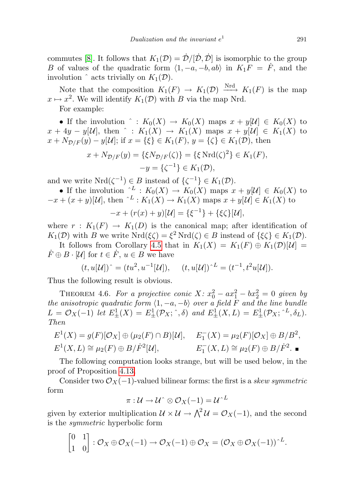commutes [\[8\]](#page-65-20). It follows that  $K_1(\mathcal{D}) = \dot{\mathcal{D}}/[\dot{\mathcal{D}}, \dot{\mathcal{D}}]$  is isomorphic to the group B of values of the quadratic form  $\langle 1, -a, -b, ab \rangle$  in  $K_1F = \dot{F}$ , and the involution  $\hat{ }$  acts trivially on  $K_1(\mathcal{D})$ .

Note that the composition  $K_1(F) \to K_1(\mathcal{D}) \xrightarrow{\mathrm{Nrd}} K_1(F)$  is the map  $x \mapsto x^2$ . We will identify  $K_1(\mathcal{D})$  with B via the map Nrd.

For example:

• If the involution  $\hat{ } : K_0(X) \to K_0(X)$  maps  $x + y[\mathcal{U}] \in K_0(X)$  to  $x + 4y - y[\mathcal{U}]$ , then  $\hat{ } : K_1(X) \rightarrow K_1(X)$  maps  $x + y[\mathcal{U}] \in K_1(X)$  to  $x + N_{\mathcal{D}/F}(y) - y[\mathcal{U}]$ ; if  $x = {\{\xi\}} \in K_1(F)$ ,  $y = {\{\zeta\}} \in K_1(\mathcal{D})$ , then

$$
x + N_{\mathcal{D}/F}(y) = {\xi N_{\mathcal{D}/F}(\zeta)} = {\xi \operatorname{Nrd}(\zeta)^2} \in K_1(F),
$$
  

$$
-y = {\zeta^{-1}} \in K_1(\mathcal{D}),
$$

and we write  $Nrd(\zeta^{-1}) \in B$  instead of  $\{\zeta^{-1}\} \in K_1(\mathcal{D})$ .

• If the involution  $\Delta^L: K_0(X) \to K_0(X)$  maps  $x + y[\mathcal{U}] \in K_0(X)$  to  $-x + (x + y)[\mathcal{U}]$ , then  $\hat{L}: K_1(X) \to K_1(X)$  maps  $x + y[\mathcal{U}] \in K_1(X)$  to

$$
-x + (r(x) + y)[\mathcal{U}] = {\xi^{-1}} + {\xi \zeta} [\mathcal{U}],
$$

where  $r: K_1(F) \to K_1(D)$  is the canonical map; after identification of  $K_1(\mathcal{D})$  with B we write  $Nrd(\xi \zeta) = \xi^2 Nrd(\zeta) \in B$  instead of  $\{\xi \zeta\} \in K_1(\mathcal{D})$ .

It follows from Corollary [4.5](#page-57-0) that in  $K_1(X) = K_1(F) \oplus K_1(\mathcal{D})[\mathcal{U}] =$  $\dot{F} \oplus B \cdot [\mathcal{U}]$  for  $t \in \dot{F}$ ,  $u \in \dot{B}$  we have

$$
(t, u[\mathcal{U}])^{\hat{ }} = (tu^2, u^{-1}[\mathcal{U}]), \quad (t, u[\mathcal{U}])^{\hat{ }}^L = (t^{-1}, t^2u[\mathcal{U}]).
$$

Thus the following result is obvious.

THEOREM 4.6. For a projective conic  $X: x_0^2 - ax_1^2 - bx_2^2 = 0$  given by the anisotropic quadratic form  $\langle 1, -a, -b \rangle$  over a field F and the line bundle  $L = \mathcal{O}_X(-1)$  let  $E^1_{\pm}(X) = E^1_{\pm}(\mathcal{P}_X; \hat{\ })$  and  $E^1_{\pm}(X, L) = E^1_{\pm}(\mathcal{P}_X; \hat{\ }^L, \delta_L).$ Then

$$
E^1(X) = g(F)[\mathcal{O}_X] \oplus (\mu_2(F) \cap B)[\mathcal{U}], \quad E_1^-(X) = \mu_2(F)[\mathcal{O}_X] \oplus B/B^2,
$$
  

$$
E^1(X, L) \cong \mu_2(F) \oplus B/\dot{F}^2[\mathcal{U}], \quad E_1^-(X, L) \cong \mu_2(F) \oplus B/\dot{F}^2.
$$

The following computation looks strange, but will be used below, in the proof of Proposition [4.13.](#page-63-0)

Consider two  $\mathcal{O}_X(-1)$ -valued bilinear forms: the first is a skew symmetric form

$$
\pi:\mathcal{U}\to\mathcal{U}^{\wedge}\otimes\mathcal{O}_X(-1)=\mathcal{U}^{\wedge L}
$$

given by exterior multiplication  $\mathcal{U} \times \mathcal{U} \to \bigwedge^2 \mathcal{U} = \mathcal{O}_X(-1)$ , and the second is the symmetric hyperbolic form

$$
\begin{bmatrix} 0 & 1 \\ 1 & 0 \end{bmatrix} : \mathcal{O}_X \oplus \mathcal{O}_X(-1) \to \mathcal{O}_X(-1) \oplus \mathcal{O}_X = (\mathcal{O}_X \oplus \mathcal{O}_X(-1))^{L}.
$$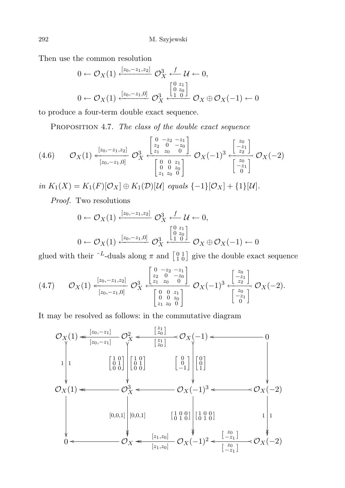Then use the common resolution

$$
0 \leftarrow \mathcal{O}_X(1) \xleftarrow{[z_0, -z_1, z_2]} \mathcal{O}_X^3 \xleftarrow{f} \mathcal{U} \leftarrow 0,
$$
  

$$
0 \leftarrow \mathcal{O}_X(1) \xleftarrow{[z_0, -z_1, 0]} \mathcal{O}_X^3 \xleftarrow{[0 \ z_0]} \mathcal{O}_X \oplus \mathcal{O}_X(-1) \leftarrow 0
$$

to produce a four-term double exact sequence.

PROPOSITION 4.7. The class of the double exact sequence

$$
(4.6) \qquad \mathcal{O}_X(1) \stackrel{[z_0, -z_1, z_2]}{\longleftarrow} \mathcal{O}_X^3 \stackrel{\left[\begin{smallmatrix} 0 & -z_2 & -z_1 \\ z_2 & 0 & -z_0 \\ z_1 & z_0 & 0 \end{smallmatrix}\right]}{\left[\begin{smallmatrix} 0 & 0 & z_1 \\ z_2 & 0 & -z_0 \\ 0 & 0 & z_0 \\ z_1 & z_0 & 0 \end{smallmatrix}\right]} \mathcal{O}_X(-1)^3 \stackrel{\left[\begin{smallmatrix} z_0 \\ -z_1 \\ z_2 \end{smallmatrix}\right]}{\left[\begin{smallmatrix} z_0 \\ -z_1 \\ 0 \end{smallmatrix}\right]} \mathcal{O}_X(-2)
$$

in  $K_1(X) = K_1(F)[\mathcal{O}_X] ⊕ K_1(\mathcal{D})[\mathcal{U}]$  equals  $\{-1\}[\mathcal{O}_X] + \{1\}[\mathcal{U}]$ .

Proof. Two resolutions

$$
0 \leftarrow \mathcal{O}_X(1) \xleftarrow{[z_0, -z_1, z_2]} \mathcal{O}_X^3 \xleftarrow{f} \mathcal{U} \leftarrow 0,
$$
  

$$
0 \leftarrow \mathcal{O}_X(1) \xleftarrow{[z_0, -z_1, 0]} \mathcal{O}_X^3 \xleftarrow{[0 \ z_0]} \mathcal{O}_X \oplus \mathcal{O}_X(-1) \leftarrow 0
$$

glued with their  $\Delta^L$ -duals along  $\pi$  and  $\begin{bmatrix} 0 & 1 \\ 1 & 0 \end{bmatrix}$  give the double exact sequence

<span id="page-59-0"></span>
$$
(4.7) \qquad \mathcal{O}_X(1) \stackrel{[z_0, -z_1, z_2]}{\longleftarrow} \mathcal{O}_X^3 \stackrel{[z_0, -z_1, z_2]}{\longleftarrow} \mathcal{O}_X^3 \stackrel{[z_0, z_0, z_1]}{\longleftarrow} \mathcal{O}_X(-1)^3 \stackrel{[z_0, z_1]}{\longleftarrow} \mathcal{O}_X(-2).
$$

It may be resolved as follows: in the commutative diagram

$$
\mathcal{O}_X(1) \xleftarrow{\begin{bmatrix} z_0, -z_1 \end{bmatrix}} \mathcal{O}_X^2 \xleftarrow{\begin{bmatrix} z_1 \\ z_0 \end{bmatrix}} \mathcal{O}_X(-1) \xleftarrow{\begin{bmatrix} 0 \\ z_1 \\ z_0 \end{bmatrix}} \begin{bmatrix} 1 & 0 \\ 0 & 1 \\ 0 & 0 \end{bmatrix} \begin{bmatrix} 1 & 0 \\ 0 & 1 \\ 0 & 0 \end{bmatrix} \begin{bmatrix} 1 & 0 \\ 0 & 1 \\ 0 & 0 \end{bmatrix} \begin{bmatrix} 0 & 0 \\ 0 & 1 \\ 0 & 1 \end{bmatrix}
$$
\n
$$
\mathcal{O}_X(1) \xleftarrow{\begin{bmatrix} 1 & 0 \\ 0 & 1 \\ 0 & 0 \end{bmatrix}} \mathcal{O}_X^3 \xleftarrow{\begin{bmatrix} 0 \\ 0 \\ 0 \\ 0 \end{bmatrix}} \mathcal{O}_X(-1)^3 \xleftarrow{\begin{bmatrix} 0 \\ 0 \\ 1 \\ 0 \end{bmatrix}} \mathcal{O}_X(-2)
$$
\n
$$
\downarrow \qquad \qquad \downarrow \qquad \downarrow \qquad \downarrow \qquad \downarrow \qquad \downarrow \qquad \downarrow \qquad \downarrow \qquad \downarrow \qquad \downarrow \qquad \downarrow \qquad \downarrow \qquad \downarrow \qquad \downarrow \qquad \downarrow \qquad \downarrow \qquad \downarrow \qquad \downarrow \qquad \downarrow \qquad \downarrow \qquad \downarrow \qquad \downarrow \qquad \downarrow \qquad \downarrow \qquad \downarrow \qquad \downarrow \qquad \downarrow \qquad \downarrow \qquad \downarrow \qquad \downarrow \qquad \downarrow \qquad \downarrow \qquad \downarrow \qquad \downarrow \qquad \downarrow \qquad \downarrow \qquad \downarrow \qquad \downarrow \qquad \downarrow \qquad \downarrow \qquad \downarrow \qquad \downarrow \qquad \downarrow \qquad \downarrow \qquad \downarrow \qquad \downarrow \qquad \downarrow \qquad \downarrow \qquad \downarrow \qquad \downarrow \qquad \downarrow \qquad \downarrow \qquad \downarrow \qquad \downarrow \qquad \downarrow \qquad \downarrow \qquad \downarrow \qquad \downarrow \qquad \downarrow \qquad \downarrow \qquad \downarrow \qquad \downarrow \qquad \downarrow \qquad \downarrow \qquad \downarrow \qquad \downarrow \qquad
$$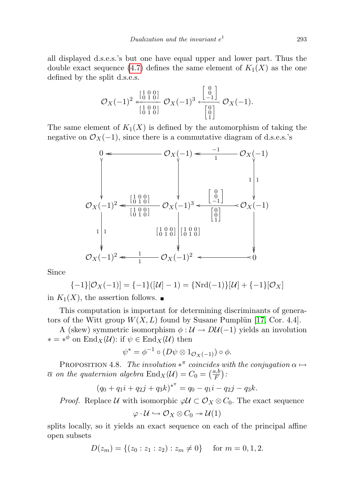all displayed d.s.e.s.'s but one have equal upper and lower part. Thus the double exact sequence [\(4.7\)](#page-59-0) defines the same element of  $K_1(X)$  as the one defined by the split d.s.e.s.

$$
\mathcal{O}_X(-1)^2 \xleftarrow[\begin{smallmatrix} 1 & 0 & 0 \\ 0 & 1 & 0 \end{smallmatrix}]\n\mathcal{O}_X(-1)^3 \xleftarrow[\begin{smallmatrix} 0 \\ 0 \\ -1 \end{smallmatrix}]\n\mathcal{O}_X(-1).
$$

The same element of  $K_1(X)$  is defined by the automorphism of taking the negative on  $\mathcal{O}_X(-1)$ , since there is a commutative diagram of d.s.e.s.'s



Since

$$
\{-1\}[\mathcal{O}_X(-1)] = \{-1\}([\mathcal{U}]-1) = \{Nrd(-1)\}[\mathcal{U}] + \{-1\}[\mathcal{O}_X]
$$

in  $K_1(X)$ , the assertion follows.  $\blacksquare$ 

This computation is important for determining discriminants of generators of the Witt group  $W(X, L)$  found by Susane Pumplum [\[17,](#page-65-13) Cor. 4.4].

A (skew) symmetric isomorphism  $\phi : \mathcal{U} \to D\mathcal{U}(-1)$  yields an involution  $* = *^{\phi}$  on  $\text{End}_X(\mathcal{U})$ : if  $\psi \in \text{End}_X(\mathcal{U})$  then

$$
\psi^* = \phi^{-1} \circ (D\psi \otimes 1_{\mathcal{O}_X(-1)}) \circ \phi.
$$

PROPOSITION 4.8. The involution  $*^{\pi}$  coincides with the conjugation  $\alpha \mapsto$  $\overline{\alpha}$  on the quaternion algebra  $\text{End}_X(\mathcal{U})=C_0=\left(\frac{a,b}{F}\right)$  $\frac{a,b}{F}\Big)$  :

$$
(q_0 + q_1 i + q_2 j + q_3 k)^{*^{\pi}} = q_0 - q_1 i - q_2 j - q_3 k.
$$

*Proof.* Replace U with isomorphic  $\varphi \mathcal{U} \subset \mathcal{O}_X \otimes \mathcal{C}_0$ . The exact sequence

$$
\varphi: \mathcal{U} \hookrightarrow \mathcal{O}_X \otimes C_0 \twoheadrightarrow \mathcal{U}(1)
$$

splits locally, so it yields an exact sequence on each of the principal affine open subsets

$$
D(z_m) = \{(z_0 : z_1 : z_2) : z_m \neq 0\} \text{ for } m = 0, 1, 2.
$$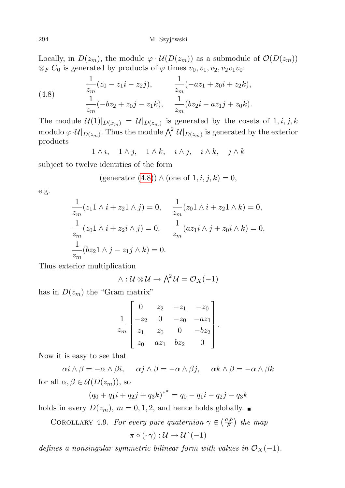Locally, in  $D(z_m)$ , the module  $\varphi \cdot \mathcal{U}(D(z_m))$  as a submodule of  $\mathcal{O}(D(z_m))$  $\otimes_F C_0$  is generated by products of  $\varphi$  times  $v_0, v_1, v_2, v_2v_1v_0$ :

<span id="page-61-0"></span>(4.8) 
$$
\frac{1}{z_m}(z_0 - z_1i - z_2j), \qquad \frac{1}{z_m}(-az_1 + z_0i + z_2k),
$$

$$
\frac{1}{z_m}(-bz_2 + z_0j - z_1k), \qquad \frac{1}{z_m}(bz_2i - az_1j + z_0k).
$$

The module  $\mathcal{U}(1)|_{D(x_m)} = \mathcal{U}|_{D(z_m)}$  is generated by the cosets of  $1, i, j, k$ modulo  $\varphi \cdot \mathcal{U}|_{D(z_m)}$ . Thus the module  $\bigwedge^2 \mathcal{U}|_{D(z_m)}$  is generated by the exterior products

 $1 \wedge i$ ,  $1 \wedge j$ ,  $1 \wedge k$ ,  $i \wedge j$ ,  $i \wedge k$ ,  $j \wedge k$ 

subject to twelve identities of the form

$$
(\text{generator } (4.8)) \land (\text{one of } 1, i, j, k) = 0,
$$

e.g.

$$
\frac{1}{z_m}(z_1 \wedge i + z_2 \wedge j) = 0, \quad \frac{1}{z_m}(z_0 \wedge i + z_2 \wedge k) = 0,
$$
  

$$
\frac{1}{z_m}(z_0 \wedge i + z_2 \wedge j) = 0, \quad \frac{1}{z_m}(az_1 \wedge j + z_0 \wedge k) = 0,
$$
  

$$
\frac{1}{z_m}(bz_2 \wedge j - z_1 \wedge k) = 0.
$$

Thus exterior multiplication

$$
\wedge : \mathcal{U} \otimes \mathcal{U} \to \bigwedge^2 \mathcal{U} = \mathcal{O}_X(-1)
$$

has in  $D(z_m)$  the "Gram matrix"

$$
\frac{1}{z_m} \begin{bmatrix} 0 & z_2 & -z_1 & -z_0 \\ -z_2 & 0 & -z_0 & -az_1 \\ z_1 & z_0 & 0 & -bz_2 \\ z_0 & az_1 & bz_2 & 0 \end{bmatrix}.
$$

Now it is easy to see that

 $\alpha i \wedge \beta = -\alpha \wedge \beta i$ ,  $\alpha j \wedge \beta = -\alpha \wedge \beta j$ ,  $\alpha k \wedge \beta = -\alpha \wedge \beta k$ for all  $\alpha, \beta \in \mathcal{U}(D(z_m))$ , so

$$
(q_0 + q_1 i + q_2 j + q_3 k)^{*^{\pi}} = q_0 - q_1 i - q_2 j - q_3 k
$$

holds in every  $D(z_m)$ ,  $m = 0, 1, 2$ , and hence holds globally.

COROLLARY 4.9. For every pure quaternion  $\gamma \in (\frac{a,b}{F})$  $\frac{a,b}{F}$ ) the map  $\pi \circ (\cdot \gamma) : \mathcal{U} \to \mathcal{U}^{\wedge}(-1)$ 

defines a nonsingular symmetric bilinear form with values in  $\mathcal{O}_X(-1)$ .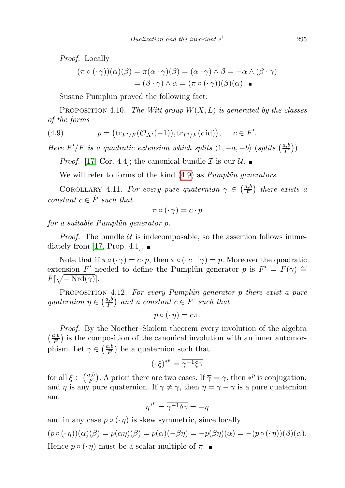Proof. Locally

$$
(\pi \circ (\cdot \gamma))(\alpha)(\beta) = \pi(\alpha \cdot \gamma)(\beta) = (\alpha \cdot \gamma) \land \beta = -\alpha \land (\beta \cdot \gamma)
$$

$$
= (\beta \cdot \gamma) \land \alpha = (\pi \circ (\cdot \gamma))(\beta)(\alpha). \blacksquare
$$

Susane Pumplün proved the following fact:

PROPOSITION 4.10. The Witt group  $W(X, L)$  is generated by the classes of the forms

(4.9) 
$$
p = (\text{tr}_{F'/F}(\mathcal{O}_{X'}(-1)), \text{tr}_{F'/F}(c \text{id})), \quad c \in F'.
$$

Here F'/F is a quadratic extension which splits  $\langle 1, -a, -b \rangle$  (splits  $\left( \frac{a}{F} \right)$  $\frac{a,b}{F}\Big)).$ 

<span id="page-62-0"></span>*Proof.* [\[17,](#page-65-13) Cor. 4.4]; the canonical bundle  $\mathcal I$  is our  $\mathcal U$ .

We will refer to forms of the kind  $(4.9)$  as *Pumplum generators*.

COROLLARY 4.11. For every pure quaternion  $\gamma \in \left(\frac{a,b}{F}\right)$  $\frac{a,b}{F}$ ) there exists a constant  $c \in \dot{F}$  such that

$$
\pi\circ(\cdot\,\gamma)=c\cdot p
$$

for a suitable Pumpliin generator  $p$ .

*Proof.* The bundle  $U$  is indecomposable, so the assertion follows imme-diately from [\[17,](#page-65-13) Prop. 4.1].  $\blacksquare$ 

Note that if  $\pi \circ (\cdot \gamma) = c \cdot p$ , then  $\pi \circ (\cdot c^{-1} \gamma) = p$ . Moreover the quadratic extension F' needed to define the Pumplum generator p is  $F' = F(\gamma) \cong$  $F[\sqrt{-\mathrm{Nrd}(\gamma)}].$ 

PROPOSITION 4.12. For every Pumplun generator  $p$  there exist a pure quaternion  $\eta \in \left(\frac{a,b}{F}\right)$  $\frac{a,b}{F}$  and a constant  $c \in F$  such that

$$
p\circ(\cdot \eta)=c\pi.
$$

Proof. By the Noether–Skolem theorem every involution of the algebra  $\left(\frac{a,b}{F}\right)$  $(\frac{a}{F})$  is the composition of the canonical involution with an inner automorphism. Let  $\gamma \in (\frac{a,b}{F})$  $\left(\frac{a,b}{F}\right)$  be a quaternion such that

$$
(\cdot\,\xi)^{\ast^p}=\overline{\gamma^{-1}\xi\gamma}
$$

for all  $\xi \in \left(\frac{a,b}{F}\right)$  $(\frac{n}{F})$ . A priori there are two cases. If  $\overline{\gamma} = \gamma$ , then  $*^p$  is conjugation, and  $\eta$  is any pure quaternion. If  $\overline{\gamma} \neq \gamma$ , then  $\eta = \overline{\gamma} - \gamma$  is a pure quaternion and

$$
\eta^{*^p} = \overline{\gamma^{-1} \delta \gamma} = -\eta
$$

and in any case  $p \circ (\cdot \eta)$  is skew symmetric, since locally

$$
(p \circ (\cdot \eta))(\alpha)(\beta) = p(\alpha \eta)(\beta) = p(\alpha)(-\beta \eta) = -p(\beta \eta)(\alpha) = -(p \circ (\cdot \eta))(\beta)(\alpha).
$$
  
Hence  $p \circ (\cdot \eta)$  must be a scalar multiple of  $\pi$ .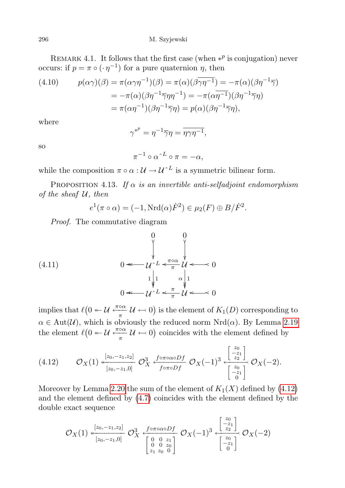296 M. Szyjewski

REMARK 4.1. It follows that the first case (when  $*^p$  is conjugation) never occurs: if  $p = \pi \circ (\cdot \eta^{-1})$  for a pure quaternion  $\eta$ , then

(4.10) 
$$
p(\alpha \gamma)(\beta) = \pi(\alpha \gamma \eta^{-1})(\beta) = \pi(\alpha)(\beta \overline{\gamma} \eta^{-1}) = -\pi(\alpha)(\beta \eta^{-1} \overline{\gamma})
$$

$$
= -\pi(\alpha)(\beta \eta^{-1} \overline{\gamma} \eta \eta^{-1}) = -\pi(\alpha \overline{\eta^{-1}})(\beta \eta^{-1} \overline{\gamma} \eta)
$$

$$
= \pi(\alpha \eta^{-1})(\beta \eta^{-1} \overline{\gamma} \eta) = p(\alpha)(\beta \eta^{-1} \overline{\gamma} \eta),
$$

where

$$
\gamma^{*^p} = \eta^{-1} \overline{\gamma} \eta = \overline{\eta \gamma \eta^{-1}},
$$

so

 $\pi^{-1} \circ \alpha^{\wedge L} \circ \pi = -\alpha,$ 

while the composition  $\pi \circ \alpha : \mathcal{U} \to \mathcal{U}^{\wedge L}$  is a symmetric bilinear form.

<span id="page-63-0"></span>PROPOSITION 4.13. If  $\alpha$  is an invertible anti-selfadjoint endomorphism of the sheaf  $U$ , then

 $e^1(\pi \circ \alpha) = (-1, \text{Nrd}(\alpha)\dot{F}^2) \in \mu_2(F) \oplus B/\dot{F}^2.$ 

Proof. The commutative diagram

(4.11) 
$$
0 \leftarrow \begin{array}{c} 0 & 0 \\ \sqrt{\phantom{0}} & \sqrt{\phantom{0}} \\ U^{\wedge L} & \sqrt{\phantom{0}} \\ 1 & 0 \\ 0 & \sqrt{\phantom{0}} \end{array}} \begin{array}{c} 0 \\ \sqrt{\phantom{0}} \\ 1 \\ 0 \end{array} \begin{array}{c} 0 \\ \sqrt{\phantom{0}} \\ 1 \\ 0 \end{array} \begin{array}{c} 0 \\ \sqrt{\phantom{0}} \\ 1 \\ 0 \end{array} \begin{array}{c} 0 \\ \sqrt{\phantom{0}} \\ 1 \\ 0 \end{array} \begin{array}{c} 0 \\ \sqrt{\phantom{0}} \\ 1 \\ 0 \end{array} \begin{array}{c} 0 \\ \sqrt{\phantom{0}} \\ 1 \\ 0 \end{array} \begin{array}{c} 0 \\ \sqrt{\phantom{0}} \\ 1 \\ 0 \end{array} \begin{array}{c} 0 \\ \sqrt{\phantom{0}} \\ 1 \\ 0 \end{array} \begin{array}{c} 0 \\ \sqrt{\phantom{0}} \\ 1 \\ 0 \end{array} \begin{array}{c} 0 \\ \sqrt{\phantom{0}} \\ 1 \\ 0 \end{array} \end{array}
$$

implies that  $\ell(0 \leftarrow \mathcal{U} \stackrel{\pi \circ \alpha}{\pi} \mathcal{U} \leftarrow 0)$  is the element of  $K_1(D)$  corresponding to  $\alpha \in \text{Aut}(\mathcal{U})$ , which is obviously the reduced norm  $\text{Nrd}(\alpha)$ . By Lemma [2.19](#page-37-0) the element  $\ell(0 \twoheadleftarrow U \frac{\pi \circ \alpha}{\pi} U \leftarrow 0)$  coincides with the element defined by

<span id="page-63-1"></span>
$$
(4.12) \qquad \mathcal{O}_X(1) \xleftarrow[\frac{[z_0, -z_1, z_2]}{[z_0, -z_1, 0]} \mathcal{O}_X^3 \xleftarrow[\frac{f \circ \pi \circ \alpha \circ Df}{f \circ \pi \circ Df} \mathcal{O}_X(-1)^3 \xleftarrow[\frac{z_0}{z_2}]\mathcal{O}_X(-2).
$$

Moreover by Lemma [2.20](#page-37-1) the sum of the element of  $K_1(X)$  defined by [\(4.12\)](#page-63-1) and the element defined by [\(4.7\)](#page-59-0) coincides with the element defined by the double exact sequence

$$
\mathcal{O}_X(1) \xleftarrow[ z_0, -z_1, z_2 ] \n \mathcal{O}_X^3 \xleftarrow[ z_0, -z_1, 0 ] \n \mathcal{O}_X^3 \xleftarrow[ z_0, z_0 ] \n \mathcal{O}_X(-1)^3 \xleftarrow[ z_0, z_1 ] \n \mathcal{O}_X(-2)^3 \xleftarrow[ z_0, z_0 ] \n \mathcal{O}_X(-2)^3 \n \mathcal{O}_X(-2)^3
$$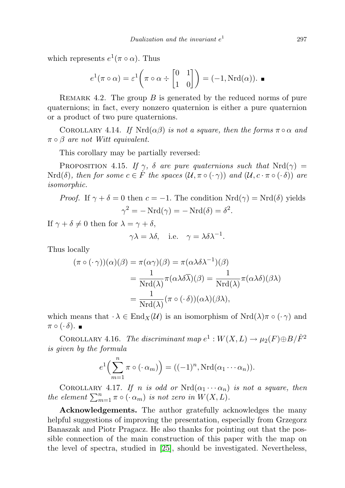which represents  $e^1(\pi \circ \alpha)$ . Thus

$$
e^{1}(\pi \circ \alpha) = \varepsilon^{1}\left(\pi \circ \alpha \div \begin{bmatrix} 0 & 1 \\ 1 & 0 \end{bmatrix}\right) = (-1, \text{Nrd}(\alpha)).
$$

REMARK 4.2. The group  $B$  is generated by the reduced norms of pure quaternions; in fact, every nonzero quaternion is either a pure quaternion or a product of two pure quaternions.

COROLLARY 4.14. If  $Nrd(\alpha\beta)$  is not a square, then the forms  $\pi \circ \alpha$  and  $\pi \circ \beta$  are not Witt equivalent.

This corollary may be partially reversed:

PROPOSITION 4.15. If  $\gamma$ ,  $\delta$  are pure quaternions such that Nrd( $\gamma$ ) =  $Nrd(\delta)$ , then for some  $c \in \dot{F}$  the spaces  $(\mathcal{U}, \pi \circ (\cdot \gamma))$  and  $(\mathcal{U}, c \cdot \pi \circ (\cdot \delta))$  are isomorphic.

*Proof.* If 
$$
\gamma + \delta = 0
$$
 then  $c = -1$ . The condition  $\text{Nrd}(\gamma) = \text{Nrd}(\delta)$  yields 
$$
\gamma^2 = -\text{Nrd}(\gamma) = -\text{Nrd}(\delta) = \delta^2.
$$

If  $\gamma + \delta \neq 0$  then for  $\lambda = \gamma + \delta$ ,

$$
\gamma \lambda = \lambda \delta
$$
, i.e.  $\gamma = \lambda \delta \lambda^{-1}$ .

Thus locally

$$
(\pi \circ (\cdot \gamma))(\alpha)(\beta) = \pi(\alpha \gamma)(\beta) = \pi(\alpha \lambda \delta \lambda^{-1})(\beta)
$$

$$
= \frac{1}{\text{Nrd}(\lambda)} \pi(\alpha \lambda \delta \overline{\lambda})(\beta) = \frac{1}{\text{Nrd}(\lambda)} \pi(\alpha \lambda \delta)(\beta \lambda)
$$

$$
= \frac{1}{\text{Nrd}(\lambda)} (\pi \circ (\cdot \delta))(\alpha \lambda)(\beta \lambda),
$$

which means that  $\cdot \lambda \in \text{End}_X(\mathcal{U})$  is an isomorphism of  $\text{Nrd}(\lambda)\pi \circ (\cdot \gamma)$  and  $\pi \circ (\cdot \delta)$ .  $\blacksquare$ 

COROLLARY 4.16. The discriminant map  $e^1: W(X,L) \to \mu_2(F) \oplus B/\dot{F}^2$ is given by the formula

$$
e^{1}\left(\sum_{m=1}^{n} \pi \circ (\cdot \alpha_{m})\right) = ((-1)^{n}, \mathrm{Nrd}(\alpha_{1} \cdots \alpha_{n})).
$$

COROLLARY 4.17. If n is odd or  $Nrd(\alpha_1 \cdots \alpha_n)$  is not a square, then the element  $\sum_{m=1}^n \pi \circ (\cdot \alpha_m)$  is not zero in  $W(X, L)$ .

Acknowledgements. The author gratefully acknowledges the many helpful suggestions of improving the presentation, especially from Grzegorz Banaszak and Piotr Pragacz. He also thanks for pointing out that the possible connection of the main construction of this paper with the map on the level of spectra, studied in [\[25\]](#page-66-3), should be investigated. Nevertheless,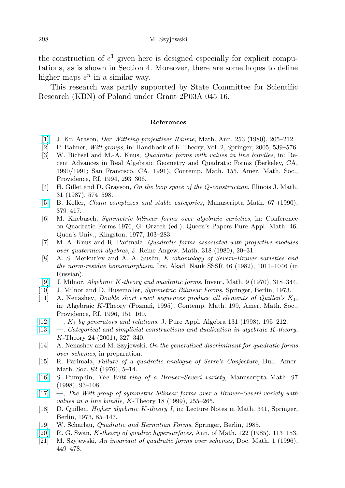the construction of  $e^1$  given here is designed especially for explicit computations, as is shown in Section 4. Moreover, there are some hopes to define higher maps  $e^n$  in a similar way.

This research was partly supported by State Committee for Scientific Research (KBN) of Poland under Grant 2P03A 045 16.

#### References

- <span id="page-65-18"></span>[\[1\]](http://dx.doi.org/10.1007/BF03219998) J. Kr. Arason, *Der Wittring projektiver Räume*, Math. Ann. 253 (1980), 205–212.
- <span id="page-65-6"></span>[2] P. Balmer, Witt groups, in: Handbook of K-Theory, Vol. 2, Springer, 2005, 539–576.
- <span id="page-65-11"></span>[3] W. Bichsel and M.-A. Knus, Quadratic forms with values in line bundles, in: Recent Advances in Real Algebraic Geometry and Quadratic Forms (Berkeley, CA, 1990/1991; San Francisco, CA, 1991), Contemp. Math. 155, Amer. Math. Soc., Providence, RI, 1994, 293–306.
- <span id="page-65-15"></span>[4] H. Gillet and D. Grayson, On the loop space of the Q-construction, Illinois J. Math. 31 (1987), 574–598.
- <span id="page-65-4"></span>[\[5\]](http://dx.doi.org/10.1007/BF02568439) B. Keller, Chain complexes and stable categories, Manuscripta Math. 67 (1990), 379–417.
- <span id="page-65-10"></span>[6] M. Knebusch, Symmetric bilinear forms over algebraic varieties, in: Conference on Quadratic Forms 1976, G. Orzech (ed.), Queen's Papers Pure Appl. Math. 46, Quen's Univ., Kingston, 1977, 103–283.
- <span id="page-65-9"></span>[7] M.-A. Knus and R. Parimala, Quadratic forms associated with projective modules over quaternion algebras, J. Reine Angew. Math. 318 (1980), 20–31.
- <span id="page-65-20"></span>[8] A. S. Merkur'ev and A. A. Suslin, K-cohomology of Severi–Brauer varieties and the norm-residue homomorphism, Izv. Akad. Nauk SSSR 46 (1982), 1011–1046 (in Russian).
- <span id="page-65-17"></span>[\[9\]](http://dx.doi.org/10.1007/BF01425486) J. Milnor, Algebraic K-theory and quadratic forms, Invent. Math. 9 (1970), 318–344.
- <span id="page-65-7"></span>[10] J. Milnor and D. Husemoller, Symmetric Bilinear Forms, Springer, Berlin, 1973.
- <span id="page-65-0"></span>[11] A. Nenashev, Double short exact sequences produce all elements of Quillen's K1, in: Algebraic K-Theory (Poznań, 1995), Contemp. Math. 199, Amer. Math. Soc., Providence, RI, 1996, 151–160.
- <span id="page-65-14"></span>[\[12\]](http://dx.doi.org/10.1016/S0022-4049(97)00056-X)  $\ldots$ ,  $K_1$  by generators and relations. J. Pure Appl. Algebra 131 (1998), 195–212.
- <span id="page-65-1"></span>[\[13\]](http://dx.doi.org/10.1023/A:1014050817962) —, Categorical and simplicial constructions and dualization in algebraic K-theory, K-Theory 24 (2001), 327–340.
- <span id="page-65-2"></span>[14] A. Nenashev and M. Szyjewski, On the generalized discriminant for quadratic forms over schemes, in preparation.
- <span id="page-65-8"></span>[15] R. Parimala, Failure of a quadratic analogue of Serre's Conjecture, Bull. Amer. Math. Soc. 82 (1976), 5–14.
- <span id="page-65-12"></span>[\[16\]](http://dx.doi.org/10.1007/s002290050088) S. Pumplün, The Witt ring of a Brauer–Severi variety, Manuscripta Math. 97 (1998), 93–108.
- <span id="page-65-13"></span>[\[17\]](http://dx.doi.org/10.1023/A:1007884327508) —, The Witt group of symmetric bilinear forms over a Brauer–Severi variety with values in a line bundle, K-Theory 18  $(1999)$ , 255–265.
- <span id="page-65-3"></span>[18] D. Quillen, Higher algebraic K-theory I, in: Lecture Notes in Math. 341, Springer, Berlin, 1973, 85–147.
- <span id="page-65-5"></span>[19] W. Scharlau, Quadratic and Hermitian Forms, Springer, Berlin, 1985.
- <span id="page-65-19"></span>[\[20\]](http://dx.doi.org/10.2307/1971371) R. G. Swan, K-theory of quadric hypersurfaces, Ann. of Math. 122 (1985), 113–153.
- <span id="page-65-16"></span>[21] M. Szyjewski, An invariant of quadratic forms over schemes, Doc. Math. 1 (1996), 449–478.